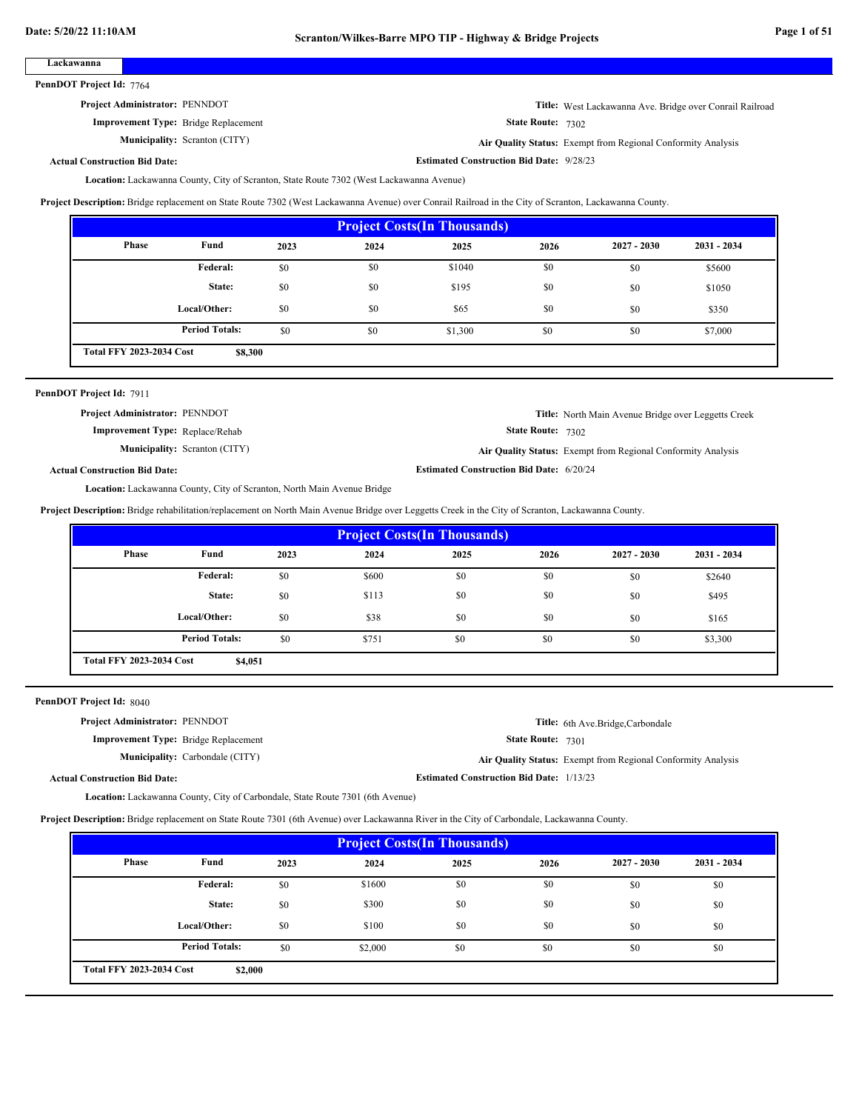## **Lackawanna**

PennDOT Project Id: 7764

# **Project Administrator:** PENNDOT

**Improvement Type:** Bridge Replacement

**Municipality:**

**Title:** West Lackawanna Ave. Bridge over Conrail Railroad

State Route: 7302

**Estimated Construction Bid Date:** 9/28/23

Scranton (CITY) **Air Quality Status:** Exempt from Regional Conformity Analysis

## **Actual Construction Bid Date:**

Lackawanna County, City of Scranton, State Route 7302 (West Lackawanna Avenue) **Location:**

**Project Description:** Bridge replacement on State Route 7302 (West Lackawanna Avenue) over Conrail Railroad in the City of Scranton, Lackawanna County.

| <b>Project Costs (In Thousands)</b>        |                       |      |      |         |      |               |               |  |
|--------------------------------------------|-----------------------|------|------|---------|------|---------------|---------------|--|
| <b>Phase</b>                               | Fund                  | 2023 | 2024 | 2025    | 2026 | $2027 - 2030$ | $2031 - 2034$ |  |
|                                            | Federal:              | \$0  | \$0  | \$1040  | \$0  | \$0           | \$5600        |  |
|                                            | State:                | \$0  | \$0  | \$195   | \$0  | \$0           | \$1050        |  |
|                                            | Local/Other:          | \$0  | \$0  | \$65    | \$0  | \$0           | \$350         |  |
|                                            | <b>Period Totals:</b> | \$0  | \$0  | \$1,300 | \$0  | \$0           | \$7,000       |  |
| <b>Total FFY 2023-2034 Cost</b><br>\$8,300 |                       |      |      |         |      |               |               |  |

### PennDOT Project Id: 7911

State Route: 7302 **Title:** North Main Avenue Bridge over Leggetts Creek **Improvement Type:** Replace/Rehab **Estimated Construction Bid Date:** 6/20/24 **Actual Construction Bid Date: Municipality:** Scranton (CITY) Scranton (CITY) **Air Quality Status:** Exempt from Regional Conformity Analysis **Project Administrator:** PENNDOT

Lackawanna County, City of Scranton, North Main Avenue Bridge **Location:**

**Project Description:** Bridge rehabilitation/replacement on North Main Avenue Bridge over Leggetts Creek in the City of Scranton, Lackawanna County.

| <b>Project Costs (In Thousands)</b>        |                       |      |       |      |      |               |               |  |
|--------------------------------------------|-----------------------|------|-------|------|------|---------------|---------------|--|
| Phase                                      | Fund                  | 2023 | 2024  | 2025 | 2026 | $2027 - 2030$ | $2031 - 2034$ |  |
|                                            | Federal:              | \$0  | \$600 | \$0  | \$0  | \$0           | \$2640        |  |
|                                            | State:                | \$0  | \$113 | \$0  | \$0  | \$0           | \$495         |  |
|                                            | Local/Other:          | \$0  | \$38  | \$0  | \$0  | \$0           | \$165         |  |
|                                            | <b>Period Totals:</b> | \$0  | \$751 | \$0  | \$0  | \$0           | \$3,300       |  |
| <b>Total FFY 2023-2034 Cost</b><br>\$4,051 |                       |      |       |      |      |               |               |  |

PennDOT Project Id: 8040

| <b>Project Administrator: PENNDOT</b>       | Title: 6th Ave.Bridge, Carbondale                            |
|---------------------------------------------|--------------------------------------------------------------|
| <b>Improvement Type:</b> Bridge Replacement | <b>State Route: 7301</b>                                     |
| <b>Municipality:</b> Carbondale (CITY)      | Air Quality Status: Exempt from Regional Conformity Analysis |
| <b>Actual Construction Bid Date:</b>        | <b>Estimated Construction Bid Date: 1/13/23</b>              |

Lackawanna County, City of Carbondale, State Route 7301 (6th Avenue) **Location:**

**Project Description:** Bridge replacement on State Route 7301 (6th Avenue) over Lackawanna River in the City of Carbondale, Lackawanna County.

| <b>Project Costs (In Thousands)</b>        |                       |      |         |      |      |               |               |  |
|--------------------------------------------|-----------------------|------|---------|------|------|---------------|---------------|--|
| Phase                                      | Fund                  | 2023 | 2024    | 2025 | 2026 | $2027 - 2030$ | $2031 - 2034$ |  |
|                                            | Federal:              | \$0  | \$1600  | \$0  | \$0  | \$0           | \$0           |  |
|                                            | State:                | \$0  | \$300   | \$0  | \$0  | \$0           | \$0           |  |
|                                            | Local/Other:          | \$0  | \$100   | \$0  | \$0  | \$0           | \$0           |  |
|                                            | <b>Period Totals:</b> | \$0  | \$2,000 | \$0  | \$0  | \$0           | \$0           |  |
| <b>Total FFY 2023-2034 Cost</b><br>\$2,000 |                       |      |         |      |      |               |               |  |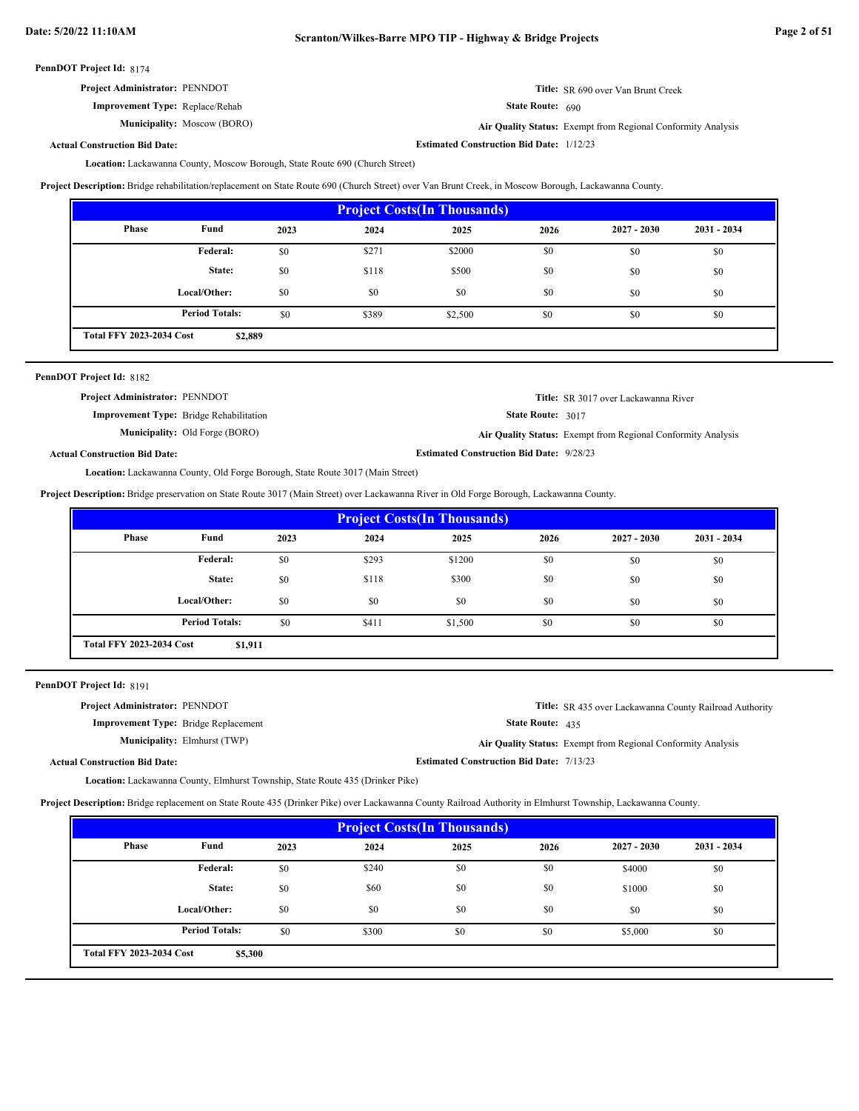| <b>Project Administrator: PENNDOT</b> | <b>Title:</b> SR 690 over Van Brunt Creek |
|---------------------------------------|-------------------------------------------|
|---------------------------------------|-------------------------------------------|

Moscow (BORO) **Air Quality Status:** Exempt from Regional Conformity Analysis

State Route: 690

**Estimated Construction Bid Date:** 1/12/23

**Actual Construction Bid Date:**

**Improvement Type:** Replace/Rehab

**Municipality:**

Lackawanna County, Moscow Borough, State Route 690 (Church Street) **Location:**

**Project Description:** Bridge rehabilitation/replacement on State Route 690 (Church Street) over Van Brunt Creek, in Moscow Borough, Lackawanna County.

| <b>Project Costs (In Thousands)</b>        |                       |      |       |         |      |               |               |  |
|--------------------------------------------|-----------------------|------|-------|---------|------|---------------|---------------|--|
| <b>Phase</b>                               | Fund                  | 2023 | 2024  | 2025    | 2026 | $2027 - 2030$ | $2031 - 2034$ |  |
|                                            | Federal:              | \$0  | \$271 | \$2000  | \$0  | \$0           | \$0           |  |
|                                            | State:                | \$0  | \$118 | \$500   | \$0  | \$0           | \$0           |  |
|                                            | Local/Other:          | \$0  | \$0   | \$0     | \$0  | \$0           | \$0           |  |
|                                            | <b>Period Totals:</b> | \$0  | \$389 | \$2,500 | \$0  | \$0           | \$0           |  |
| <b>Total FFY 2023-2034 Cost</b><br>\$2,889 |                       |      |       |         |      |               |               |  |

| PennDOT Project Id: 8182              |                                                |                                                 |                                                              |
|---------------------------------------|------------------------------------------------|-------------------------------------------------|--------------------------------------------------------------|
| <b>Project Administrator: PENNDOT</b> |                                                |                                                 | <b>Title:</b> SR 3017 over Lackawanna River                  |
|                                       | <b>Improvement Type:</b> Bridge Rehabilitation | State Route: 3017                               |                                                              |
|                                       | <b>Municipality:</b> Old Forge (BORO)          |                                                 | Air Quality Status: Exempt from Regional Conformity Analysis |
| <b>Actual Construction Bid Date:</b>  |                                                | <b>Estimated Construction Bid Date: 9/28/23</b> |                                                              |
|                                       |                                                |                                                 |                                                              |

Lackawanna County, Old Forge Borough, State Route 3017 (Main Street) **Location:**

**Project Description:** Bridge preservation on State Route 3017 (Main Street) over Lackawanna River in Old Forge Borough, Lackawanna County.

| <b>Project Costs (In Thousands)</b>        |                       |      |       |         |      |               |               |  |
|--------------------------------------------|-----------------------|------|-------|---------|------|---------------|---------------|--|
| Phase                                      | Fund                  | 2023 | 2024  | 2025    | 2026 | $2027 - 2030$ | $2031 - 2034$ |  |
|                                            | Federal:              | \$0  | \$293 | \$1200  | \$0  | \$0           | \$0           |  |
|                                            | State:                | \$0  | \$118 | \$300   | \$0  | \$0           | \$0           |  |
|                                            | Local/Other:          | \$0  | \$0   | \$0     | \$0  | \$0           | \$0           |  |
|                                            | <b>Period Totals:</b> | \$0  | \$411 | \$1,500 | \$0  | \$0           | \$0           |  |
| <b>Total FFY 2023-2034 Cost</b><br>\$1,911 |                       |      |       |         |      |               |               |  |

PennDOT Project Id: 8191

| <b>Project Administrator: PENNDOT</b>       | <b>Title:</b> SR 435 over Lackawanna County Railroad Authority |
|---------------------------------------------|----------------------------------------------------------------|
| <b>Improvement Type:</b> Bridge Replacement | <b>State Route:</b> $435$                                      |
| <b>Municipality:</b> Elmhurst (TWP)         | Air Quality Status: Exempt from Regional Conformity Analysis   |
| ıal Construction Bid Date:                  | <b>Estimated Construction Bid Date: 7/13/23</b>                |

Actu

Lackawanna County, Elmhurst Township, State Route 435 (Drinker Pike) **Location:**

**Project Description:** Bridge replacement on State Route 435 (Drinker Pike) over Lackawanna County Railroad Authority in Elmhurst Township, Lackawanna County.

| <b>Project Costs (In Thousands)</b>        |                       |      |       |      |      |               |               |  |
|--------------------------------------------|-----------------------|------|-------|------|------|---------------|---------------|--|
| Phase                                      | Fund                  | 2023 | 2024  | 2025 | 2026 | $2027 - 2030$ | $2031 - 2034$ |  |
|                                            | Federal:              | \$0  | \$240 | \$0  | \$0  | \$4000        | \$0           |  |
|                                            | State:                | \$0  | \$60  | \$0  | \$0  | \$1000        | \$0           |  |
|                                            | Local/Other:          | \$0  | \$0   | \$0  | \$0  | \$0           | \$0           |  |
|                                            | <b>Period Totals:</b> | \$0  | \$300 | \$0  | \$0  | \$5,000       | \$0           |  |
| <b>Total FFY 2023-2034 Cost</b><br>\$5,300 |                       |      |       |      |      |               |               |  |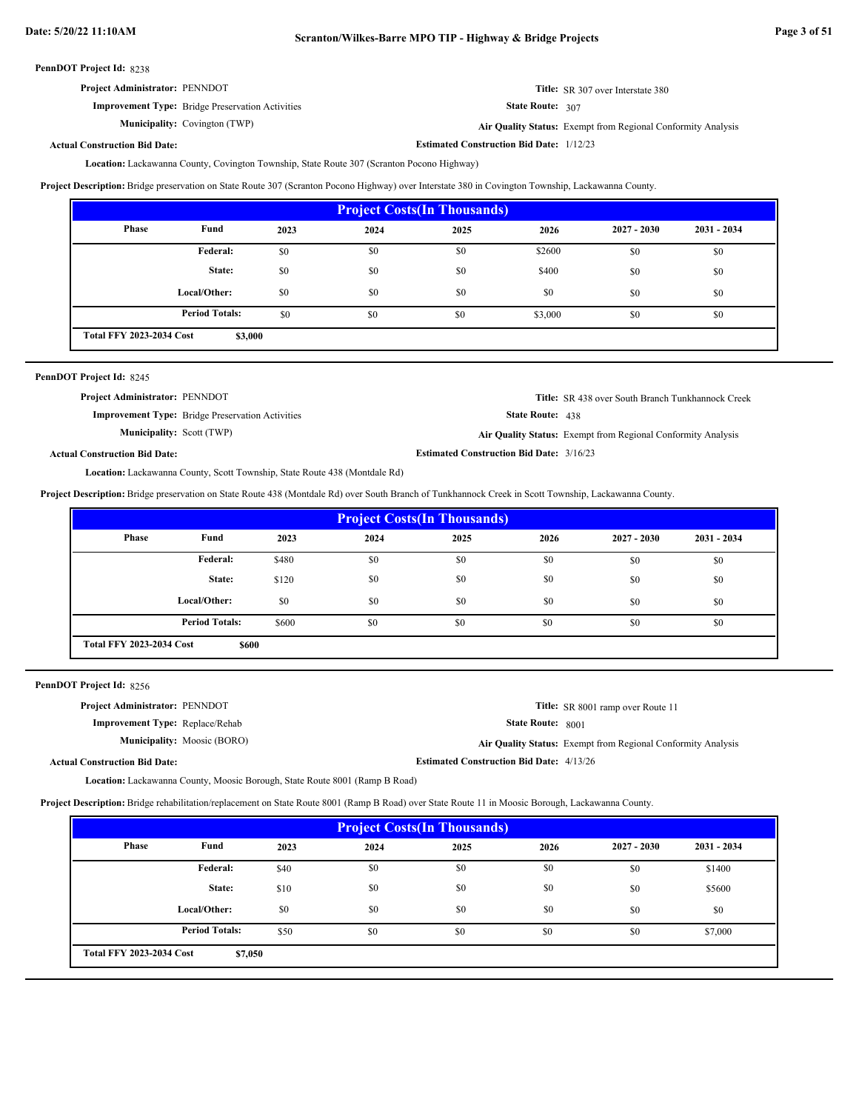| <b>Project Administrator: PENNDOT</b>                   | <b>Title:</b> SR 307 over Interstate 380 |
|---------------------------------------------------------|------------------------------------------|
| <b>Improvement Type:</b> Bridge Preservation Activities | <b>State Route: 307</b>                  |

Municipality: Covington (TWP)

State Route: 307

Covington (TWP) **Air Quality Status:** Exempt from Regional Conformity Analysis

**Estimated Construction Bid Date:** 1/12/23

**Actual Construction Bid Date:**

Lackawanna County, Covington Township, State Route 307 (Scranton Pocono Highway) **Location:**

**Project Description:** Bridge preservation on State Route 307 (Scranton Pocono Highway) over Interstate 380 in Covington Township, Lackawanna County.

| <b>Project Costs (In Thousands)</b>        |                       |      |      |      |         |               |               |  |
|--------------------------------------------|-----------------------|------|------|------|---------|---------------|---------------|--|
| <b>Phase</b>                               | Fund                  | 2023 | 2024 | 2025 | 2026    | $2027 - 2030$ | $2031 - 2034$ |  |
|                                            | Federal:              | \$0  | \$0  | \$0  | \$2600  | \$0           | \$0           |  |
|                                            | State:                | \$0  | \$0  | \$0  | \$400   | \$0           | \$0           |  |
|                                            | Local/Other:          | \$0  | \$0  | \$0  | \$0     | \$0           | \$0           |  |
|                                            | <b>Period Totals:</b> | \$0  | \$0  | \$0  | \$3,000 | \$0           | \$0           |  |
| <b>Total FFY 2023-2034 Cost</b><br>\$3,000 |                       |      |      |      |         |               |               |  |

| PennDOT Project Id: 8245              |                                                         |                                                 |                                                              |
|---------------------------------------|---------------------------------------------------------|-------------------------------------------------|--------------------------------------------------------------|
| <b>Project Administrator: PENNDOT</b> |                                                         |                                                 | <b>Title:</b> SR 438 over South Branch Tunkhannock Creek     |
|                                       | <b>Improvement Type:</b> Bridge Preservation Activities | <b>State Route:</b> $438$                       |                                                              |
| <b>Municipality:</b> Scott (TWP)      |                                                         |                                                 | Air Quality Status: Exempt from Regional Conformity Analysis |
| <b>Actual Construction Bid Date:</b>  |                                                         | <b>Estimated Construction Bid Date: 3/16/23</b> |                                                              |

Location: Lackawanna County, Scott Township, State Route 438 (Montdale Rd)

**Project Description:** Bridge preservation on State Route 438 (Montdale Rd) over South Branch of Tunkhannock Creek in Scott Township, Lackawanna County.

| <b>Project Costs (In Thousands)</b> |                                          |       |      |      |      |               |               |
|-------------------------------------|------------------------------------------|-------|------|------|------|---------------|---------------|
| Phase                               | Fund                                     | 2023  | 2024 | 2025 | 2026 | $2027 - 2030$ | $2031 - 2034$ |
|                                     | Federal:                                 | \$480 | \$0  | \$0  | \$0  | \$0           | \$0           |
|                                     | State:                                   | \$120 | \$0  | \$0  | \$0  | \$0           | \$0           |
|                                     | Local/Other:                             | \$0   | \$0  | \$0  | \$0  | \$0           | \$0           |
|                                     | <b>Period Totals:</b>                    | \$600 | \$0  | \$0  | \$0  | \$0           | \$0           |
|                                     | <b>Total FFY 2023-2034 Cost</b><br>\$600 |       |      |      |      |               |               |

PennDOT Project Id: 8256

| <b>Project Administrator: PENNDOT</b>  | <b>Title:</b> SR 8001 ramp over Route 11                     |
|----------------------------------------|--------------------------------------------------------------|
| <b>Improvement Type:</b> Replace/Rehab | <b>State Route: 8001</b>                                     |
| <b>Municipality:</b> Moosic (BORO)     | Air Quality Status: Exempt from Regional Conformity Analysis |
| <b>Actual Construction Bid Date:</b>   | <b>Estimated Construction Bid Date: 4/13/26</b>              |

Lackawanna County, Moosic Borough, State Route 8001 (Ramp B Road) **Location:**

**Project Description:** Bridge rehabilitation/replacement on State Route 8001 (Ramp B Road) over State Route 11 in Moosic Borough, Lackawanna County.

| <b>Project Costs (In Thousands)</b> |                                            |      |      |      |      |               |               |
|-------------------------------------|--------------------------------------------|------|------|------|------|---------------|---------------|
| Phase                               | Fund                                       | 2023 | 2024 | 2025 | 2026 | $2027 - 2030$ | $2031 - 2034$ |
|                                     | <b>Federal:</b>                            | \$40 | \$0  | \$0  | \$0  | \$0           | \$1400        |
|                                     | State:                                     | \$10 | \$0  | \$0  | \$0  | \$0           | \$5600        |
|                                     | Local/Other:                               | \$0  | \$0  | \$0  | \$0  | \$0           | \$0           |
|                                     | <b>Period Totals:</b>                      | \$50 | \$0  | \$0  | \$0  | \$0           | \$7,000       |
|                                     | <b>Total FFY 2023-2034 Cost</b><br>\$7,050 |      |      |      |      |               |               |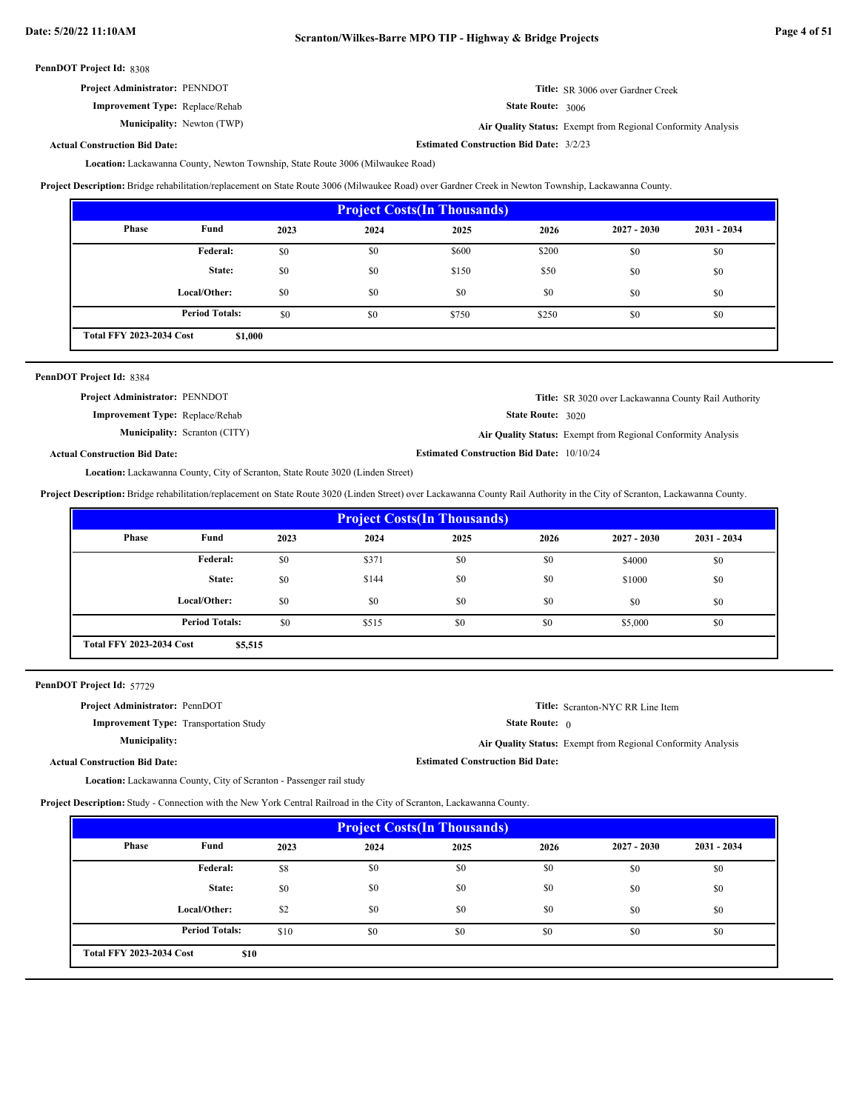| <b>Project Administrator: PENNDOT</b> | <b>Title:</b> SR 3006 over Gardner Creek |
|---------------------------------------|------------------------------------------|
|                                       |                                          |

**Improvement Type:** Replace/Rehab

**Municipality:** Newton (TWP)

State Route: 3006 Newton (TWP) **Air Quality Status:** Exempt from Regional Conformity Analysis

**Actual Construction Bid Date:**

Lackawanna County, Newton Township, State Route 3006 (Milwaukee Road) **Location: Estimated Construction Bid Date:** 3/2/23

**Project Description:** Bridge rehabilitation/replacement on State Route 3006 (Milwaukee Road) over Gardner Creek in Newton Township, Lackawanna County.

| <b>Project Costs (In Thousands)</b> |                                            |      |      |       |       |               |               |
|-------------------------------------|--------------------------------------------|------|------|-------|-------|---------------|---------------|
| Phase                               | Fund                                       | 2023 | 2024 | 2025  | 2026  | $2027 - 2030$ | $2031 - 2034$ |
|                                     | Federal:                                   | \$0  | \$0  | \$600 | \$200 | \$0           | \$0           |
|                                     | State:                                     | \$0  | \$0  | \$150 | \$50  | \$0           | \$0           |
|                                     | Local/Other:                               | \$0  | \$0  | \$0   | \$0   | \$0           | \$0           |
|                                     | <b>Period Totals:</b>                      | \$0  | \$0  | \$750 | \$250 | \$0           | \$0           |
|                                     | <b>Total FFY 2023-2034 Cost</b><br>\$1,000 |      |      |       |       |               |               |

| PennDOT Project Id: 8384 |  |  |  |  |
|--------------------------|--|--|--|--|
|--------------------------|--|--|--|--|

| <b>Project Administrator: PENNDOT</b>  |                                      |                                                  | <b>Title:</b> SR 3020 over Lackawanna County Rail Authority  |
|----------------------------------------|--------------------------------------|--------------------------------------------------|--------------------------------------------------------------|
| <b>Improvement Type: Replace/Rehab</b> |                                      | <b>State Route:</b> 3020                         |                                                              |
|                                        | <b>Municipality:</b> Scranton (CITY) |                                                  | Air Quality Status: Exempt from Regional Conformity Analysis |
| <b>Actual Construction Bid Date:</b>   |                                      | <b>Estimated Construction Bid Date: 10/10/24</b> |                                                              |

Lackawanna County, City of Scranton, State Route 3020 (Linden Street) **Location:**

**Project Description:** Bridge rehabilitation/replacement on State Route 3020 (Linden Street) over Lackawanna County Rail Authority in the City of Scranton, Lackawanna County.

| <b>Project Costs (In Thousands)</b> |                                            |      |       |      |      |               |               |
|-------------------------------------|--------------------------------------------|------|-------|------|------|---------------|---------------|
| <b>Phase</b>                        | Fund                                       | 2023 | 2024  | 2025 | 2026 | $2027 - 2030$ | $2031 - 2034$ |
|                                     | Federal:                                   | \$0  | \$371 | \$0  | \$0  | \$4000        | \$0           |
|                                     | State:                                     | \$0  | \$144 | \$0  | \$0  | \$1000        | \$0           |
|                                     | Local/Other:                               | \$0  | \$0   | \$0  | \$0  | \$0           | \$0           |
|                                     | <b>Period Totals:</b>                      | \$0  | \$515 | \$0  | \$0  | \$5,000       | \$0           |
|                                     | <b>Total FFY 2023-2034 Cost</b><br>\$5,515 |      |       |      |      |               |               |

PennDOT Project Id: 57729

| <b>Project Administrator: PennDOT</b>         |                                         | <b>Title:</b> Scranton-NYC RR Line Item                             |
|-----------------------------------------------|-----------------------------------------|---------------------------------------------------------------------|
| <b>Improvement Type:</b> Transportation Study | <b>State Route:</b> $\theta$            |                                                                     |
| <b>Municipality:</b>                          |                                         | <b>Air Quality Status:</b> Exempt from Regional Conformity Analysis |
| <b>Actual Construction Bid Date:</b>          | <b>Estimated Construction Bid Date:</b> |                                                                     |
|                                               |                                         |                                                                     |

Lackawanna County, City of Scranton - Passenger rail study **Location:**

**Project Description:** Study - Connection with the New York Central Railroad in the City of Scranton, Lackawanna County.

| <b>Project Costs (In Thousands)</b> |                                         |      |      |      |      |               |               |
|-------------------------------------|-----------------------------------------|------|------|------|------|---------------|---------------|
| Phase                               | Fund                                    | 2023 | 2024 | 2025 | 2026 | $2027 - 2030$ | $2031 - 2034$ |
|                                     | Federal:                                | \$8  | \$0  | \$0  | \$0  | \$0           | \$0           |
|                                     | State:                                  | \$0  | \$0  | \$0  | \$0  | \$0           | \$0           |
|                                     | Local/Other:                            | \$2  | \$0  | \$0  | \$0  | \$0           | \$0           |
|                                     | <b>Period Totals:</b>                   | \$10 | \$0  | \$0  | \$0  | \$0           | \$0           |
|                                     | <b>Total FFY 2023-2034 Cost</b><br>\$10 |      |      |      |      |               |               |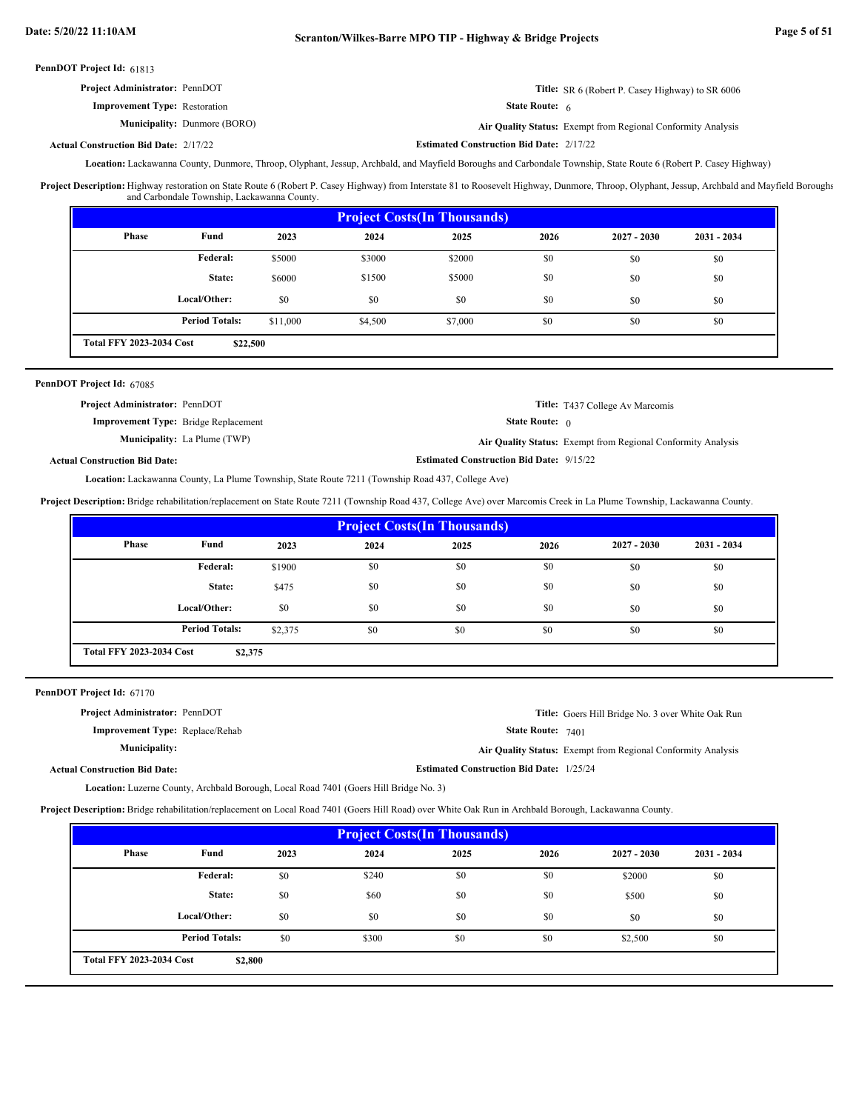| <b>Title:</b> SR 6 (Robert P. Casey Highway) to SR 6006 |
|---------------------------------------------------------|
| State Route: 6                                          |
|                                                         |

**Municipality:** Dunmore (BORO) **Air Quality Status:** Exempt from Regional Conformity Analysis

**Estimated Construction Bid Date:** 2/17/22 2/17/22 **Actual Construction Bid Date:**

Location: Lackawanna County, Dunmore, Throop, Olyphant, Jessup, Archbald, and Mayfield Boroughs and Carbondale Township, State Route 6 (Robert P. Casey Highway)

Project Description: Highway restoration on State Route 6 (Robert P. Casey Highway) from Interstate 81 to Roosevelt Highway, Dunmore, Throop, Olyphant, Jessup, Archbald and Mayfield Boroughs and Carbondale Township, Lackawanna County.

| <b>Project Costs (In Thousands)</b>         |                       |          |         |         |      |               |               |
|---------------------------------------------|-----------------------|----------|---------|---------|------|---------------|---------------|
| <b>Phase</b>                                | Fund                  | 2023     | 2024    | 2025    | 2026 | $2027 - 2030$ | $2031 - 2034$ |
|                                             | <b>Federal:</b>       | \$5000   | \$3000  | \$2000  | \$0  | \$0           | \$0           |
|                                             | State:                | \$6000   | \$1500  | \$5000  | \$0  | \$0           | \$0           |
|                                             | Local/Other:          | \$0      | \$0     | \$0     | \$0  | \$0           | \$0           |
|                                             | <b>Period Totals:</b> | \$11,000 | \$4,500 | \$7,000 | \$0  | \$0           | \$0           |
| <b>Total FFY 2023-2034 Cost</b><br>\$22,500 |                       |          |         |         |      |               |               |

## PennDOT Project Id: 67085

| <b>Project Administrator: PennDOT</b>       |                                     |                                                 | <b>Title:</b> T437 College Av Marcomis                       |
|---------------------------------------------|-------------------------------------|-------------------------------------------------|--------------------------------------------------------------|
| <b>Improvement Type:</b> Bridge Replacement |                                     | <b>State Route:</b> $\theta$                    |                                                              |
|                                             | <b>Municipality:</b> La Plume (TWP) |                                                 | Air Quality Status: Exempt from Regional Conformity Analysis |
| <b>Actual Construction Bid Date:</b>        |                                     | <b>Estimated Construction Bid Date: 9/15/22</b> |                                                              |

Lackawanna County, La Plume Township, State Route 7211 (Township Road 437, College Ave) **Location:**

**Project Description:** Bridge rehabilitation/replacement on State Route 7211 (Township Road 437, College Ave) over Marcomis Creek in La Plume Township, Lackawanna County.

| <b>Project Costs (In Thousands)</b>        |                       |         |      |      |      |               |               |
|--------------------------------------------|-----------------------|---------|------|------|------|---------------|---------------|
| Phase                                      | Fund                  | 2023    | 2024 | 2025 | 2026 | $2027 - 2030$ | $2031 - 2034$ |
|                                            | Federal:              | \$1900  | \$0  | \$0  | \$0  | \$0           | \$0           |
|                                            | State:                | \$475   | \$0  | \$0  | \$0  | \$0           | \$0           |
|                                            | Local/Other:          | \$0     | \$0  | \$0  | \$0  | \$0           | \$0           |
|                                            | <b>Period Totals:</b> | \$2,375 | \$0  | \$0  | \$0  | \$0           | \$0           |
| <b>Total FFY 2023-2034 Cost</b><br>\$2,375 |                       |         |      |      |      |               |               |

PennDOT Project Id: 67170

| <b>Project Administrator: PennDOT</b>  | Title: Goers Hill Bridge No. 3 over White Oak Run            |
|----------------------------------------|--------------------------------------------------------------|
| <b>Improvement Type:</b> Replace/Rehab | <b>State Route:</b> $7401$                                   |
| Municipality:                          | Air Quality Status: Exempt from Regional Conformity Analysis |
| <b>Actual Construction Bid Date:</b>   | <b>Estimated Construction Bid Date: 1/25/24</b>              |

Location: Luzerne County, Archbald Borough, Local Road 7401 (Goers Hill Bridge No. 3)

**Project Description:** Bridge rehabilitation/replacement on Local Road 7401 (Goers Hill Road) over White Oak Run in Archbald Borough, Lackawanna County.

| <b>Project Costs (In Thousands)</b>        |                       |      |       |      |      |               |               |
|--------------------------------------------|-----------------------|------|-------|------|------|---------------|---------------|
| <b>Phase</b>                               | Fund                  | 2023 | 2024  | 2025 | 2026 | $2027 - 2030$ | $2031 - 2034$ |
|                                            | Federal:              | \$0  | \$240 | \$0  | \$0  | \$2000        | \$0           |
|                                            | State:                | \$0  | \$60  | \$0  | \$0  | \$500         | \$0           |
|                                            | Local/Other:          | \$0  | \$0   | \$0  | \$0  | \$0           | \$0           |
|                                            | <b>Period Totals:</b> | \$0  | \$300 | \$0  | \$0  | \$2,500       | \$0           |
| <b>Total FFY 2023-2034 Cost</b><br>\$2,800 |                       |      |       |      |      |               |               |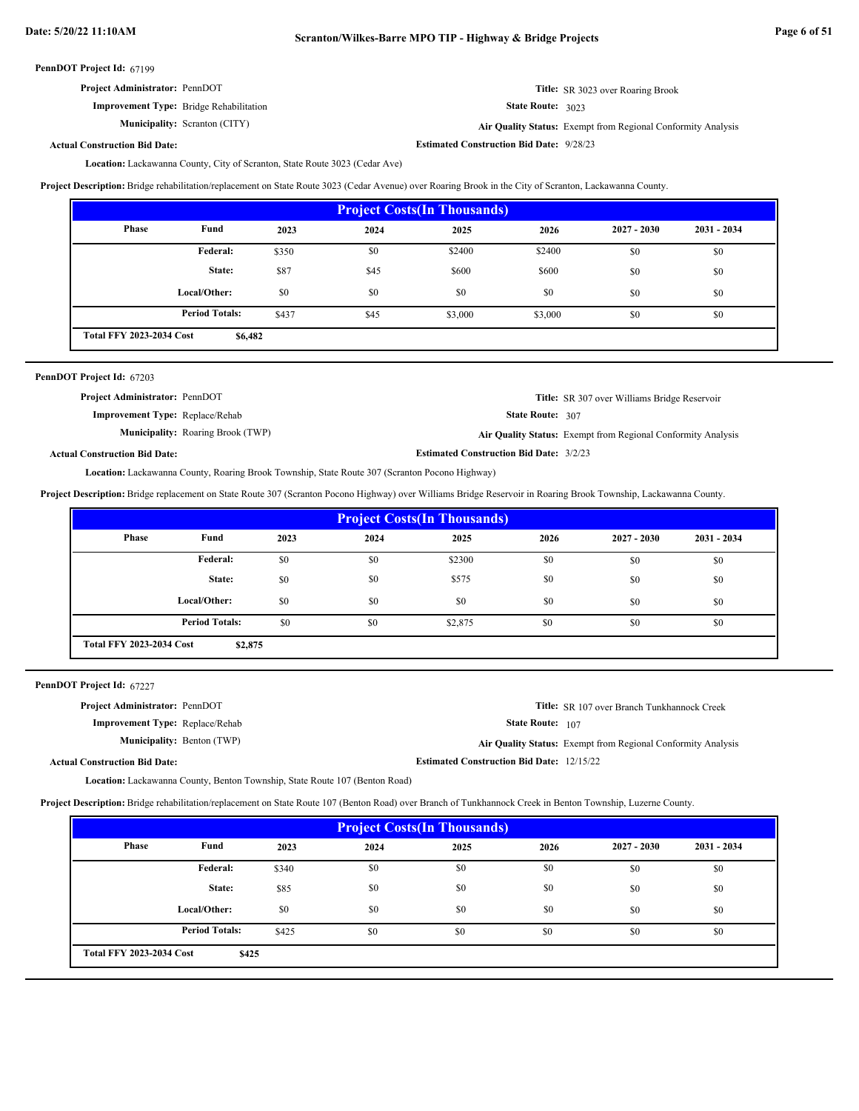**Estimated Construction Bid Date:** 9/28/23

PennDOT Project Id: 67199

| <b>Project Administrator: PennDOT</b>          | <b>Title:</b> SR 3023 over Roaring Brook |
|------------------------------------------------|------------------------------------------|
| <b>Improvement Type:</b> Bridge Rehabilitation | State Route: 3023                        |

**Municipality:** Scranton (CITY)

State Route: 3023

**Air Quality Status:** Exempt from Regional Conformity Analysis

**Actual Construction Bid Date:**

Location: Lackawanna County, City of Scranton, State Route 3023 (Cedar Ave)

**Project Description:** Bridge rehabilitation/replacement on State Route 3023 (Cedar Avenue) over Roaring Brook in the City of Scranton, Lackawanna County.

|                                            | <b>Project Costs (In Thousands)</b> |       |      |         |         |               |               |
|--------------------------------------------|-------------------------------------|-------|------|---------|---------|---------------|---------------|
| Phase                                      | Fund                                | 2023  | 2024 | 2025    | 2026    | $2027 - 2030$ | $2031 - 2034$ |
|                                            | Federal:                            | \$350 | \$0  | \$2400  | \$2400  | \$0           | \$0           |
|                                            | State:                              | \$87  | \$45 | \$600   | \$600   | \$0           | \$0           |
|                                            | Local/Other:                        | \$0   | \$0  | \$0     | \$0     | \$0           | \$0           |
|                                            | <b>Period Totals:</b>               | \$437 | \$45 | \$3,000 | \$3,000 | \$0           | \$0           |
| <b>Total FFY 2023-2034 Cost</b><br>\$6,482 |                                     |       |      |         |         |               |               |

| PennDOT Project Id: 67203              |                                          |                                                |                                                              |
|----------------------------------------|------------------------------------------|------------------------------------------------|--------------------------------------------------------------|
| Project Administrator: PennDOT         |                                          |                                                | <b>Title:</b> SR 307 over Williams Bridge Reservoir          |
| <b>Improvement Type:</b> Replace/Rehab |                                          | State Route: 307                               |                                                              |
|                                        | <b>Municipality:</b> Roaring Brook (TWP) |                                                | Air Quality Status: Exempt from Regional Conformity Analysis |
| <b>Actual Construction Bid Date:</b>   |                                          | <b>Estimated Construction Bid Date: 3/2/23</b> |                                                              |

Lackawanna County, Roaring Brook Township, State Route 307 (Scranton Pocono Highway) **Location:**

**Project Description:** Bridge replacement on State Route 307 (Scranton Pocono Highway) over Williams Bridge Reservoir in Roaring Brook Township, Lackawanna County.

| <b>Project Costs (In Thousands)</b>        |                       |      |      |         |      |               |               |
|--------------------------------------------|-----------------------|------|------|---------|------|---------------|---------------|
| Phase                                      | Fund                  | 2023 | 2024 | 2025    | 2026 | $2027 - 2030$ | $2031 - 2034$ |
|                                            | <b>Federal:</b>       | \$0  | \$0  | \$2300  | \$0  | \$0           | \$0           |
|                                            | State:                | \$0  | \$0  | \$575   | \$0  | \$0           | \$0           |
|                                            | Local/Other:          | \$0  | \$0  | \$0     | \$0  | \$0           | \$0           |
|                                            | <b>Period Totals:</b> | \$0  | \$0  | \$2,875 | \$0  | \$0           | \$0           |
| <b>Total FFY 2023-2034 Cost</b><br>\$2,875 |                       |      |      |         |      |               |               |

PennDOT Project Id: 67227

| <b>Project Administrator: PennDOT</b>  |                                                  | <b>Title:</b> SR 107 over Branch Tunkhannock Creek                  |
|----------------------------------------|--------------------------------------------------|---------------------------------------------------------------------|
| <b>Improvement Type:</b> Replace/Rehab | <b>State Route:</b> 107                          |                                                                     |
| <b>Municipality:</b> Benton (TWP)      |                                                  | <b>Air Quality Status:</b> Exempt from Regional Conformity Analysis |
| <b>Actual Construction Bid Date:</b>   | <b>Estimated Construction Bid Date: 12/15/22</b> |                                                                     |

Lackawanna County, Benton Township, State Route 107 (Benton Road) **Location:**

**Project Description:** Bridge rehabilitation/replacement on State Route 107 (Benton Road) over Branch of Tunkhannock Creek in Benton Township, Luzerne County.

| <b>Project Costs (In Thousands)</b>      |                       |       |      |      |      |               |             |
|------------------------------------------|-----------------------|-------|------|------|------|---------------|-------------|
| <b>Phase</b>                             | Fund                  | 2023  | 2024 | 2025 | 2026 | $2027 - 2030$ | 2031 - 2034 |
|                                          | Federal:              | \$340 | \$0  | \$0  | \$0  | \$0           | \$0         |
|                                          | State:                | \$85  | \$0  | \$0  | \$0  | \$0           | \$0         |
|                                          | Local/Other:          | \$0   | \$0  | \$0  | \$0  | \$0           | \$0         |
|                                          | <b>Period Totals:</b> | \$425 | \$0  | \$0  | \$0  | \$0           | \$0         |
| <b>Total FFY 2023-2034 Cost</b><br>\$425 |                       |       |      |      |      |               |             |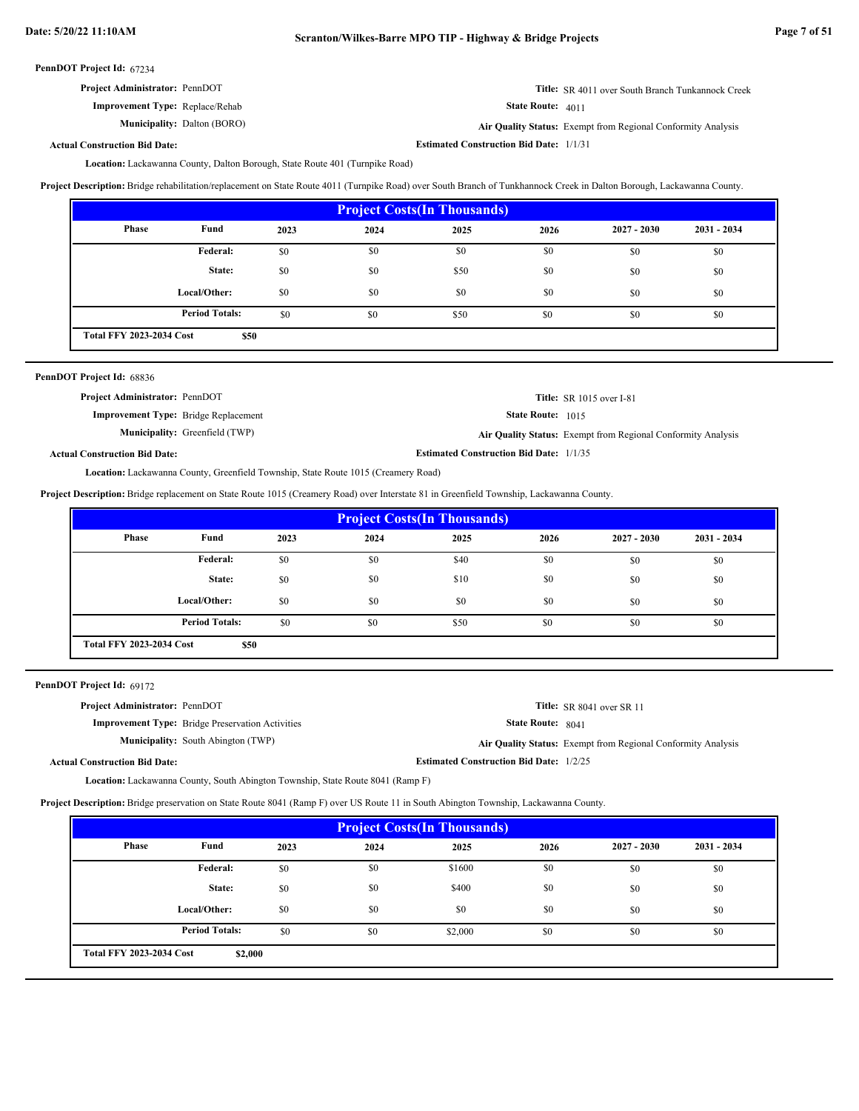| <b>Project Administrator: PennDOT</b>  | <b>Title:</b> SR 4011 over South Branch Tunkannock Creek |
|----------------------------------------|----------------------------------------------------------|
| <b>Improvement Type:</b> Replace/Rehab | State Route: 4011                                        |

**Improvement Type:** Replace/Rehab **Municipality:** Dalton (BORO)

Dalton (BORO) **Air Quality Status:** Exempt from Regional Conformity Analysis

**Actual Construction Bid Date:**

**Estimated Construction Bid Date:** 1/1/31

Location: Lackawanna County, Dalton Borough, State Route 401 (Turnpike Road)

**Project Description:** Bridge rehabilitation/replacement on State Route 4011 (Turnpike Road) over South Branch of Tunkhannock Creek in Dalton Borough, Lackawanna County.

| <b>Project Costs (In Thousands)</b>                              |              |      |      |      |      |               |               |
|------------------------------------------------------------------|--------------|------|------|------|------|---------------|---------------|
| Phase                                                            | Fund         | 2023 | 2024 | 2025 | 2026 | $2027 - 2030$ | $2031 - 2034$ |
|                                                                  | Federal:     | \$0  | \$0  | \$0  | \$0  | \$0           | \$0           |
|                                                                  | State:       | \$0  | \$0  | \$50 | \$0  | \$0           | \$0           |
|                                                                  | Local/Other: | \$0  | \$0  | \$0  | \$0  | \$0           | \$0           |
| <b>Period Totals:</b><br>\$0<br>\$0<br>\$50<br>\$0<br>\$0<br>\$0 |              |      |      |      |      |               |               |
| <b>Total FFY 2023-2034 Cost</b><br>\$50                          |              |      |      |      |      |               |               |

| PennDOT Project Id: 68836                   |                                       |                                                |                                                              |
|---------------------------------------------|---------------------------------------|------------------------------------------------|--------------------------------------------------------------|
| <b>Project Administrator: PennDOT</b>       |                                       |                                                | <b>Title:</b> SR 1015 over I-81                              |
| <b>Improvement Type:</b> Bridge Replacement |                                       | <b>State Route: 1015</b>                       |                                                              |
|                                             | <b>Municipality:</b> Greenfield (TWP) |                                                | Air Quality Status: Exempt from Regional Conformity Analysis |
| <b>Actual Construction Bid Date:</b>        |                                       | <b>Estimated Construction Bid Date: 1/1/35</b> |                                                              |

Lackawanna County, Greenfield Township, State Route 1015 (Creamery Road) **Location:**

**Project Description:** Bridge replacement on State Route 1015 (Creamery Road) over Interstate 81 in Greenfield Township, Lackawanna County.

| <b>Project Costs(In Thousands)</b>                               |              |      |      |      |      |               |               |
|------------------------------------------------------------------|--------------|------|------|------|------|---------------|---------------|
| Phase                                                            | Fund         | 2023 | 2024 | 2025 | 2026 | $2027 - 2030$ | $2031 - 2034$ |
| Federal:<br>\$40<br>\$0<br>\$0<br>\$0<br>\$0<br>\$0              |              |      |      |      |      |               |               |
|                                                                  | State:       | \$0  | \$0  | \$10 | \$0  | \$0           | \$0           |
|                                                                  | Local/Other: | \$0  | \$0  | \$0  | \$0  | \$0           | \$0           |
| <b>Period Totals:</b><br>\$0<br>\$0<br>\$0<br>\$50<br>\$0<br>\$0 |              |      |      |      |      |               |               |
| <b>Total FFY 2023-2034 Cost</b><br>\$50                          |              |      |      |      |      |               |               |

PennDOT Project Id: 69172

| <b>Project Administrator: PennDOT</b>                   |                                                | <b>Title:</b> SR 8041 over SR 11                                    |
|---------------------------------------------------------|------------------------------------------------|---------------------------------------------------------------------|
| <b>Improvement Type:</b> Bridge Preservation Activities | <b>State Route:</b> $8041$                     |                                                                     |
| <b>Municipality:</b> South Abington (TWP)               |                                                | <b>Air Quality Status:</b> Exempt from Regional Conformity Analysis |
| <b>Actual Construction Bid Date:</b>                    | <b>Estimated Construction Bid Date: 1/2/25</b> |                                                                     |

Lackawanna County, South Abington Township, State Route 8041 (Ramp F) **Location:**

**Project Description:** Bridge preservation on State Route 8041 (Ramp F) over US Route 11 in South Abington Township, Lackawanna County.

| <b>Project Costs (In Thousands)</b>        |                       |      |      |         |      |               |             |
|--------------------------------------------|-----------------------|------|------|---------|------|---------------|-------------|
| <b>Phase</b>                               | Fund                  | 2023 | 2024 | 2025    | 2026 | $2027 - 2030$ | 2031 - 2034 |
|                                            | <b>Federal:</b>       | \$0  | \$0  | \$1600  | \$0  | \$0           | \$0         |
|                                            | State:                | \$0  | \$0  | \$400   | \$0  | \$0           | \$0         |
|                                            | Local/Other:          | \$0  | \$0  | \$0     | \$0  | \$0           | \$0         |
|                                            | <b>Period Totals:</b> | \$0  | \$0  | \$2,000 | \$0  | \$0           | \$0         |
| <b>Total FFY 2023-2034 Cost</b><br>\$2,000 |                       |      |      |         |      |               |             |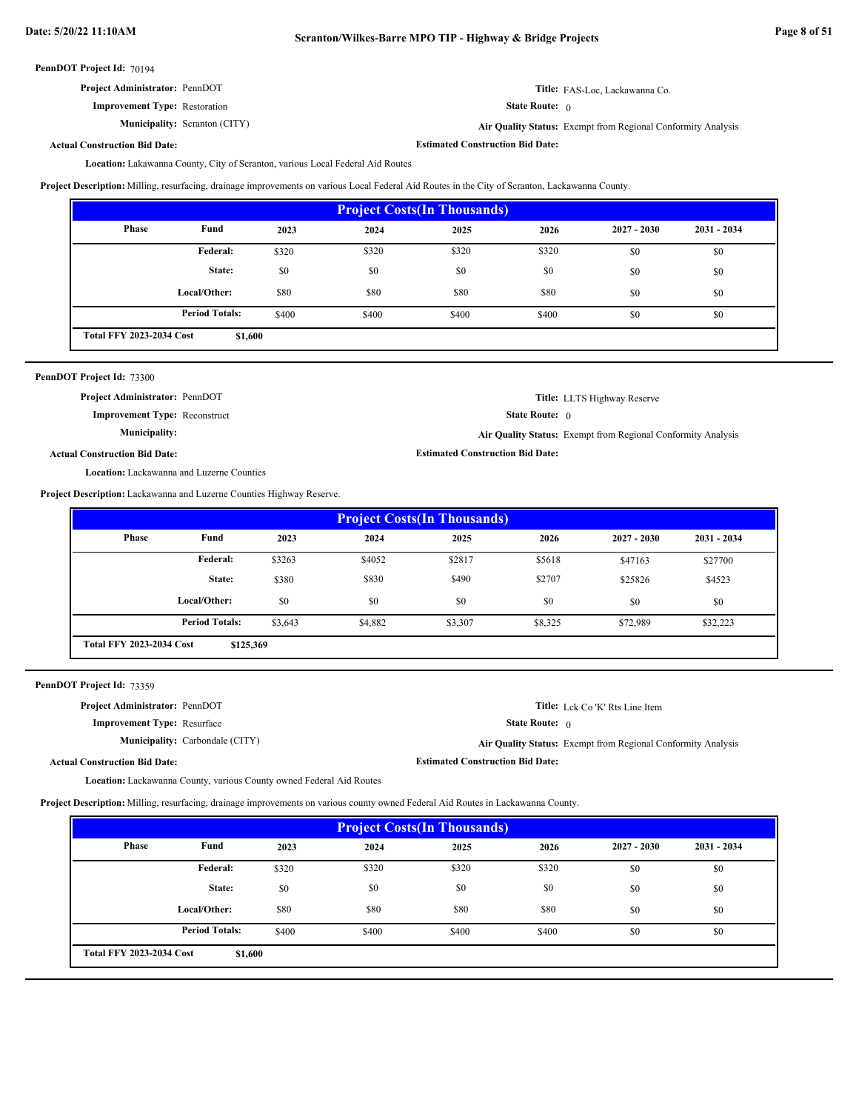**Estimated Construction Bid Date:**

**Estimated Construction Bid Date:**

PennDOT Project Id: 70194

| <b>Project Administrator: PennDOT</b> |
|---------------------------------------|
|---------------------------------------|

**Improvement Type:** Restoration

**Municipality:** Scranton (CITY)

State Route: 0 **Title:** FAS-Loc, Lackawanna Co.

**Air Quality Status:** Exempt from Regional Conformity Analysis

**Actual Construction Bid Date:**

Lakawanna County, City of Scranton, various Local Federal Aid Routes **Location:**

**Project Description:** Milling, resurfacing, drainage improvements on various Local Federal Aid Routes in the City of Scranton, Lackawanna County.

| <b>Project Costs (In Thousands)</b>        |                       |       |       |       |       |               |               |
|--------------------------------------------|-----------------------|-------|-------|-------|-------|---------------|---------------|
| Phase                                      | Fund                  | 2023  | 2024  | 2025  | 2026  | $2027 - 2030$ | $2031 - 2034$ |
|                                            | Federal:              | \$320 | \$320 | \$320 | \$320 | \$0           | \$0           |
|                                            | State:                | \$0   | \$0   | \$0   | \$0   | \$0           | \$0           |
|                                            | Local/Other:          | \$80  | \$80  | \$80  | \$80  | \$0           | \$0           |
|                                            | <b>Period Totals:</b> | \$400 | \$400 | \$400 | \$400 | \$0           | \$0           |
| <b>Total FFY 2023-2034 Cost</b><br>\$1,600 |                       |       |       |       |       |               |               |

|  |  | PennDOT Project Id: 73300 |  |
|--|--|---------------------------|--|
|--|--|---------------------------|--|

**Project Administrator:** PennDOT

**Improvement Type:** Reconstruct

**Municipality:**

State Route: 0 **Title:** LLTS Highway Reserve

**Air Quality Status:** Exempt from Regional Conformity Analysis

**Actual Construction Bid Date:**

Location: Lackawanna and Luzerne Counties

**Project Description:** Lackawanna and Luzerne Counties Highway Reserve.

| <b>Project Costs (In Thousands)</b>          |                       |         |         |         |         |               |               |
|----------------------------------------------|-----------------------|---------|---------|---------|---------|---------------|---------------|
| Phase                                        | Fund                  | 2023    | 2024    | 2025    | 2026    | $2027 - 2030$ | $2031 - 2034$ |
|                                              | Federal:              | \$3263  | \$4052  | \$2817  | \$5618  | \$47163       | \$27700       |
|                                              | State:                | \$380   | \$830   | \$490   | \$2707  | \$25826       | \$4523        |
|                                              | Local/Other:          | \$0     | \$0     | \$0     | \$0     | \$0           | \$0           |
|                                              | <b>Period Totals:</b> | \$3,643 | \$4,882 | \$3,307 | \$8,325 | \$72,989      | \$32,223      |
| <b>Total FFY 2023-2034 Cost</b><br>\$125,369 |                       |         |         |         |         |               |               |

PennDOT Project Id: 73359

| <b>Project Administrator: PennDOT</b> |                                        |                                         | <b>Title:</b> Lck Co 'K' Rts Line Item                       |
|---------------------------------------|----------------------------------------|-----------------------------------------|--------------------------------------------------------------|
| <b>Improvement Type: Resurface</b>    |                                        | <b>State Route:</b> $\theta$            |                                                              |
|                                       | <b>Municipality:</b> Carbondale (CITY) |                                         | Air Quality Status: Exempt from Regional Conformity Analysis |
| <b>Actual Construction Bid Date:</b>  |                                        | <b>Estimated Construction Bid Date:</b> |                                                              |
|                                       |                                        |                                         |                                                              |

Location: Lackawanna County, various County owned Federal Aid Routes

**Project Description:** Milling, resurfacing, drainage improvements on various county owned Federal Aid Routes in Lackawanna County.

| <b>Project Costs (In Thousands)</b>        |                       |       |       |       |       |               |               |
|--------------------------------------------|-----------------------|-------|-------|-------|-------|---------------|---------------|
| Phase                                      | Fund                  | 2023  | 2024  | 2025  | 2026  | $2027 - 2030$ | $2031 - 2034$ |
|                                            | Federal:              | \$320 | \$320 | \$320 | \$320 | \$0           | \$0           |
|                                            | State:                | \$0   | \$0   | \$0   | \$0   | \$0           | \$0           |
|                                            | Local/Other:          | \$80  | \$80  | \$80  | \$80  | \$0           | \$0           |
|                                            | <b>Period Totals:</b> | \$400 | \$400 | \$400 | \$400 | \$0           | \$0           |
| <b>Total FFY 2023-2034 Cost</b><br>\$1,600 |                       |       |       |       |       |               |               |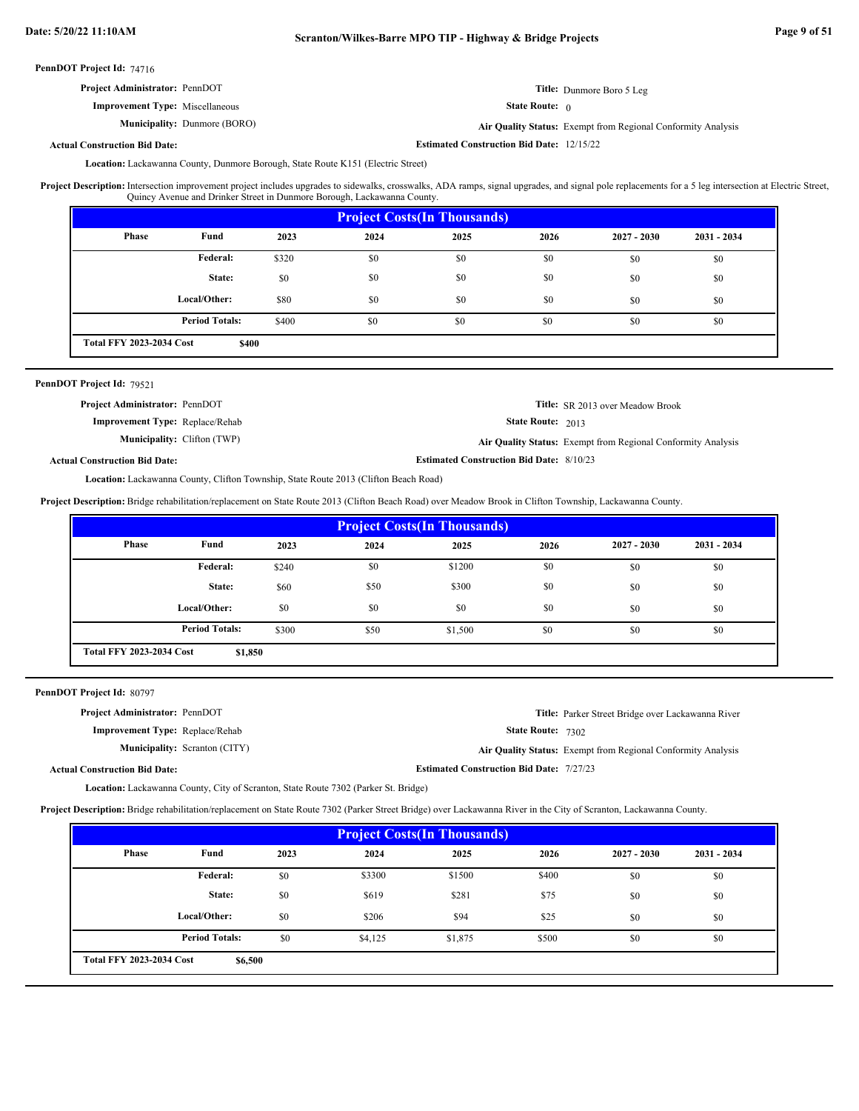| <b>Project Administrator: PennDOT</b>  | Title: Dunmore Boro 5 Leg    |
|----------------------------------------|------------------------------|
| <b>Improvement Type:</b> Miscellaneous | <b>State Route:</b> $\theta$ |

**Municipality:** Dunmore (BORO) Dunmore (BORO) **Air Quality Status:** Exempt from Regional Conformity Analysis

**Estimated Construction Bid Date:** 12/15/22

**Actual Construction Bid Date:**

Lackawanna County, Dunmore Borough, State Route K151 (Electric Street) **Location:**

Intersection improvement project includes upgrades to sidewalks, crosswalks, ADA ramps, signal upgrades, and signal pole replacements for a 5 leg intersection at Electric Street, Quincy Avenue and Drinker Street in Dunmore Borough, Lackawanna County. **Project Description:**

| <b>Project Costs (In Thousands)</b>      |                       |       |      |      |      |               |               |
|------------------------------------------|-----------------------|-------|------|------|------|---------------|---------------|
| <b>Phase</b>                             | Fund                  | 2023  | 2024 | 2025 | 2026 | $2027 - 2030$ | $2031 - 2034$ |
|                                          | Federal:              | \$320 | \$0  | \$0  | \$0  | \$0           | \$0           |
|                                          | State:                | \$0   | \$0  | \$0  | \$0  | \$0           | \$0           |
|                                          | Local/Other:          | \$80  | \$0  | \$0  | \$0  | \$0           | \$0           |
|                                          | <b>Period Totals:</b> | \$400 | \$0  | \$0  | \$0  | \$0           | \$0           |
| <b>Total FFY 2023-2034 Cost</b><br>\$400 |                       |       |      |      |      |               |               |

## PennDOT Project Id: 79521

| <b>Project Administrator: PennDOT</b>  | <b>Title:</b> SR 2013 over Meadow Brook                      |
|----------------------------------------|--------------------------------------------------------------|
| <b>Improvement Type:</b> Replace/Rehab | <b>State Route: 2013</b>                                     |
| <b>Municipality:</b> Clifton (TWP)     | Air Quality Status: Exempt from Regional Conformity Analysis |
| d Construction Bid Date:               | <b>Estimated Construction Bid Date: 8/10/23</b>              |

## **Actual Construction Bid Date:**

Lackawanna County, Clifton Township, State Route 2013 (Clifton Beach Road) **Location:**

**Project Description:** Bridge rehabilitation/replacement on State Route 2013 (Clifton Beach Road) over Meadow Brook in Clifton Township, Lackawanna County.

| <b>Project Costs (In Thousands)</b>        |                       |       |      |         |      |               |               |
|--------------------------------------------|-----------------------|-------|------|---------|------|---------------|---------------|
| Phase                                      | Fund                  | 2023  | 2024 | 2025    | 2026 | $2027 - 2030$ | $2031 - 2034$ |
|                                            | <b>Federal:</b>       | \$240 | \$0  | \$1200  | \$0  | \$0           | \$0           |
|                                            | State:                | \$60  | \$50 | \$300   | \$0  | \$0           | \$0           |
|                                            | Local/Other:          | \$0   | \$0  | \$0     | \$0  | \$0           | \$0           |
|                                            | <b>Period Totals:</b> | \$300 | \$50 | \$1,500 | \$0  | \$0           | \$0           |
| <b>Total FFY 2023-2034 Cost</b><br>\$1,850 |                       |       |      |         |      |               |               |

PennDOT Project Id: 80797

| <b>Project Administrator: PennDOT</b>  | Title: Parker Street Bridge over Lackawanna River            |
|----------------------------------------|--------------------------------------------------------------|
| <b>Improvement Type: Replace/Rehab</b> | <b>State Route: 7302</b>                                     |
| <b>Municipality:</b> Scranton (CITY)   | Air Quality Status: Exempt from Regional Conformity Analysis |
| <b>Actual Construction Bid Date:</b>   | <b>Estimated Construction Bid Date: 7/27/23</b>              |

Lackawanna County, City of Scranton, State Route 7302 (Parker St. Bridge) **Location:**

**Project Description:** Bridge rehabilitation/replacement on State Route 7302 (Parker Street Bridge) over Lackawanna River in the City of Scranton, Lackawanna County.

| <b>Project Costs (In Thousands)</b>        |                       |      |         |         |       |               |               |
|--------------------------------------------|-----------------------|------|---------|---------|-------|---------------|---------------|
| <b>Phase</b>                               | Fund                  | 2023 | 2024    | 2025    | 2026  | $2027 - 2030$ | $2031 - 2034$ |
|                                            | Federal:              | \$0  | \$3300  | \$1500  | \$400 | \$0           | \$0           |
|                                            | State:                | \$0  | \$619   | \$281   | \$75  | \$0           | \$0           |
|                                            | Local/Other:          | \$0  | \$206   | \$94    | \$25  | \$0           | \$0           |
|                                            | <b>Period Totals:</b> | \$0  | \$4,125 | \$1,875 | \$500 | \$0           | \$0           |
| <b>Total FFY 2023-2034 Cost</b><br>\$6,500 |                       |      |         |         |       |               |               |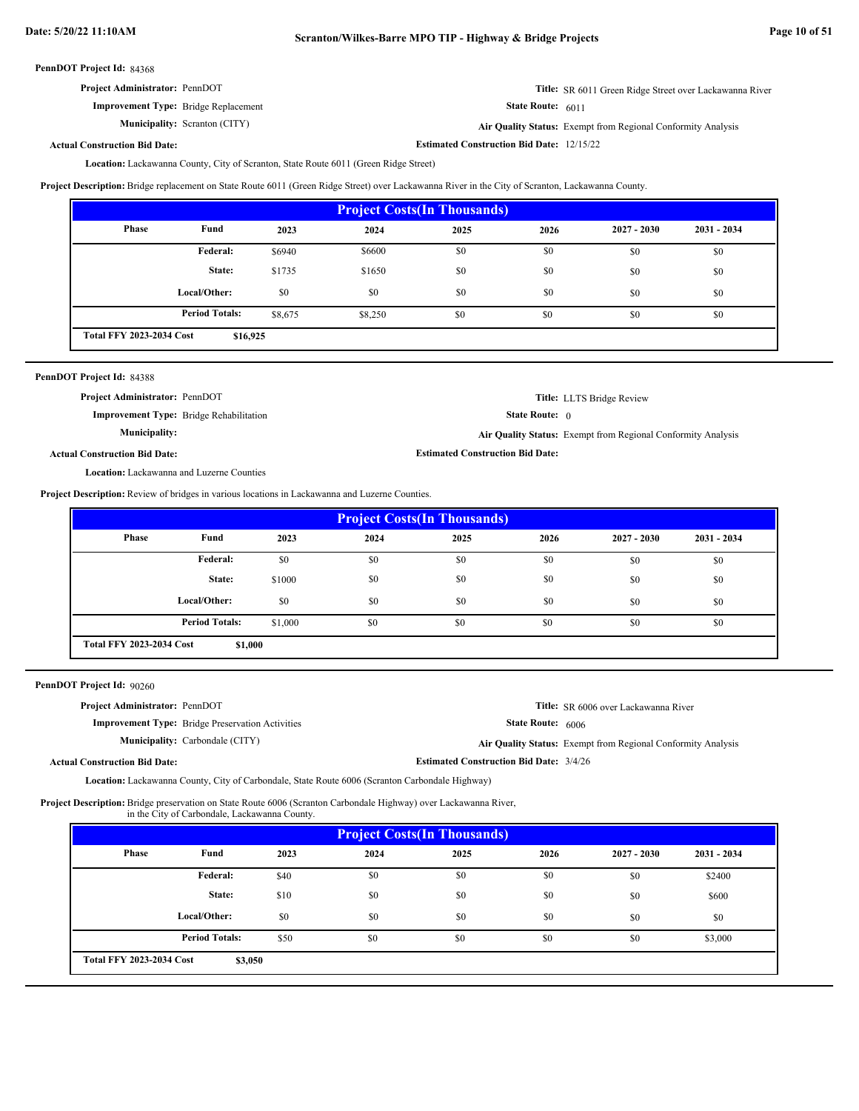**Estimated Construction Bid Date:** 12/15/22

PennDOT Project Id: 84368

| <b>Project Administrator: PennDOT</b> | Title: SR 6011 Green Ridge Street over Lackawanna River |
|---------------------------------------|---------------------------------------------------------|
|---------------------------------------|---------------------------------------------------------|

**Improvement Type:** Bridge Replacement

**Municipality:** Scranton (CITY)

State Route: 6011 **Air Quality Status:** Exempt from Regional Conformity Analysis

**Actual Construction Bid Date:**

Lackawanna County, City of Scranton, State Route 6011 (Green Ridge Street) **Location:**

**Project Description:** Bridge replacement on State Route 6011 (Green Ridge Street) over Lackawanna River in the City of Scranton, Lackawanna County.

| <b>Project Costs (In Thousands)</b>         |                       |         |         |      |      |               |               |
|---------------------------------------------|-----------------------|---------|---------|------|------|---------------|---------------|
| <b>Phase</b>                                | Fund                  | 2023    | 2024    | 2025 | 2026 | $2027 - 2030$ | $2031 - 2034$ |
|                                             | Federal:              | \$6940  | \$6600  | \$0  | \$0  | \$0           | \$0           |
|                                             | State:                | \$1735  | \$1650  | \$0  | \$0  | \$0           | \$0           |
|                                             | Local/Other:          | \$0     | \$0     | \$0  | \$0  | \$0           | \$0           |
|                                             | <b>Period Totals:</b> | \$8,675 | \$8,250 | \$0  | \$0  | \$0           | \$0           |
| <b>Total FFY 2023-2034 Cost</b><br>\$16,925 |                       |         |         |      |      |               |               |

| PennDOT Project Id: 84388                        |                                                              |
|--------------------------------------------------|--------------------------------------------------------------|
| <b>Project Administrator: PennDOT</b>            | Title: LLTS Bridge Review                                    |
| <b>Improvement Type:</b> Bridge Rehabilitation   | <b>State Route:</b> $\theta$                                 |
| <b>Municipality:</b>                             | Air Quality Status: Exempt from Regional Conformity Analysis |
| <b>Actual Construction Bid Date:</b>             | <b>Estimated Construction Bid Date:</b>                      |
| <b>Location:</b> Lackawanna and Luzerne Counties |                                                              |

**Project Description:** Review of bridges in various locations in Lackawanna and Luzerne Counties.

| <b>Project Costs (In Thousands)</b>        |                       |         |      |      |      |               |               |
|--------------------------------------------|-----------------------|---------|------|------|------|---------------|---------------|
| Phase                                      | Fund                  | 2023    | 2024 | 2025 | 2026 | $2027 - 2030$ | $2031 - 2034$ |
|                                            | Federal:              | \$0     | \$0  | \$0  | \$0  | \$0           | \$0           |
|                                            | State:                | \$1000  | \$0  | \$0  | \$0  | \$0           | \$0           |
|                                            | Local/Other:          | \$0     | \$0  | \$0  | \$0  | \$0           | \$0           |
|                                            | <b>Period Totals:</b> | \$1,000 | \$0  | \$0  | \$0  | \$0           | \$0           |
| <b>Total FFY 2023-2034 Cost</b><br>\$1,000 |                       |         |      |      |      |               |               |

PennDOT Project Id: 90260

| <b>Project Administrator: PennDOT</b>                   | <b>Title:</b> SR 6006 over Lackawanna River                  |
|---------------------------------------------------------|--------------------------------------------------------------|
| <b>Improvement Type:</b> Bridge Preservation Activities | <b>State Route: 6006</b>                                     |
| <b>Municipality:</b> Carbondale (CITY)                  | Air Quality Status: Exempt from Regional Conformity Analysis |
| <b>Actual Construction Bid Date:</b>                    | <b>Estimated Construction Bid Date: 3/4/26</b>               |

Lackawanna County, City of Carbondale, State Route 6006 (Scranton Carbondale Highway) **Location:**

Project Description: Bridge preservation on State Route 6006 (Scranton Carbondale Highway) over Lackawanna River,

in the City of Carbondale, Lackawanna County.

| <b>Project Costs (In Thousands)</b>        |                       |      |      |      |      |               |               |
|--------------------------------------------|-----------------------|------|------|------|------|---------------|---------------|
| Phase                                      | Fund                  | 2023 | 2024 | 2025 | 2026 | $2027 - 2030$ | $2031 - 2034$ |
|                                            | Federal:              | \$40 | \$0  | \$0  | \$0  | \$0           | \$2400        |
|                                            | State:                | \$10 | \$0  | \$0  | \$0  | \$0           | \$600         |
|                                            | Local/Other:          | \$0  | \$0  | \$0  | \$0  | \$0           | \$0           |
|                                            | <b>Period Totals:</b> | \$50 | \$0  | \$0  | \$0  | \$0           | \$3,000       |
| <b>Total FFY 2023-2034 Cost</b><br>\$3,050 |                       |      |      |      |      |               |               |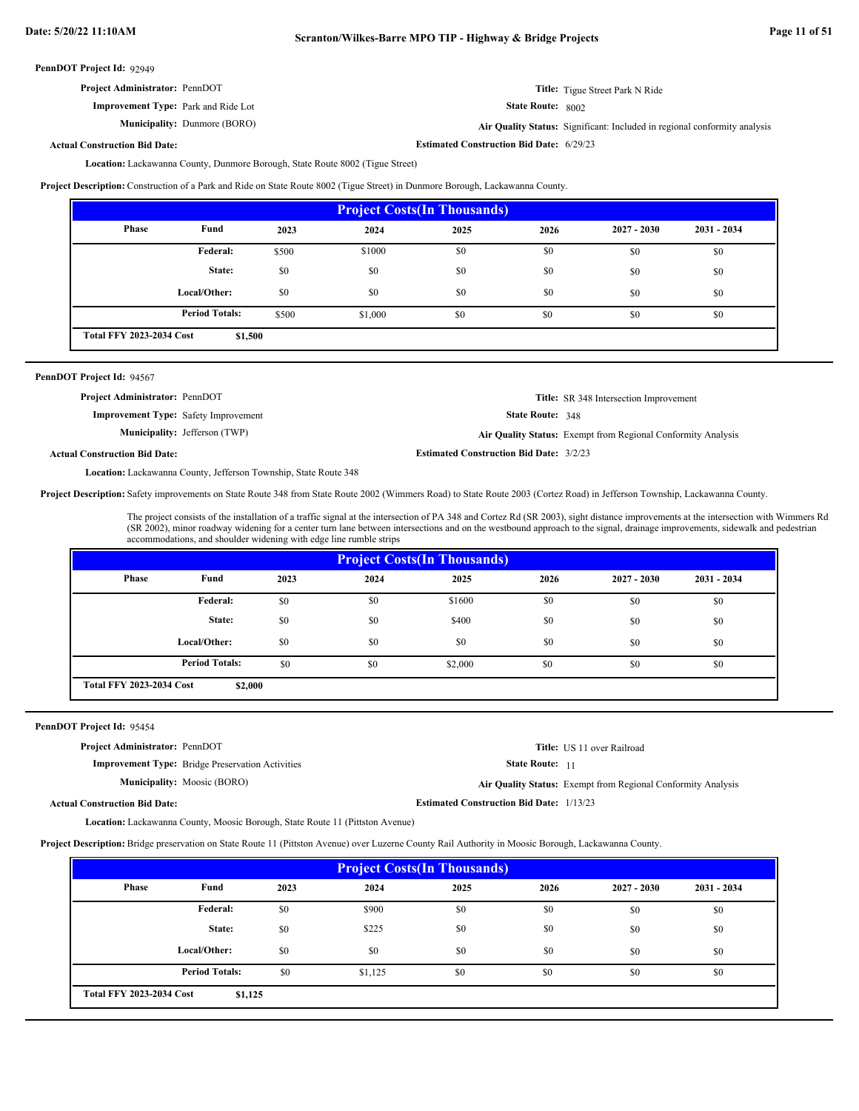| <b>Project Administrator: PennDOT</b> | Title: Tigue Street Park N Ride |
|---------------------------------------|---------------------------------|
|---------------------------------------|---------------------------------|

Dunmore (BORO) **Air Quality Status:** Significant: Included in regional conformity analysis

State Route: 8002

**Estimated Construction Bid Date:** 6/29/23

**Actual Construction Bid Date:**

**Improvement Type:** Park and Ride Lot

**Municipality:** Dunmore (BORO)

Lackawanna County, Dunmore Borough, State Route 8002 (Tigue Street) **Location:**

**Project Description:** Construction of a Park and Ride on State Route 8002 (Tigue Street) in Dunmore Borough, Lackawanna County.

| <b>Project Costs (In Thousands)</b>        |                       |       |         |      |      |               |               |
|--------------------------------------------|-----------------------|-------|---------|------|------|---------------|---------------|
| <b>Phase</b>                               | Fund                  | 2023  | 2024    | 2025 | 2026 | $2027 - 2030$ | $2031 - 2034$ |
|                                            | <b>Federal:</b>       | \$500 | \$1000  | \$0  | \$0  | \$0           | \$0           |
|                                            | State:                | \$0   | \$0     | \$0  | \$0  | \$0           | \$0           |
|                                            | Local/Other:          | \$0   | \$0     | \$0  | \$0  | \$0           | \$0           |
|                                            | <b>Period Totals:</b> | \$500 | \$1,000 | \$0  | \$0  | \$0           | \$0           |
| <b>Total FFY 2023-2034 Cost</b><br>\$1,500 |                       |       |         |      |      |               |               |

## PennDOT Project Id: 94567

State Route: 348 **Title:** SR 348 Intersection Improvement **Improvement Type:** Safety Improvement **Estimated Construction Bid Date:** 3/2/23 **Actual Construction Bid Date: Municipality:** Jefferson (TWP) **Air Quality Status:** Exempt from Regional Conformity Analysis **Project Administrator:** PennDOT

Location: Lackawanna County, Jefferson Township, State Route 348

Project Description: Safety improvements on State Route 348 from State Route 2002 (Wimmers Road) to State Route 2003 (Cortez Road) in Jefferson Township, Lackawanna County.

The project consists of the installation of a traffic signal at the intersection of PA 348 and Cortez Rd (SR 2003), sight distance improvements at the intersection with Wimmers Rd (SR 2002), minor roadway widening for a center turn lane between intersections and on the westbound approach to the signal, drainage improvements, sidewalk and pedestrian accommodations, and shoulder widening with edge line rumble strips

State Route: 11

**Estimated Construction Bid Date:** 1/13/23

**Title:** US 11 over Railroad

| <b>Project Costs (In Thousands)</b>        |                       |      |      |         |      |               |               |
|--------------------------------------------|-----------------------|------|------|---------|------|---------------|---------------|
| <b>Phase</b>                               | Fund                  | 2023 | 2024 | 2025    | 2026 | $2027 - 2030$ | $2031 - 2034$ |
|                                            | Federal:              | \$0  | \$0  | \$1600  | \$0  | \$0           | \$0           |
|                                            | State:                | \$0  | \$0  | \$400   | \$0  | \$0           | \$0           |
|                                            | Local/Other:          | \$0  | \$0  | \$0     | \$0  | \$0           | \$0           |
|                                            | <b>Period Totals:</b> | \$0  | \$0  | \$2,000 | \$0  | \$0           | \$0           |
| <b>Total FFY 2023-2034 Cost</b><br>\$2,000 |                       |      |      |         |      |               |               |

## PennDOT Project Id: 95454

**Project Administrator:** PennDOT

**Improvement Type:** Bridge Preservation Activities

**Municipality:** Moosic (BORO) Moosic (BORO) **Air Quality Status:** Exempt from Regional Conformity Analysis

**Actual Construction Bid Date:**

Location: Lackawanna County, Moosic Borough, State Route 11 (Pittston Avenue)

**Project Description:** Bridge preservation on State Route 11 (Pittston Avenue) over Luzerne County Rail Authority in Moosic Borough, Lackawanna County.

| <b>Project Costs (In Thousands)</b>        |                       |      |         |      |      |               |               |
|--------------------------------------------|-----------------------|------|---------|------|------|---------------|---------------|
| Phase                                      | Fund                  | 2023 | 2024    | 2025 | 2026 | $2027 - 2030$ | $2031 - 2034$ |
|                                            | Federal:              | \$0  | \$900   | \$0  | \$0  | \$0           | \$0           |
|                                            | State:                | \$0  | \$225   | \$0  | \$0  | \$0           | \$0           |
|                                            | Local/Other:          | \$0  | \$0     | \$0  | \$0  | \$0           | \$0           |
|                                            | <b>Period Totals:</b> | \$0  | \$1,125 | \$0  | \$0  | \$0           | \$0           |
| <b>Total FFY 2023-2034 Cost</b><br>\$1,125 |                       |      |         |      |      |               |               |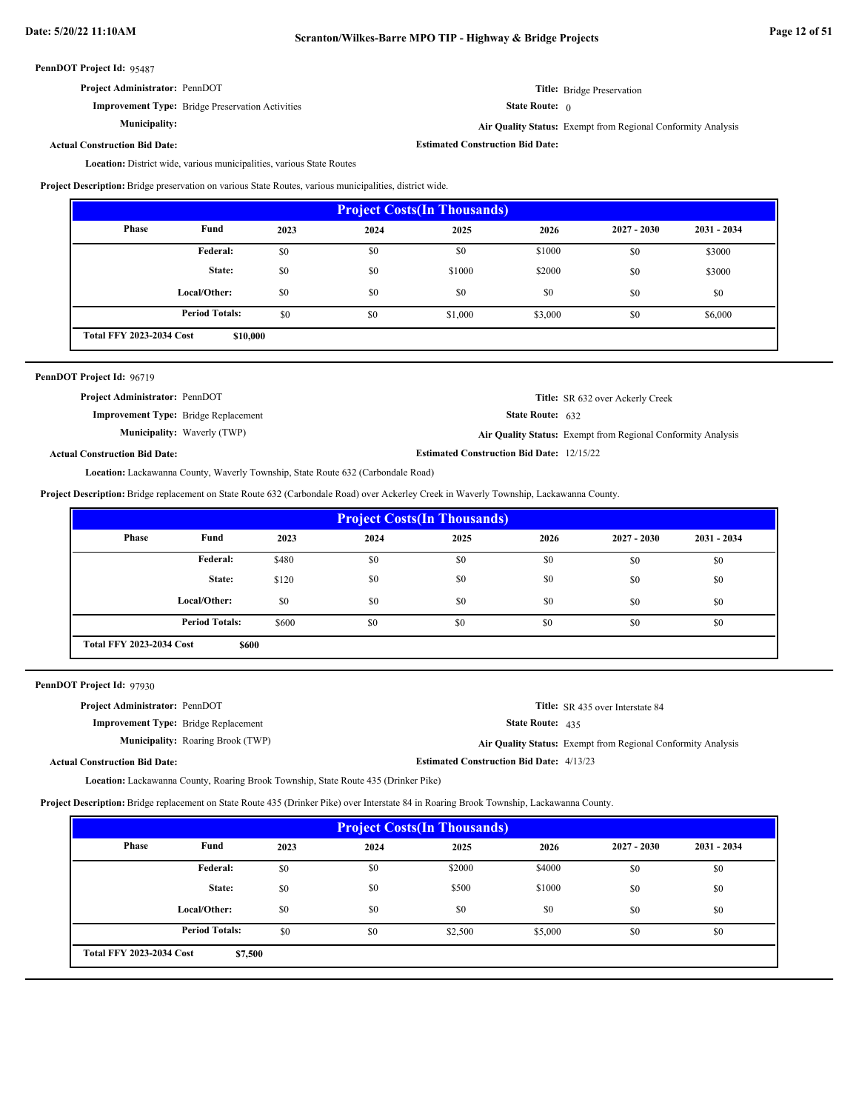| Project Administrator: PennDOT |  |
|--------------------------------|--|
|--------------------------------|--|

**Municipality:**

**Improvement Type:** Bridge Preservation Activities

**Title:** Bridge Preservation

State Route: 0

**Estimated Construction Bid Date:**

**Air Quality Status:** Exempt from Regional Conformity Analysis

**Actual Construction Bid Date:**

Location: District wide, various municipalities, various State Routes

**Project Description:** Bridge preservation on various State Routes, various municipalities, district wide.

| <b>Project Costs (In Thousands)</b>         |                       |      |      |         |         |               |               |
|---------------------------------------------|-----------------------|------|------|---------|---------|---------------|---------------|
| <b>Phase</b>                                | Fund                  | 2023 | 2024 | 2025    | 2026    | $2027 - 2030$ | $2031 - 2034$ |
|                                             | Federal:              | \$0  | \$0  | \$0     | \$1000  | \$0           | \$3000        |
|                                             | State:                | \$0  | \$0  | \$1000  | \$2000  | \$0           | \$3000        |
|                                             | Local/Other:          | \$0  | \$0  | \$0     | \$0     | \$0           | \$0           |
|                                             | <b>Period Totals:</b> | \$0  | \$0  | \$1,000 | \$3,000 | \$0           | \$6,000       |
| <b>Total FFY 2023-2034 Cost</b><br>\$10,000 |                       |      |      |         |         |               |               |

| PennDOT Project Id: 96719                   |                                    |                                                  |                                                              |
|---------------------------------------------|------------------------------------|--------------------------------------------------|--------------------------------------------------------------|
| Project Administrator: PennDOT              |                                    |                                                  | <b>Title:</b> SR 632 over Ackerly Creek                      |
| <b>Improvement Type:</b> Bridge Replacement |                                    | <b>State Route:</b> $632$                        |                                                              |
|                                             | <b>Municipality:</b> Waverly (TWP) |                                                  | Air Quality Status: Exempt from Regional Conformity Analysis |
| <b>Actual Construction Bid Date:</b>        |                                    | <b>Estimated Construction Bid Date: 12/15/22</b> |                                                              |

Lackawanna County, Waverly Township, State Route 632 (Carbondale Road) **Location:**

**Project Description:** Bridge replacement on State Route 632 (Carbondale Road) over Ackerley Creek in Waverly Township, Lackawanna County.

| <b>Project Costs (In Thousands)</b>      |                       |       |      |      |      |               |               |
|------------------------------------------|-----------------------|-------|------|------|------|---------------|---------------|
| Phase                                    | Fund                  | 2023  | 2024 | 2025 | 2026 | $2027 - 2030$ | $2031 - 2034$ |
|                                          | <b>Federal:</b>       | \$480 | \$0  | \$0  | \$0  | \$0           | \$0           |
|                                          | State:                | \$120 | \$0  | \$0  | \$0  | \$0           | \$0           |
|                                          | Local/Other:          | \$0   | \$0  | \$0  | \$0  | \$0           | \$0           |
|                                          | <b>Period Totals:</b> | \$600 | \$0  | \$0  | \$0  | \$0           | \$0           |
| <b>Total FFY 2023-2034 Cost</b><br>\$600 |                       |       |      |      |      |               |               |

PennDOT Project Id: 97930

| <b>Project Administrator: PennDOT</b>       | <b>Title:</b> SR 435 over Interstate 84                      |
|---------------------------------------------|--------------------------------------------------------------|
| <b>Improvement Type:</b> Bridge Replacement | State Route: 435                                             |
| <b>Municipality:</b> Roaring Brook (TWP)    | Air Quality Status: Exempt from Regional Conformity Analysis |
| <b>Actual Construction Bid Date:</b>        | <b>Estimated Construction Bid Date: 4/13/23</b>              |

Lackawanna County, Roaring Brook Township, State Route 435 (Drinker Pike) **Location:**

**Project Description:** Bridge replacement on State Route 435 (Drinker Pike) over Interstate 84 in Roaring Brook Township, Lackawanna County.

| <b>Project Costs (In Thousands)</b>        |                       |      |      |         |         |               |               |
|--------------------------------------------|-----------------------|------|------|---------|---------|---------------|---------------|
| Phase                                      | Fund                  | 2023 | 2024 | 2025    | 2026    | $2027 - 2030$ | $2031 - 2034$ |
|                                            | Federal:              | \$0  | \$0  | \$2000  | \$4000  | \$0           | \$0           |
|                                            | State:                | \$0  | \$0  | \$500   | \$1000  | \$0           | \$0           |
|                                            | Local/Other:          | \$0  | \$0  | \$0     | \$0     | \$0           | \$0           |
|                                            | <b>Period Totals:</b> | \$0  | \$0  | \$2,500 | \$5,000 | \$0           | \$0           |
| <b>Total FFY 2023-2034 Cost</b><br>\$7,500 |                       |      |      |         |         |               |               |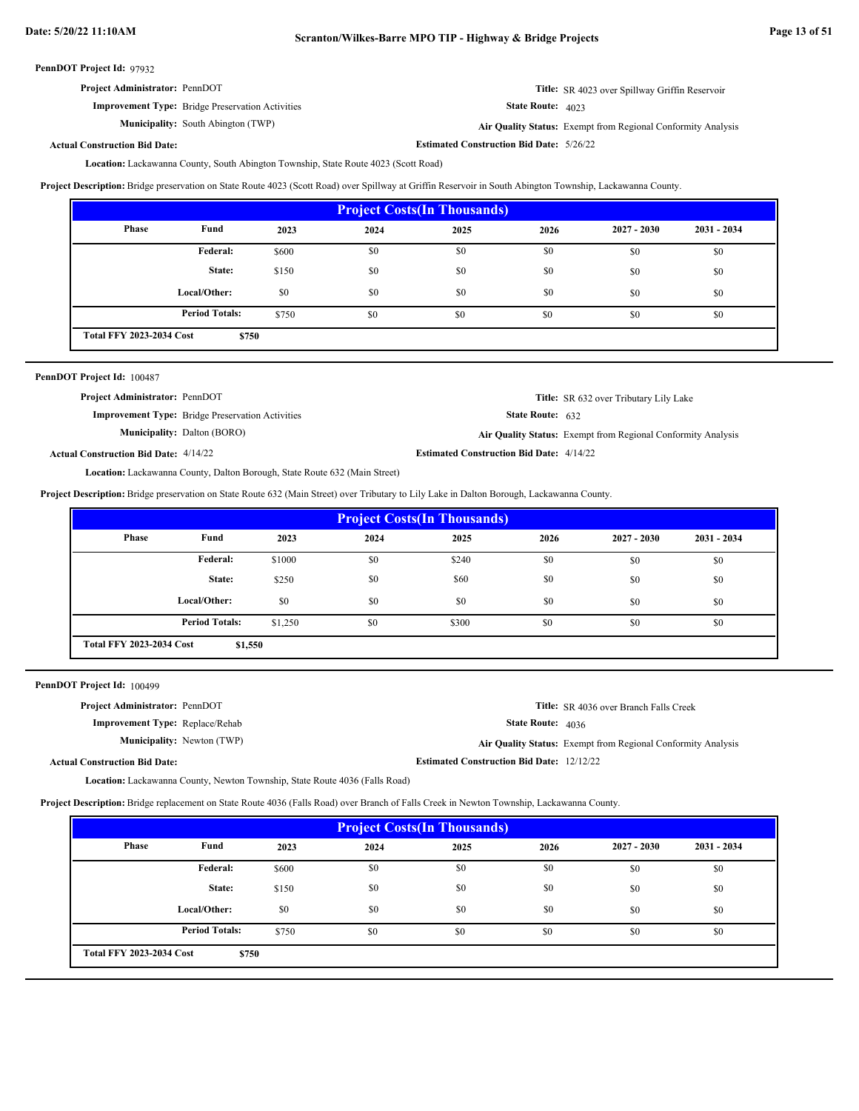| <b>Project Administrator: PennDOT</b> | <b>Title:</b> SR 4023 over Spillway Griffin Reservoir |
|---------------------------------------|-------------------------------------------------------|
|                                       |                                                       |

State Route: 4023

**Estimated Construction Bid Date:** 5/26/22

**Municipality:** South Abington (TWP) **Air Quality Status:** 

**Improvement Type:** Bridge Preservation Activities

Air Quality Status: Exempt from Regional Conformity Analysis

**Actual Construction Bid Date:**

Lackawanna County, South Abington Township, State Route 4023 (Scott Road) **Location:**

**Project Description:** Bridge preservation on State Route 4023 (Scott Road) over Spillway at Griffin Reservoir in South Abington Township, Lackawanna County.

| <b>Project Costs(In Thousands)</b>       |                       |       |      |      |      |               |               |
|------------------------------------------|-----------------------|-------|------|------|------|---------------|---------------|
| Phase                                    | Fund                  | 2023  | 2024 | 2025 | 2026 | $2027 - 2030$ | $2031 - 2034$ |
|                                          | Federal:              | \$600 | \$0  | \$0  | \$0  | \$0           | \$0           |
|                                          | State:                | \$150 | \$0  | \$0  | \$0  | \$0           | \$0           |
|                                          | Local/Other:          | \$0   | \$0  | \$0  | \$0  | \$0           | \$0           |
|                                          | <b>Period Totals:</b> | \$750 | \$0  | \$0  | \$0  | \$0           | \$0           |
| <b>Total FFY 2023-2034 Cost</b><br>\$750 |                       |       |      |      |      |               |               |

| <b>PennDOT Project Id: 100487</b>                       |                                                 |                                                              |
|---------------------------------------------------------|-------------------------------------------------|--------------------------------------------------------------|
| <b>Project Administrator: PennDOT</b>                   |                                                 | <b>Title:</b> SR 632 over Tributary Lily Lake                |
| <b>Improvement Type:</b> Bridge Preservation Activities | <b>State Route:</b> $632$                       |                                                              |
| <b>Municipality:</b> Dalton (BORO)                      |                                                 | Air Quality Status: Exempt from Regional Conformity Analysis |
| <b>Actual Construction Bid Date: 4/14/22</b>            | <b>Estimated Construction Bid Date: 4/14/22</b> |                                                              |
|                                                         |                                                 |                                                              |

Lackawanna County, Dalton Borough, State Route 632 (Main Street) **Location:**

**Project Description:** Bridge preservation on State Route 632 (Main Street) over Tributary to Lily Lake in Dalton Borough, Lackawanna County.

| <b>Project Costs (In Thousands)</b>        |                                                                       |       |      |      |      |               |               |  |
|--------------------------------------------|-----------------------------------------------------------------------|-------|------|------|------|---------------|---------------|--|
| Phase                                      | Fund                                                                  | 2023  | 2024 | 2025 | 2026 | $2027 - 2030$ | $2031 - 2034$ |  |
|                                            | <b>Federal:</b><br>\$240<br>\$0<br>\$1000<br>\$0<br>\$0<br>\$0        |       |      |      |      |               |               |  |
|                                            | State:                                                                | \$250 | \$0  | \$60 | \$0  | \$0           | \$0           |  |
|                                            | Local/Other:                                                          | \$0   | \$0  | \$0  | \$0  | \$0           | \$0           |  |
|                                            | <b>Period Totals:</b><br>\$1,250<br>\$0<br>\$300<br>\$0<br>\$0<br>\$0 |       |      |      |      |               |               |  |
| <b>Total FFY 2023-2034 Cost</b><br>\$1,550 |                                                                       |       |      |      |      |               |               |  |

PennDOT Project Id: 100499

| <b>Project Administrator: PennDOT</b>  |                                                  | <b>Title:</b> SR 4036 over Branch Falls Creek                       |
|----------------------------------------|--------------------------------------------------|---------------------------------------------------------------------|
| <b>Improvement Type:</b> Replace/Rehab | <b>State Route: 4036</b>                         |                                                                     |
| <b>Municipality:</b> Newton (TWP)      |                                                  | <b>Air Quality Status:</b> Exempt from Regional Conformity Analysis |
| <b>Actual Construction Bid Date:</b>   | <b>Estimated Construction Bid Date: 12/12/22</b> |                                                                     |

Lackawanna County, Newton Township, State Route 4036 (Falls Road) **Location:**

**Project Description:** Bridge replacement on State Route 4036 (Falls Road) over Branch of Falls Creek in Newton Township, Lackawanna County.

| <b>Project Costs (In Thousands)</b>      |                                                                        |       |     |     |     |     |     |  |
|------------------------------------------|------------------------------------------------------------------------|-------|-----|-----|-----|-----|-----|--|
| Phase                                    | Fund<br>$2027 - 2030$<br>$2031 - 2034$<br>2023<br>2024<br>2025<br>2026 |       |     |     |     |     |     |  |
|                                          | Federal:                                                               | \$600 | \$0 | \$0 | \$0 | \$0 | \$0 |  |
|                                          | State:                                                                 | \$150 | \$0 | \$0 | \$0 | \$0 | \$0 |  |
|                                          | Local/Other:                                                           | \$0   | \$0 | \$0 | \$0 | \$0 | \$0 |  |
|                                          | <b>Period Totals:</b>                                                  | \$750 | \$0 | \$0 | \$0 | \$0 | \$0 |  |
| <b>Total FFY 2023-2034 Cost</b><br>\$750 |                                                                        |       |     |     |     |     |     |  |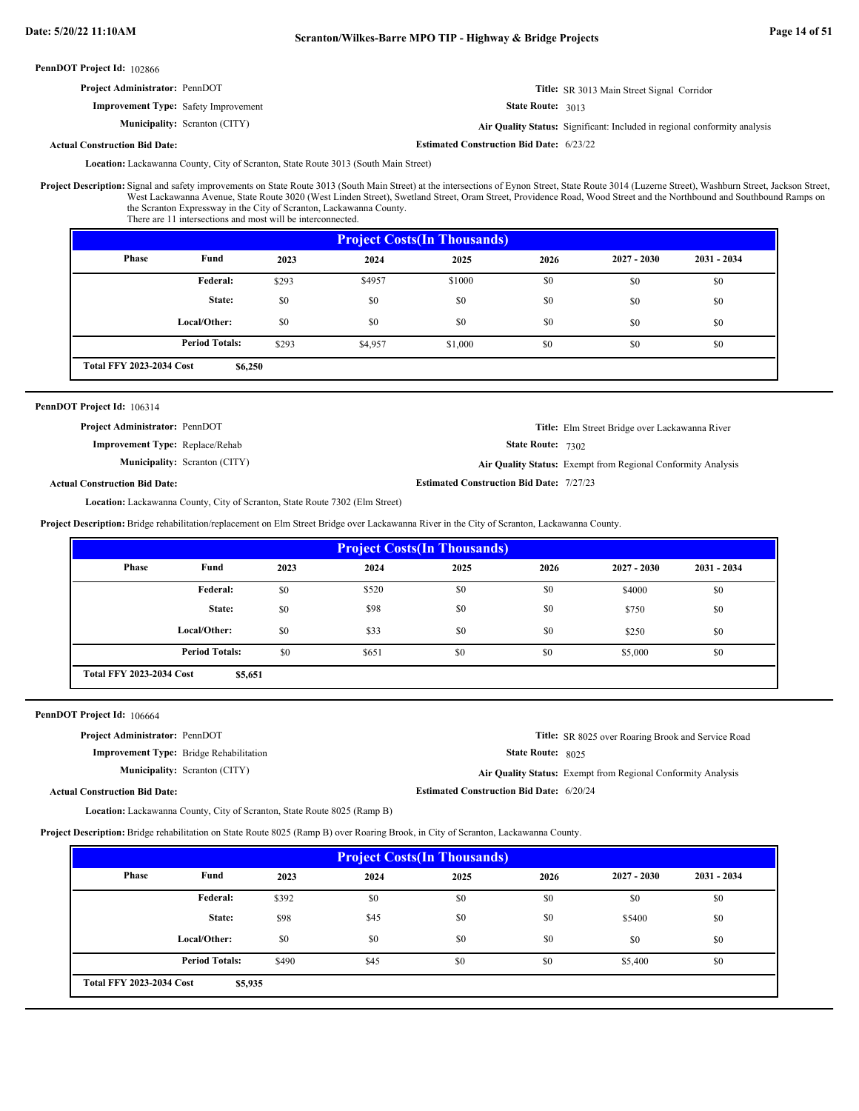| <b>PennDOT Project Id: 102866</b>           |                                                                           |
|---------------------------------------------|---------------------------------------------------------------------------|
| Project Administrator: PennDOT              | Title: SR 3013 Main Street Signal Corridor                                |
| <b>Improvement Type:</b> Safety Improvement | <b>State Route: 3013</b>                                                  |
| <b>Municipality:</b> Scranton (CITY)        | Air Quality Status: Significant: Included in regional conformity analysis |
| <b>Actual Construction Bid Date:</b>        | <b>Estimated Construction Bid Date: 6/23/22</b>                           |

Lackawanna County, City of Scranton, State Route 3013 (South Main Street) **Location:**

Project Description: Signal and safety improvements on State Route 3013 (South Main Street) at the intersections of Eynon Street, State Route 3014 (Luzerne Street), Washburn Street, Jackson Street, West Lackawanna Avenue, State Route 3020 (West Linden Street), Swetland Street, Oram Street, Providence Road, Wood Street and the Northbound and Southbound Ramps on the Scranton Expressway in the City of Scranton, Lackawanna County. There are 11 intersections and most will be interconnected.

| <b>Project Costs (In Thousands)</b>                                       |              |       |        |        |      |               |               |  |
|---------------------------------------------------------------------------|--------------|-------|--------|--------|------|---------------|---------------|--|
| Phase                                                                     | Fund         | 2023  | 2024   | 2025   | 2026 | $2027 - 2030$ | $2031 - 2034$ |  |
|                                                                           | Federal:     | \$293 | \$4957 | \$1000 | \$0  | \$0           | \$0           |  |
|                                                                           | State:       | \$0   | \$0    | \$0    | \$0  | \$0           | \$0           |  |
|                                                                           | Local/Other: | \$0   | \$0    | \$0    | \$0  | \$0           | \$0           |  |
| <b>Period Totals:</b><br>\$0<br>\$0<br>\$293<br>\$4,957<br>\$0<br>\$1,000 |              |       |        |        |      |               |               |  |
| <b>Total FFY 2023-2034 Cost</b><br>\$6,250                                |              |       |        |        |      |               |               |  |

PennDOT Project Id: 106314

**Project Administrator:** PennDOT

**Improvement Type:** Replace/Rehab

**Municipality:** Scranton (CITY)

State Route: 7302

**Estimated Construction Bid Date:** 7/27/23

Scranton (CITY) **Air Quality Status:** Exempt from Regional Conformity Analysis

**Title:** Elm Street Bridge over Lackawanna River

**Actual Construction Bid Date:**

Lackawanna County, City of Scranton, State Route 7302 (Elm Street) **Location:**

**Project Description:** Bridge rehabilitation/replacement on Elm Street Bridge over Lackawanna River in the City of Scranton, Lackawanna County.

| <b>Project Costs (In Thousands)</b>        |                       |      |       |      |      |               |               |  |
|--------------------------------------------|-----------------------|------|-------|------|------|---------------|---------------|--|
| Phase                                      | Fund                  | 2023 | 2024  | 2025 | 2026 | $2027 - 2030$ | $2031 - 2034$ |  |
|                                            | Federal:              | \$0  | \$520 | \$0  | \$0  | \$4000        | \$0           |  |
|                                            | State:                | \$0  | \$98  | \$0  | \$0  | \$750         | \$0           |  |
|                                            | Local/Other:          | \$0  | \$33  | \$0  | \$0  | \$250         | \$0           |  |
|                                            | <b>Period Totals:</b> | \$0  | \$651 | \$0  | \$0  | \$5,000       | \$0           |  |
| <b>Total FFY 2023-2034 Cost</b><br>\$5,651 |                       |      |       |      |      |               |               |  |

PennDOT Project Id: 106664

**Actual Construction Bid Date:**

**Project Administrator:** PennDOT

**Improvement Type:** Bridge Rehabilitation

**Municipality:**

State Route: 8025 **Title:** SR 8025 over Roaring Brook and Service Road

Scranton (CITY) **Air Quality Status:** Exempt from Regional Conformity Analysis

**Estimated Construction Bid Date:** 6/20/24

Lackawanna County, City of Scranton, State Route 8025 (Ramp B) **Location:**

**Project Description:** Bridge rehabilitation on State Route 8025 (Ramp B) over Roaring Brook, in City of Scranton, Lackawanna County.

| <b>Project Costs (In Thousands)</b>        |                                                                        |       |      |     |     |         |     |  |
|--------------------------------------------|------------------------------------------------------------------------|-------|------|-----|-----|---------|-----|--|
| Phase                                      | Fund<br>2023<br>2024<br>2025<br>2026<br>$2031 - 2034$<br>$2027 - 2030$ |       |      |     |     |         |     |  |
|                                            | Federal:                                                               | \$392 | \$0  | \$0 | \$0 | \$0     | \$0 |  |
|                                            | State:                                                                 | \$98  | \$45 | \$0 | \$0 | \$5400  | \$0 |  |
|                                            | Local/Other:                                                           | \$0   | \$0  | \$0 | \$0 | \$0     | \$0 |  |
|                                            | <b>Period Totals:</b>                                                  | \$490 | \$45 | \$0 | \$0 | \$5,400 | \$0 |  |
| <b>Total FFY 2023-2034 Cost</b><br>\$5,935 |                                                                        |       |      |     |     |         |     |  |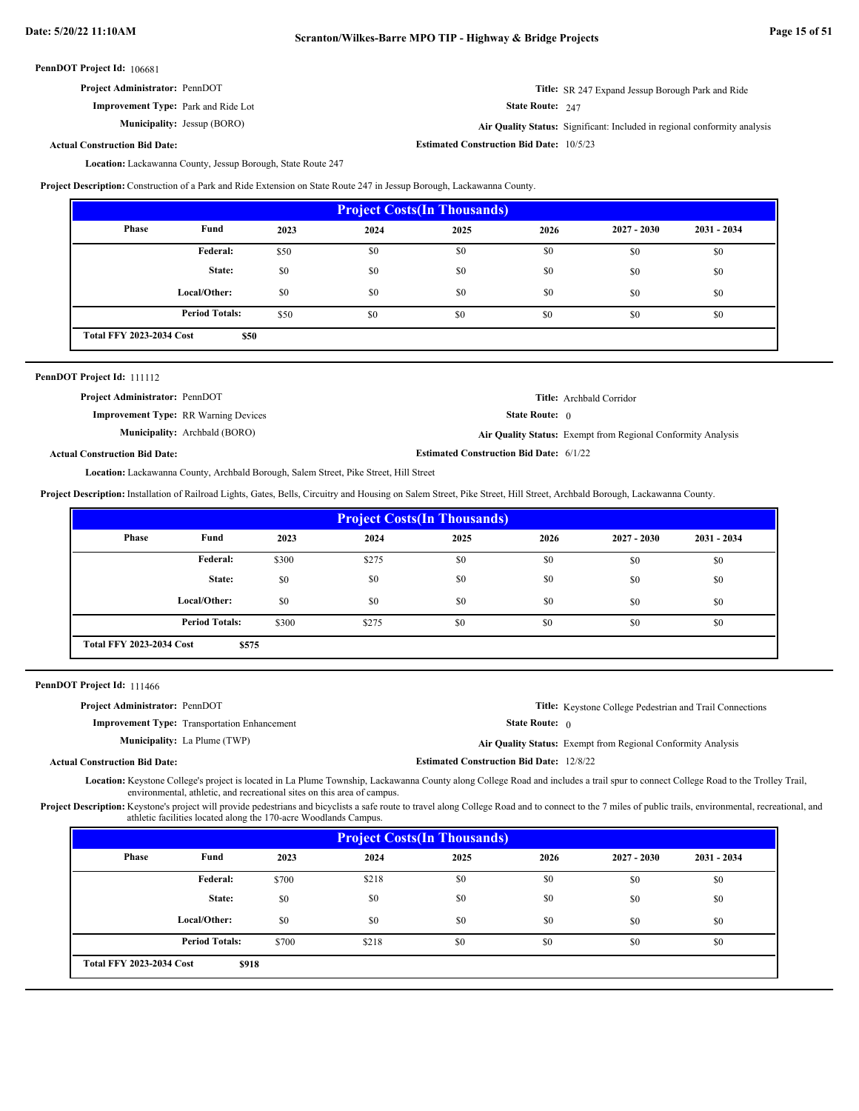| <b>Project Administrator: PennDOT</b>      |                           | <b>Title:</b> SR 247 Expand Jessup Borough Park and Ride |
|--------------------------------------------|---------------------------|----------------------------------------------------------|
| <b>Improvement Type:</b> Park and Ride Lot | <b>State Route:</b> $247$ |                                                          |

**Municipality:**

Jessup (BORO) **Air Quality Status:** Significant: Included in regional conformity analysis

**Actual Construction Bid Date:**

**Estimated Construction Bid Date:** 10/5/23

Location: Lackawanna County, Jessup Borough, State Route 247

**Project Description:** Construction of a Park and Ride Extension on State Route 247 in Jessup Borough, Lackawanna County.

| <b>Project Costs (In Thousands)</b>     |                                                                        |      |     |     |     |     |     |  |
|-----------------------------------------|------------------------------------------------------------------------|------|-----|-----|-----|-----|-----|--|
| Phase                                   | Fund<br>$2027 - 2030$<br>$2031 - 2034$<br>2023<br>2024<br>2025<br>2026 |      |     |     |     |     |     |  |
|                                         | <b>Federal:</b>                                                        | \$50 | \$0 | \$0 | \$0 | \$0 | \$0 |  |
|                                         | State:                                                                 | \$0  | \$0 | \$0 | \$0 | \$0 | \$0 |  |
|                                         | Local/Other:                                                           | \$0  | \$0 | \$0 | \$0 | \$0 | \$0 |  |
|                                         | <b>Period Totals:</b>                                                  | \$50 | \$0 | \$0 | \$0 | \$0 | \$0 |  |
| <b>Total FFY 2023-2034 Cost</b><br>\$50 |                                                                        |      |     |     |     |     |     |  |

| PennDOT Project Id: 111112                  |                                      |                                                |                                                              |
|---------------------------------------------|--------------------------------------|------------------------------------------------|--------------------------------------------------------------|
| <b>Project Administrator: PennDOT</b>       |                                      |                                                | <b>Title:</b> Archbald Corridor                              |
| <b>Improvement Type:</b> RR Warning Devices |                                      | <b>State Route:</b> $\theta$                   |                                                              |
|                                             | <b>Municipality:</b> Archbald (BORO) |                                                | Air Quality Status: Exempt from Regional Conformity Analysis |
| <b>Actual Construction Bid Date:</b>        |                                      | <b>Estimated Construction Bid Date: 6/1/22</b> |                                                              |

Lackawanna County, Archbald Borough, Salem Street, Pike Street, Hill Street **Location:**

**Project Description:** Installation of Railroad Lights, Gates, Bells, Circuitry and Housing on Salem Street, Pike Street, Hill Street, Archbald Borough, Lackawanna County.

| <b>Project Costs (In Thousands)</b>      |                       |       |       |      |      |               |               |  |
|------------------------------------------|-----------------------|-------|-------|------|------|---------------|---------------|--|
| Phase                                    | Fund                  | 2023  | 2024  | 2025 | 2026 | $2027 - 2030$ | $2031 - 2034$ |  |
|                                          | Federal:              | \$300 | \$275 | \$0  | \$0  | \$0           | \$0           |  |
|                                          | State:                | \$0   | \$0   | \$0  | \$0  | \$0           | \$0           |  |
|                                          | Local/Other:          | \$0   | \$0   | \$0  | \$0  | \$0           | \$0           |  |
|                                          | <b>Period Totals:</b> | \$300 | \$275 | \$0  | \$0  | \$0           | \$0           |  |
| <b>Total FFY 2023-2034 Cost</b><br>\$575 |                       |       |       |      |      |               |               |  |

PennDOT Project Id: 111466

| <b>Project Administrator: PennDOT</b>               |                                                 | <b>Title:</b> Keystone College Pedestrian and Trail Connections |
|-----------------------------------------------------|-------------------------------------------------|-----------------------------------------------------------------|
| <b>Improvement Type:</b> Transportation Enhancement | <b>State Route:</b> $\theta$                    |                                                                 |
| <b>Municipality:</b> La Plume (TWP)                 |                                                 | Air Quality Status: Exempt from Regional Conformity Analysis    |
| <b>Actual Construction Bid Date:</b>                | <b>Estimated Construction Bid Date: 12/8/22</b> |                                                                 |

Location: Keystone College's project is located in La Plume Township, Lackawanna County along College Road and includes a trail spur to connect College Road to the Trolley Trail, environmental, athletic, and recreational sites on this area of campus.

Project Description: Keystone's project will provide pedestrians and bicyclists a safe route to travel along College Road and to connect to the 7 miles of public trails, environmental, recreational, and athletic facilities located along the 170-acre Woodlands Campus.

|                                 |                       |       | <b>Project Costs (In Thousands)</b> |      |      |               |               |
|---------------------------------|-----------------------|-------|-------------------------------------|------|------|---------------|---------------|
| Phase                           | Fund                  | 2023  | 2024                                | 2025 | 2026 | $2027 - 2030$ | $2031 - 2034$ |
|                                 | Federal:              | \$700 | \$218                               | \$0  | \$0  | \$0           | \$0           |
|                                 | State:                | \$0   | \$0                                 | \$0  | \$0  | \$0           | \$0           |
|                                 | Local/Other:          | \$0   | \$0                                 | \$0  | \$0  | \$0           | \$0           |
|                                 | <b>Period Totals:</b> | \$700 | \$218                               | \$0  | \$0  | \$0           | \$0           |
| <b>Total FFY 2023-2034 Cost</b> | \$918                 |       |                                     |      |      |               |               |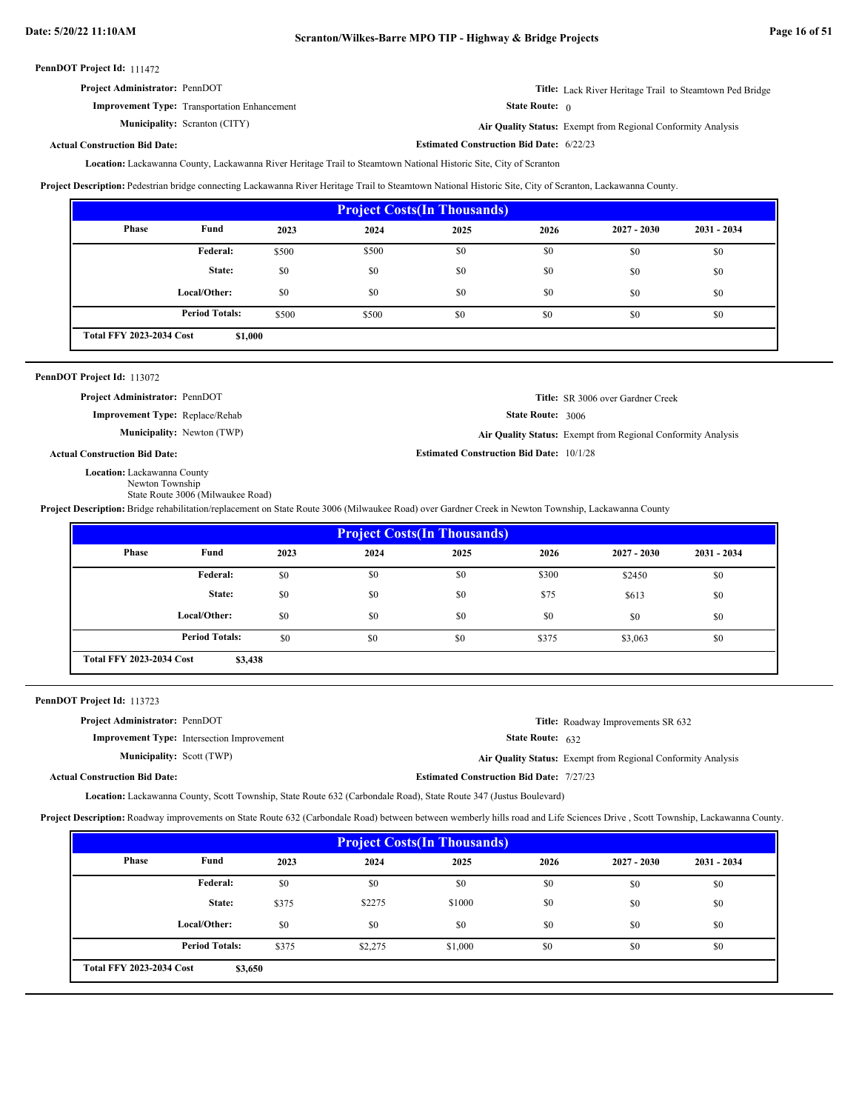| <b>Project Administrator: PennDOT</b>               | Title: Lack River Heritage Trail to Steamtown Ped Bridge |
|-----------------------------------------------------|----------------------------------------------------------|
| <b>Improvement Type:</b> Transportation Enhancement | <b>State Route:</b>                                      |

**Municipality:** Scranton (CITY)

Scranton (CITY) **Air Quality Status:** Exempt from Regional Conformity Analysis

**Actual Construction Bid Date:**

**Estimated Construction Bid Date:** 6/22/23

**Estimated Construction Bid Date:** 10/1/28

Lackawanna County, Lackawanna River Heritage Trail to Steamtown National Historic Site, City of Scranton **Location:**

**Project Description:** Pedestrian bridge connecting Lackawanna River Heritage Trail to Steamtown National Historic Site, City of Scranton, Lackawanna County.

|                                 |                       |       | <b>Project Costs (In Thousands)</b> |      |      |               |               |
|---------------------------------|-----------------------|-------|-------------------------------------|------|------|---------------|---------------|
| Phase                           | Fund                  | 2023  | 2024                                | 2025 | 2026 | $2027 - 2030$ | $2031 - 2034$ |
|                                 | Federal:              | \$500 | \$500                               | \$0  | \$0  | \$0           | \$0           |
|                                 | State:                | \$0   | \$0                                 | \$0  | \$0  | \$0           | \$0           |
|                                 | Local/Other:          | \$0   | \$0                                 | \$0  | \$0  | \$0           | \$0           |
|                                 | <b>Period Totals:</b> | \$500 | \$500                               | \$0  | \$0  | \$0           | \$0           |
| <b>Total FFY 2023-2034 Cost</b> | \$1,000               |       |                                     |      |      |               |               |

## PennDOT Project Id: 113072

**Project Administrator:** PennDOT

**Improvement Type:** Replace/Rehab

**Municipality:**

State Route: 3006 **Title:** SR 3006 over Gardner Creek

Newton (TWP) **Air Quality Status:** Exempt from Regional Conformity Analysis

## **Actual Construction Bid Date:**

Location: Lackawanna County

Newton Township State Route 3006 (Milwaukee Road)

**Project Description:** Bridge rehabilitation/replacement on State Route 3006 (Milwaukee Road) over Gardner Creek in Newton Township, Lackawanna County

|                                 |                       |      |      | <b>Project Costs (In Thousands)</b> |       |               |               |
|---------------------------------|-----------------------|------|------|-------------------------------------|-------|---------------|---------------|
| Phase                           | Fund                  | 2023 | 2024 | 2025                                | 2026  | $2027 - 2030$ | $2031 - 2034$ |
|                                 | Federal:              | \$0  | \$0  | \$0                                 | \$300 | \$2450        | \$0           |
|                                 | State:                | \$0  | \$0  | \$0                                 | \$75  | \$613         | \$0           |
|                                 | Local/Other:          | \$0  | \$0  | \$0                                 | \$0   | \$0           | \$0           |
|                                 | <b>Period Totals:</b> | \$0  | \$0  | \$0                                 | \$375 | \$3,063       | \$0           |
| <b>Total FFY 2023-2034 Cost</b> | \$3,438               |      |      |                                     |       |               |               |

PennDOT Project Id: 113723

| <b>Project Administrator: PennDOT</b>             | <b>Title:</b> Roadway Improvements SR 632                    |
|---------------------------------------------------|--------------------------------------------------------------|
| <b>Improvement Type:</b> Intersection Improvement | <b>State Route:</b> $632$                                    |
| <b>Municipality:</b> Scott (TWP)                  | Air Quality Status: Exempt from Regional Conformity Analysis |
| <b>Actual Construction Bid Date:</b>              | <b>Estimated Construction Bid Date: 7/27/23</b>              |

Lackawanna County, Scott Township, State Route 632 (Carbondale Road), State Route 347 (Justus Boulevard) **Location:**

**Project Description:** Roadway improvements on State Route 632 (Carbondale Road) between between wemberly hills road and Life Sciences Drive , Scott Township, Lackawanna County.

|                                 |                       |       |         | <b>Project Costs (In Thousands)</b> |      |               |               |
|---------------------------------|-----------------------|-------|---------|-------------------------------------|------|---------------|---------------|
| Phase                           | Fund                  | 2023  | 2024    | 2025                                | 2026 | $2027 - 2030$ | $2031 - 2034$ |
|                                 | Federal:              | \$0   | \$0     | \$0                                 | \$0  | \$0           | \$0           |
|                                 | State:                | \$375 | \$2275  | \$1000                              | \$0  | \$0           | \$0           |
|                                 | Local/Other:          | \$0   | \$0     | \$0                                 | \$0  | \$0           | \$0           |
|                                 | <b>Period Totals:</b> | \$375 | \$2,275 | \$1,000                             | \$0  | \$0           | \$0           |
| <b>Total FFY 2023-2034 Cost</b> | \$3,650               |       |         |                                     |      |               |               |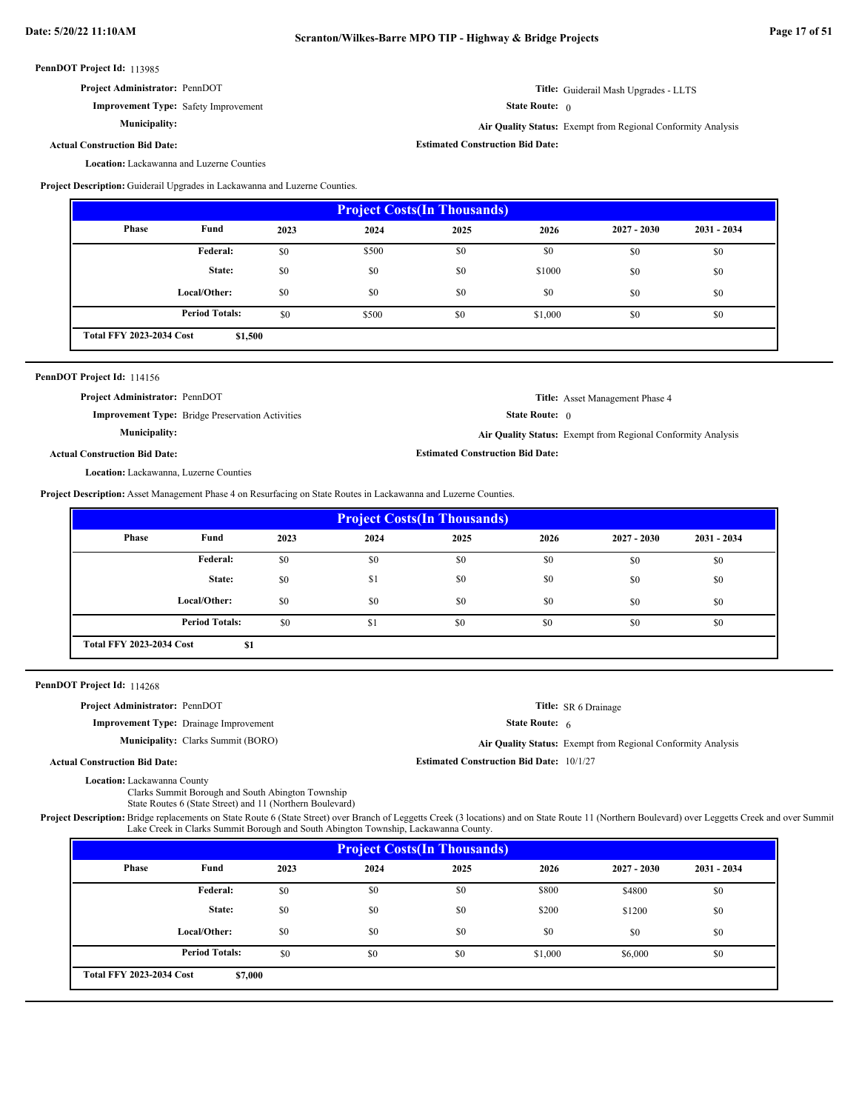| <b>Project Administrator: PennDOT</b> |
|---------------------------------------|
|---------------------------------------|

**Improvement Type:** Safety Improvement

**Municipality:**

**Title:** Guiderail Mash Upgrades - LLTS

State Route: 0

**Estimated Construction Bid Date:**

**Air Quality Status:** Exempt from Regional Conformity Analysis

**Actual Construction Bid Date:**

Location: Lackawanna and Luzerne Counties

**Project Description:** Guiderail Upgrades in Lackawanna and Luzerne Counties.

|                                 |                       |      | <b>Project Costs (In Thousands)</b> |      |         |               |               |
|---------------------------------|-----------------------|------|-------------------------------------|------|---------|---------------|---------------|
| Phase                           | Fund                  | 2023 | 2024                                | 2025 | 2026    | $2027 - 2030$ | $2031 - 2034$ |
|                                 | <b>Federal:</b>       | \$0  | \$500                               | \$0  | \$0     | \$0           | \$0           |
|                                 | State:                | \$0  | \$0                                 | \$0  | \$1000  | \$0           | \$0           |
|                                 | Local/Other:          | \$0  | \$0                                 | \$0  | \$0     | \$0           | \$0           |
|                                 | <b>Period Totals:</b> | \$0  | \$500                               | \$0  | \$1,000 | \$0           | \$0           |
| <b>Total FFY 2023-2034 Cost</b> | \$1,500               |      |                                     |      |         |               |               |

| PennDOT Project Id: 114156                              |                                                              |
|---------------------------------------------------------|--------------------------------------------------------------|
| <b>Project Administrator: PennDOT</b>                   | <b>Title:</b> Asset Management Phase 4                       |
| <b>Improvement Type:</b> Bridge Preservation Activities | <b>State Route:</b> $\theta$                                 |
| Municipality:                                           | Air Quality Status: Exempt from Regional Conformity Analysis |
| <b>Actual Construction Bid Date:</b>                    | <b>Estimated Construction Bid Date:</b>                      |
| Location: Lackawanna, Luzerne Counties                  |                                                              |

**Project Description:** Asset Management Phase 4 on Resurfacing on State Routes in Lackawanna and Luzerne Counties.

|                                 |                       |      |      | <b>Project Costs (In Thousands)</b> |      |               |               |
|---------------------------------|-----------------------|------|------|-------------------------------------|------|---------------|---------------|
| Phase                           | Fund                  | 2023 | 2024 | 2025                                | 2026 | $2027 - 2030$ | $2031 - 2034$ |
|                                 | Federal:              | \$0  | \$0  | \$0                                 | \$0  | \$0           | \$0           |
|                                 | State:                | \$0  | \$1  | \$0                                 | \$0  | \$0           | \$0           |
|                                 | Local/Other:          | \$0  | \$0  | \$0                                 | \$0  | \$0           | \$0           |
|                                 | <b>Period Totals:</b> | \$0  | \$1  | \$0                                 | \$0  | \$0           | \$0           |
| <b>Total FFY 2023-2034 Cost</b> | \$1                   |      |      |                                     |      |               |               |

PennDOT Project Id: 114268

**Project Administrator:** PennDOT

**Improvement Type:** Drainage Improvement

**Municipality:** Clarks Summit (BORO)

**Title:** SR 6 Drainage

State Route: 6

**Estimated Construction Bid Date:** 10/1/27

Clarks Summit (BORO) **Air Quality Status:** Exempt from Regional Conformity Analysis

**Actual Construction Bid Date:**

Location: Lackawanna County

Clarks Summit Borough and South Abington Township

State Routes 6 (State Street) and 11 (Northern Boulevard)

Project Description: Bridge replacements on State Route 6 (State Street) over Branch of Leggetts Creek (3 locations) and on State Route 11 (Northern Boulevard) over Leggetts Creek and over Summit Lake Creek in Clarks Summit Borough and South Abington Township, Lackawanna County.

|                                 |                       |      | <b>Project Costs (In Thousands)</b> |      |         |               |               |
|---------------------------------|-----------------------|------|-------------------------------------|------|---------|---------------|---------------|
| Phase                           | Fund                  | 2023 | 2024                                | 2025 | 2026    | $2027 - 2030$ | $2031 - 2034$ |
|                                 | Federal:              | \$0  | \$0                                 | \$0  | \$800   | \$4800        | \$0           |
|                                 | State:                | \$0  | \$0                                 | \$0  | \$200   | \$1200        | \$0           |
|                                 | Local/Other:          | \$0  | \$0                                 | \$0  | \$0     | \$0           | \$0           |
|                                 | <b>Period Totals:</b> | \$0  | \$0                                 | \$0  | \$1,000 | \$6,000       | \$0           |
| <b>Total FFY 2023-2034 Cost</b> | \$7,000               |      |                                     |      |         |               |               |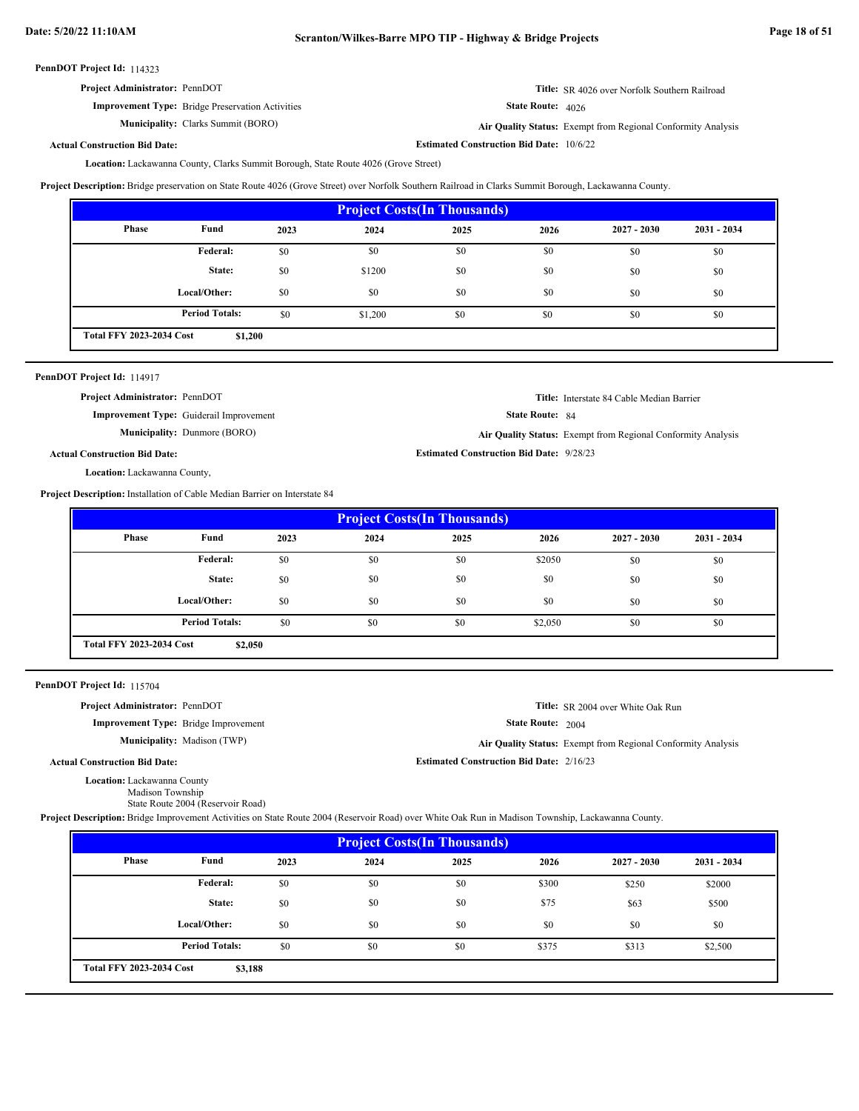|--|

State Route: 4026 **Title:** SR 4026 over Norfolk Southern Railroad

**Estimated Construction Bid Date:** 10/6/22

**Improvement Type:** Bridge Preservation Activities **Municipality:** Clarks Summit (BORO) **Air Quality Status:** 

Air Quality Status: Exempt from Regional Conformity Analysis

**Actual Construction Bid Date:**

Lackawanna County, Clarks Summit Borough, State Route 4026 (Grove Street) **Location:**

**Project Description:** Bridge preservation on State Route 4026 (Grove Street) over Norfolk Southern Railroad in Clarks Summit Borough, Lackawanna County.

| <b>Project Costs (In Thousands)</b> |                                            |      |         |      |      |               |               |
|-------------------------------------|--------------------------------------------|------|---------|------|------|---------------|---------------|
| Phase                               | Fund                                       | 2023 | 2024    | 2025 | 2026 | $2027 - 2030$ | $2031 - 2034$ |
|                                     | Federal:                                   | \$0  | \$0     | \$0  | \$0  | \$0           | \$0           |
|                                     | State:                                     | \$0  | \$1200  | \$0  | \$0  | \$0           | \$0           |
|                                     | Local/Other:                               | \$0  | \$0     | \$0  | \$0  | \$0           | \$0           |
|                                     | <b>Period Totals:</b>                      | \$0  | \$1,200 | \$0  | \$0  | \$0           | \$0           |
|                                     | <b>Total FFY 2023-2034 Cost</b><br>\$1,200 |      |         |      |      |               |               |

| PennDOT Project Id: 114917 |  |
|----------------------------|--|
|----------------------------|--|

**Project Administrator:** PennDOT

**Improvement Type:** Guiderail Improvement

**Municipality:** Dunmore (BORO) Dunmore (BORO) **Air Quality Status:** Exempt from Regional Conformity Analysis

**Title:** Interstate 84 Cable Median Barrier

**Title:** SR 2004 over White Oak Run

State Route: 84

**Estimated Construction Bid Date:** 9/28/23

State Route: 2004

**Estimated Construction Bid Date:** 2/16/23

**Actual Construction Bid Date:**

Location: Lackawanna County,

**Project Description:** Installation of Cable Median Barrier on Interstate 84

| <b>Project Costs (In Thousands)</b>        |                       |      |      |      |         |               |               |
|--------------------------------------------|-----------------------|------|------|------|---------|---------------|---------------|
| Phase                                      | Fund                  | 2023 | 2024 | 2025 | 2026    | $2027 - 2030$ | $2031 - 2034$ |
|                                            | Federal:              | \$0  | \$0  | \$0  | \$2050  | \$0           | \$0           |
|                                            | State:                | \$0  | \$0  | \$0  | \$0     | \$0           | \$0           |
|                                            | Local/Other:          | \$0  | \$0  | \$0  | \$0     | \$0           | \$0           |
|                                            | <b>Period Totals:</b> | \$0  | \$0  | \$0  | \$2,050 | \$0           | \$0           |
| <b>Total FFY 2023-2034 Cost</b><br>\$2,050 |                       |      |      |      |         |               |               |

PennDOT Project Id: 115704

**Project Administrator:** PennDOT

**Improvement Type:** Bridge Improvement

**Municipality:** Madison (TWP) Madison (TWP) **Air Quality Status:** Exempt from Regional Conformity Analysis

**Actual Construction Bid Date:**

Location: Lackawanna County

Madison Township State Route 2004 (Reservoir Road)

**Project Description:** Bridge Improvement Activities on State Route 2004 (Reservoir Road) over White Oak Run in Madison Township, Lackawanna County.

| <b>Project Costs (In Thousands)</b>        |                       |      |      |      |       |               |               |
|--------------------------------------------|-----------------------|------|------|------|-------|---------------|---------------|
| <b>Phase</b>                               | Fund                  | 2023 | 2024 | 2025 | 2026  | $2027 - 2030$ | $2031 - 2034$ |
|                                            | <b>Federal:</b>       | \$0  | \$0  | \$0  | \$300 | \$250         | \$2000        |
|                                            | State:                | \$0  | \$0  | \$0  | \$75  | \$63          | \$500         |
|                                            | Local/Other:          | \$0  | \$0  | \$0  | \$0   | \$0           | \$0           |
|                                            | <b>Period Totals:</b> | \$0  | \$0  | \$0  | \$375 | \$313         | \$2,500       |
| <b>Total FFY 2023-2034 Cost</b><br>\$3,188 |                       |      |      |      |       |               |               |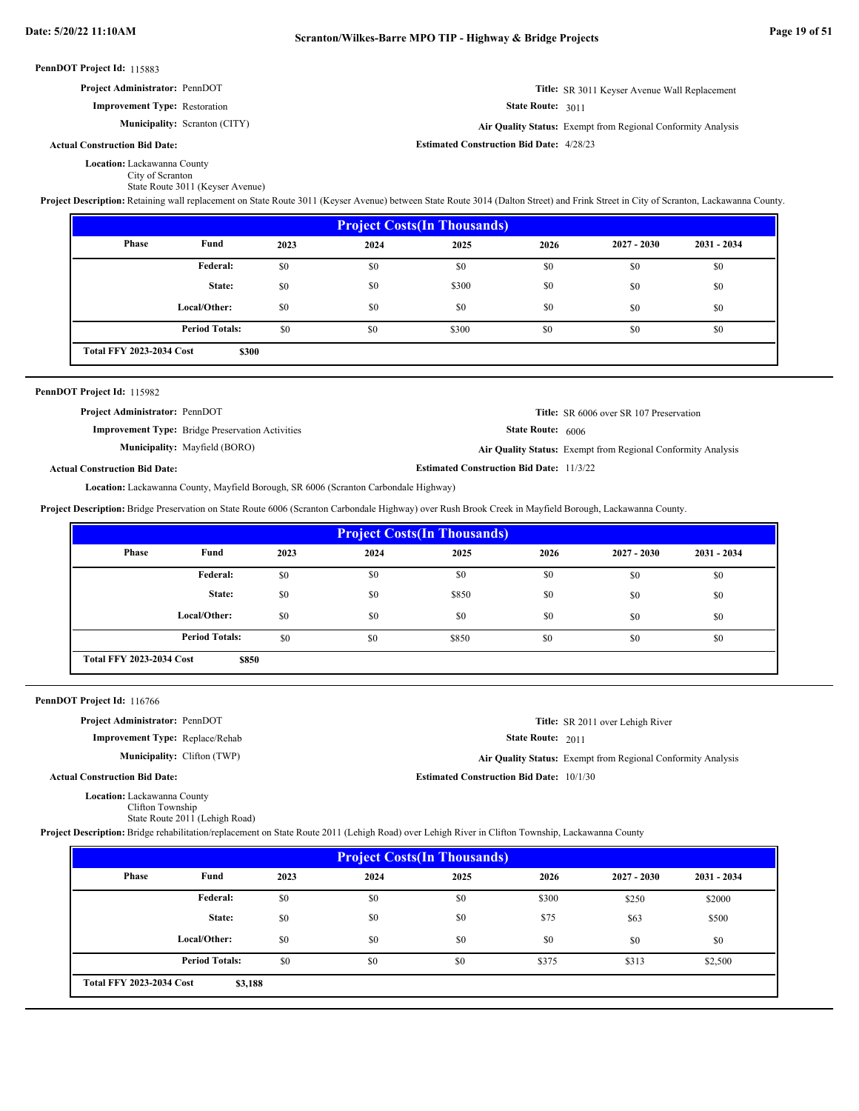| PennDOT Project Id: 115883 |                                                                                                                                                                                                                                                  |      |                                                                    |                                                              |                   |                                                                                                         |               |  |  |
|----------------------------|--------------------------------------------------------------------------------------------------------------------------------------------------------------------------------------------------------------------------------------------------|------|--------------------------------------------------------------------|--------------------------------------------------------------|-------------------|---------------------------------------------------------------------------------------------------------|---------------|--|--|
|                            | Project Administrator: PennDOT                                                                                                                                                                                                                   |      | Title: SR 3011 Keyser Avenue Wall Replacement<br>State Route: 3011 |                                                              |                   |                                                                                                         |               |  |  |
|                            | <b>Improvement Type: Restoration</b>                                                                                                                                                                                                             |      |                                                                    |                                                              |                   |                                                                                                         |               |  |  |
|                            | Municipality: Scranton (CITY)                                                                                                                                                                                                                    |      |                                                                    | Air Quality Status: Exempt from Regional Conformity Analysis |                   |                                                                                                         |               |  |  |
|                            | <b>Actual Construction Bid Date:</b>                                                                                                                                                                                                             |      |                                                                    | <b>Estimated Construction Bid Date: 4/28/23</b>              |                   |                                                                                                         |               |  |  |
|                            | Location: Lackawanna County<br>City of Scranton<br>State Route 3011 (Keyser Avenue)                                                                                                                                                              |      |                                                                    |                                                              |                   |                                                                                                         |               |  |  |
|                            | Project Description: Retaining wall replacement on State Route 3011 (Keyser Avenue) between State Route 3014 (Dalton Street) and Frink Street in City of Scranton, Lackawanna County.                                                            |      |                                                                    |                                                              |                   |                                                                                                         |               |  |  |
|                            |                                                                                                                                                                                                                                                  |      |                                                                    | <b>Project Costs(In Thousands)</b>                           |                   |                                                                                                         |               |  |  |
|                            | Phase<br>Fund                                                                                                                                                                                                                                    | 2023 | 2024                                                               | 2025                                                         | 2026              | $2027 - 2030$                                                                                           | 2031 - 2034   |  |  |
|                            | Federal:                                                                                                                                                                                                                                         | \$0  | \$0                                                                | \$0                                                          | \$0               | \$0                                                                                                     | \$0           |  |  |
|                            | State:                                                                                                                                                                                                                                           | \$0  | \$0                                                                | \$300                                                        | \$0               | \$0                                                                                                     | \$0           |  |  |
|                            | Local/Other:                                                                                                                                                                                                                                     | \$0  | \$0                                                                | \$0                                                          | \$0               | \$0                                                                                                     | \$0           |  |  |
|                            | <b>Period Totals:</b>                                                                                                                                                                                                                            | \$0  | \$0                                                                | \$300                                                        | \$0               | \$0                                                                                                     | \$0           |  |  |
|                            | <b>Total FFY 2023-2034 Cost</b><br>\$300                                                                                                                                                                                                         |      |                                                                    |                                                              |                   |                                                                                                         |               |  |  |
|                            | Project Administrator: PennDOT<br><b>Improvement Type:</b> Bridge Preservation Activities<br>Municipality: Mayfield (BORO)<br><b>Actual Construction Bid Date:</b>                                                                               |      |                                                                    | <b>Estimated Construction Bid Date: 11/3/22</b>              | State Route: 6006 | Title: SR 6006 over SR 107 Preservation<br>Air Quality Status: Exempt from Regional Conformity Analysis |               |  |  |
|                            | Location: Lackawanna County, Mayfield Borough, SR 6006 (Scranton Carbondale Highway)<br>Project Description: Bridge Preservation on State Route 6006 (Scranton Carbondale Highway) over Rush Brook Creek in Mayfield Borough, Lackawanna County. |      |                                                                    |                                                              |                   |                                                                                                         |               |  |  |
|                            |                                                                                                                                                                                                                                                  |      |                                                                    | <b>Project Costs(In Thousands)</b>                           |                   |                                                                                                         |               |  |  |
|                            | Phase<br>Fund                                                                                                                                                                                                                                    | 2023 | 2024                                                               | 2025                                                         | 2026              | $2027 - 2030$                                                                                           | $2031 - 2034$ |  |  |
|                            | Federal:                                                                                                                                                                                                                                         | \$0  | \$0                                                                | \$0                                                          | \$0               | \$0                                                                                                     | \$0           |  |  |
|                            | State:                                                                                                                                                                                                                                           | \$0  | \$0                                                                | \$850                                                        | \$0               | \$0                                                                                                     | \$0           |  |  |
|                            | Local/Other:                                                                                                                                                                                                                                     | \$0  | \$0                                                                | \$0                                                          | \$0               | \$0                                                                                                     | \$0           |  |  |
|                            | <b>Period Totals:</b>                                                                                                                                                                                                                            | \$0  | \$0                                                                | \$850                                                        | \$0               | \$0                                                                                                     | \$0           |  |  |
|                            |                                                                                                                                                                                                                                                  |      |                                                                    |                                                              |                   |                                                                                                         |               |  |  |
|                            | <b>Total FFY 2023-2034 Cost</b><br>\$850                                                                                                                                                                                                         |      |                                                                    |                                                              |                   |                                                                                                         |               |  |  |
|                            |                                                                                                                                                                                                                                                  |      |                                                                    |                                                              |                   |                                                                                                         |               |  |  |
|                            | PennDOT Project Id: 116766                                                                                                                                                                                                                       |      |                                                                    |                                                              |                   |                                                                                                         |               |  |  |
|                            | Project Administrator: PennDOT                                                                                                                                                                                                                   |      |                                                                    |                                                              |                   | Title: SR 2011 over Lehigh River                                                                        |               |  |  |
|                            | Improvement Type: Replace/Rehab<br>Municipality: Clifton (TWP)                                                                                                                                                                                   |      |                                                                    |                                                              | State Route: 2011 |                                                                                                         |               |  |  |
|                            | <b>Actual Construction Bid Date:</b>                                                                                                                                                                                                             |      |                                                                    | <b>Estimated Construction Bid Date: 10/1/30</b>              |                   | Air Quality Status: Exempt from Regional Conformity Analysis                                            |               |  |  |

|  | Project Description: Bridge rehabilitation/replacement on State Route 2011 (Lehigh Road) over Lehigh River in Clifton Township, Lackawanna County |  |  |  |  |
|--|---------------------------------------------------------------------------------------------------------------------------------------------------|--|--|--|--|
|  |                                                                                                                                                   |  |  |  |  |

| <b>Project Costs (In Thousands)</b>        |                       |      |      |      |       |               |               |
|--------------------------------------------|-----------------------|------|------|------|-------|---------------|---------------|
| Phase                                      | Fund                  | 2023 | 2024 | 2025 | 2026  | $2027 - 2030$ | $2031 - 2034$ |
|                                            | Federal:              | \$0  | \$0  | \$0  | \$300 | \$250         | \$2000        |
|                                            | State:                | \$0  | \$0  | \$0  | \$75  | \$63          | \$500         |
|                                            | Local/Other:          | \$0  | \$0  | \$0  | \$0   | \$0           | \$0           |
|                                            | <b>Period Totals:</b> | \$0  | \$0  | \$0  | \$375 | \$313         | \$2,500       |
| <b>Total FFY 2023-2034 Cost</b><br>\$3,188 |                       |      |      |      |       |               |               |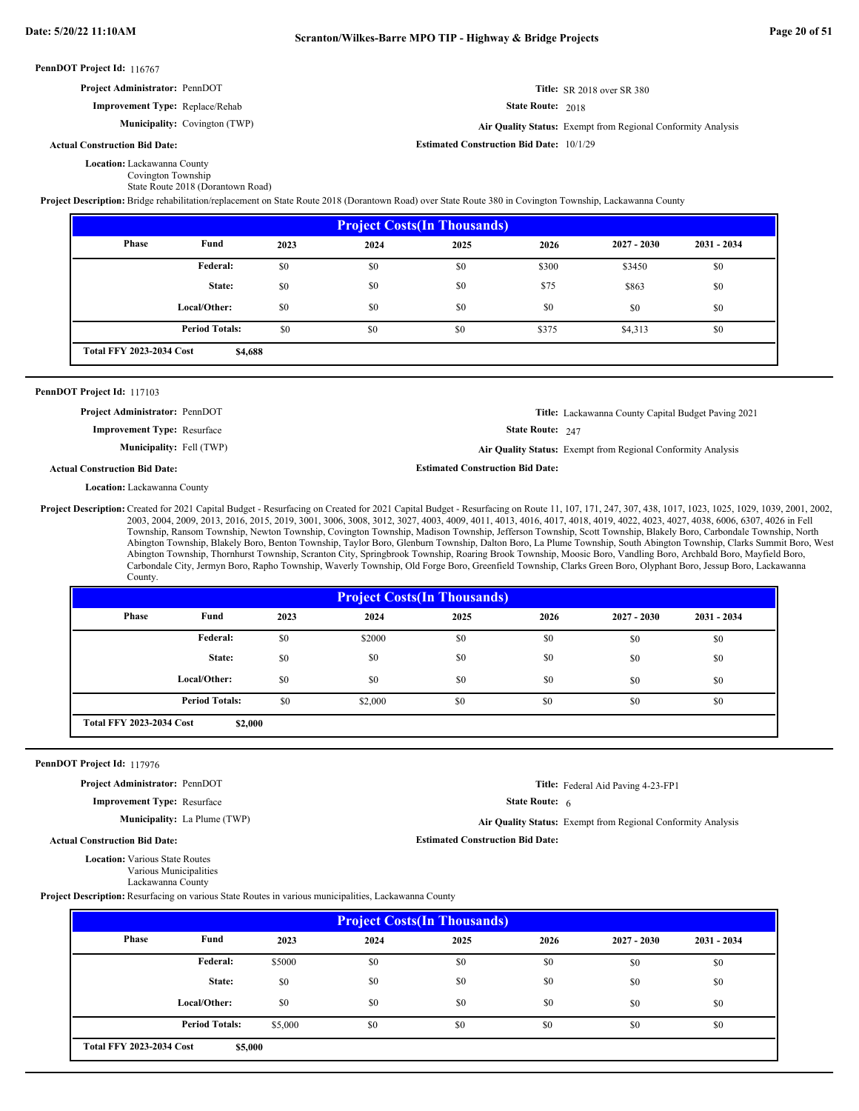#### PennDOT Project Id: 116767 State Route: 2018 PennDOT Project Id: 117103 State Route: 247 PennDOT Project Id: 117976 State Route: 6 Location: Lackawanna County Covington Township State Route 2018 (Dorantown Road) **Title:** SR 2018 over SR 380 **Improvement Type:** Replace/Rehab **Estimated Construction Bid Date:** 10/1/29 **Actual Construction Bid Date:** Municipality: Covington (TWP) Covington (TWP) **Air Quality Status:** Exempt from Regional Conformity Analysis **Project Administrator:** PennDOT **Project Description:** Bridge rehabilitation/replacement on State Route 2018 (Dorantown Road) over State Route 380 in Covington Township, Lackawanna County Location: Lackawanna County **Title:** Lackawanna County Capital Budget Paving 2021 **Improvement Type:** Resurface **Estimated Construction Bid Date: Actual Construction Bid Date: Municipality:** Fell (TWP) Fell (TWP) **Air Quality Status:** Exempt from Regional Conformity Analysis **Project Administrator:** PennDOT Project Description: Created for 2021 Capital Budget - Resurfacing on Created for 2021 Capital Budget - Resurfacing on Route 11, 107, 171, 247, 307, 438, 1017, 1023, 1025, 1029, 1039, 2001, 2002, 2003, 2004, 2009, 2013, 2016, 2015, 2019, 3001, 3006, 3008, 3012, 3027, 4003, 4009, 4011, 4013, 4016, 4017, 4018, 4019, 4022, 4023, 4027, 4038, 6006, 6307, 4026 in Fell Township, Ransom Township, Newton Township, Covington Township, Madison Township, Jefferson Township, Scott Township, Blakely Boro, Carbondale Township, North Abington Township, Blakely Boro, Benton Township, Taylor Boro, Glenburn Township, Dalton Boro, La Plume Township, South Abington Township, Clarks Summit Boro, West Abington Township, Thornhurst Township, Scranton City, Springbrook Township, Roaring Brook Township, Moosic Boro, Vandling Boro, Archbald Boro, Mayfield Boro, Carbondale City, Jermyn Boro, Rapho Township, Waverly Township, Old Forge Boro, Greenfield Township, Clarks Green Boro, Olyphant Boro, Jessup Boro, Lackawanna County. **Location:** Various State Routes Various Municipalities Lackawanna County **Title:** Federal Aid Paving 4-23-FP1 **Improvement Type:** Resurface **Estimated Construction Bid Date: Actual Construction Bid Date: Municipality:** La Plume (TWP) La Plume (TWP) **Air Quality Status:** Exempt from Regional Conformity Analysis **Project Administrator:** PennDOT **Project Description:** Resurfacing on various State Routes in various municipalities, Lackawanna County  **2023 2025 2026 \$4,688** \$0 \$300 \$3450 \$0 \$300 \$3450 \$0 \$0 \$0 \$75 \$863 \$0 \$0 \$0 \$0 \$0 \$0 \$0 \$0 \$0 \$0 \$0 \$0 \$0 \$375 \$4,313 \$0 **Project Costs(In Thousands) Phase Fund 2027 - 2030 2031 - 2034 Federal: State: Local/Other: Total FFY 2023-2034 Cost 2024** \$3450 \$863 \$0 **Period Totals:** \$0 \$375  **2023 2025 2026 \$2,000** \$0 \$2000 \$0 \$0 \$0 \$0 \$0 \$0 \$0 \$0 \$0 \$0 \$0 \$0 \$0 \$0 \$0 \$0 \$0 \$0 \$0 \$0 \$0 \$0 \$2,000 \$0 \$0 \$0 \$0 \$0 \$0 **Project Costs(In Thousands) Phase Fund 2027 - 2030 2031 - 2034 Federal: State: Local/Other: Total FFY 2023-2034 Cost 2024** \$0 \$0 \$0 **Period Totals:** \$0 \$2.000 \$0 \$0 \$0

| <b>Project Costs (In Thousands)</b>        |                       |         |      |      |      |               |               |
|--------------------------------------------|-----------------------|---------|------|------|------|---------------|---------------|
| Phase                                      | Fund                  | 2023    | 2024 | 2025 | 2026 | $2027 - 2030$ | $2031 - 2034$ |
|                                            | Federal:              | \$5000  | \$0  | \$0  | \$0  | \$0           | \$0           |
|                                            | State:                | \$0     | \$0  | \$0  | \$0  | \$0           | \$0           |
|                                            | Local/Other:          | \$0     | \$0  | \$0  | \$0  | \$0           | \$0           |
|                                            | <b>Period Totals:</b> | \$5,000 | \$0  | \$0  | \$0  | \$0           | \$0           |
| <b>Total FFY 2023-2034 Cost</b><br>\$5,000 |                       |         |      |      |      |               |               |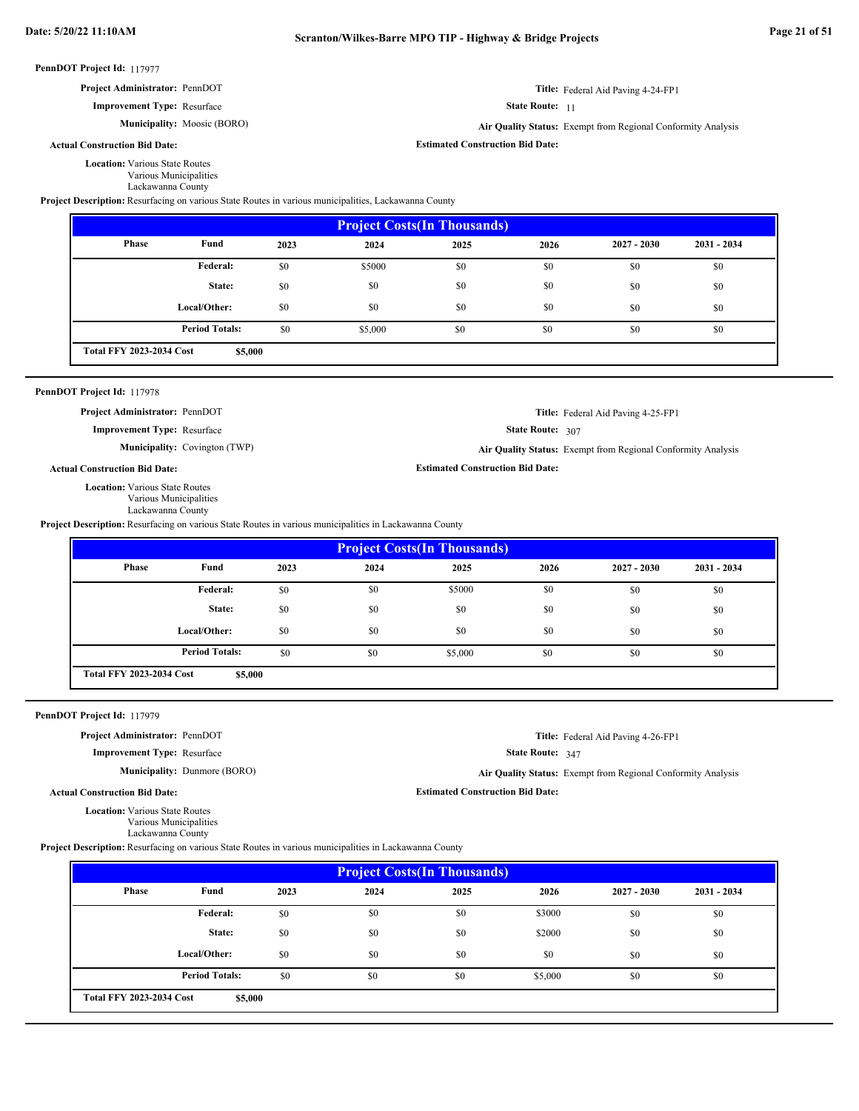**Estimated Construction Bid Date:**

State Route: 11

**Title:** Federal Aid Paving 4-24-FP1

**Title:** Federal Aid Paving 4-25-FP1

State Route: 307

**Estimated Construction Bid Date:**

#### PennDOT Project Id: 117977

## **Project Administrator:** PennDOT

**Improvement Type:** Resurface

Municipality: Moosic (BORO) Moosic (BORO) **Air Quality Status:** Exempt from Regional Conformity Analysis

## **Actual Construction Bid Date:**

**Location:** Various State Routes

Various Municipalities Lackawanna County

**Project Description:** Resurfacing on various State Routes in various municipalities, Lackawanna County

| <b>Project Costs (In Thousands)</b> |                       |      |         |      |      |               |               |
|-------------------------------------|-----------------------|------|---------|------|------|---------------|---------------|
| <b>Phase</b>                        | Fund                  | 2023 | 2024    | 2025 | 2026 | $2027 - 2030$ | $2031 - 2034$ |
|                                     | Federal:              | \$0  | \$5000  | \$0  | \$0  | \$0           | \$0           |
|                                     | State:                | \$0  | \$0     | \$0  | \$0  | \$0           | \$0           |
|                                     | Local/Other:          | \$0  | \$0     | \$0  | \$0  | \$0           | \$0           |
|                                     | <b>Period Totals:</b> | \$0  | \$5,000 | \$0  | \$0  | \$0           | \$0           |

#### PennDOT Project Id: 117978

**Project Administrator:** PennDOT

**Improvement Type:** Resurface

**Municipality:** Covington (TWP) Covington (TWP) **Air Quality Status:** Exempt from Regional Conformity Analysis

**Actual Construction Bid Date:**

**Location:** Various State Routes

Various Municipalities

Lackawanna County

**Project Description:** Resurfacing on various State Routes in various municipalities in Lackawanna County

| <b>Project Costs (In Thousands)</b> |                                            |      |      |         |      |               |               |
|-------------------------------------|--------------------------------------------|------|------|---------|------|---------------|---------------|
| Phase                               | Fund                                       | 2023 | 2024 | 2025    | 2026 | $2027 - 2030$ | $2031 - 2034$ |
|                                     | <b>Federal:</b>                            | \$0  | \$0  | \$5000  | \$0  | \$0           | \$0           |
|                                     | State:                                     | \$0  | \$0  | \$0     | \$0  | \$0           | \$0           |
|                                     | Local/Other:                               | \$0  | \$0  | \$0     | \$0  | \$0           | \$0           |
|                                     | <b>Period Totals:</b>                      | \$0  | \$0  | \$5,000 | \$0  | \$0           | \$0           |
|                                     | <b>Total FFY 2023-2034 Cost</b><br>\$5,000 |      |      |         |      |               |               |

PennDOT Project Id: 117979

**Project Administrator:** PennDOT

**Improvement Type:** Resurface

**Municipality:** Dunmore (BORO)

**Title:** Federal Aid Paving 4-26-FP1

State Route: 347

Dunmore (BORO) **Air Quality Status:** Exempt from Regional Conformity Analysis

**Estimated Construction Bid Date:**

**Actual Construction Bid Date:**

**Location:** Various State Routes Various Municipalities Lackawanna County

**Project Description:** Resurfacing on various State Routes in various municipalities in Lackawanna County

| <b>Project Costs (In Thousands)</b>        |                       |      |      |      |         |               |               |
|--------------------------------------------|-----------------------|------|------|------|---------|---------------|---------------|
| <b>Phase</b>                               | Fund                  | 2023 | 2024 | 2025 | 2026    | $2027 - 2030$ | $2031 - 2034$ |
|                                            | Federal:              | \$0  | \$0  | \$0  | \$3000  | \$0           | \$0           |
|                                            | State:                | \$0  | \$0  | \$0  | \$2000  | \$0           | \$0           |
|                                            | Local/Other:          | \$0  | \$0  | \$0  | \$0     | \$0           | \$0           |
|                                            | <b>Period Totals:</b> | \$0  | \$0  | \$0  | \$5,000 | \$0           | \$0           |
| <b>Total FFY 2023-2034 Cost</b><br>\$5,000 |                       |      |      |      |         |               |               |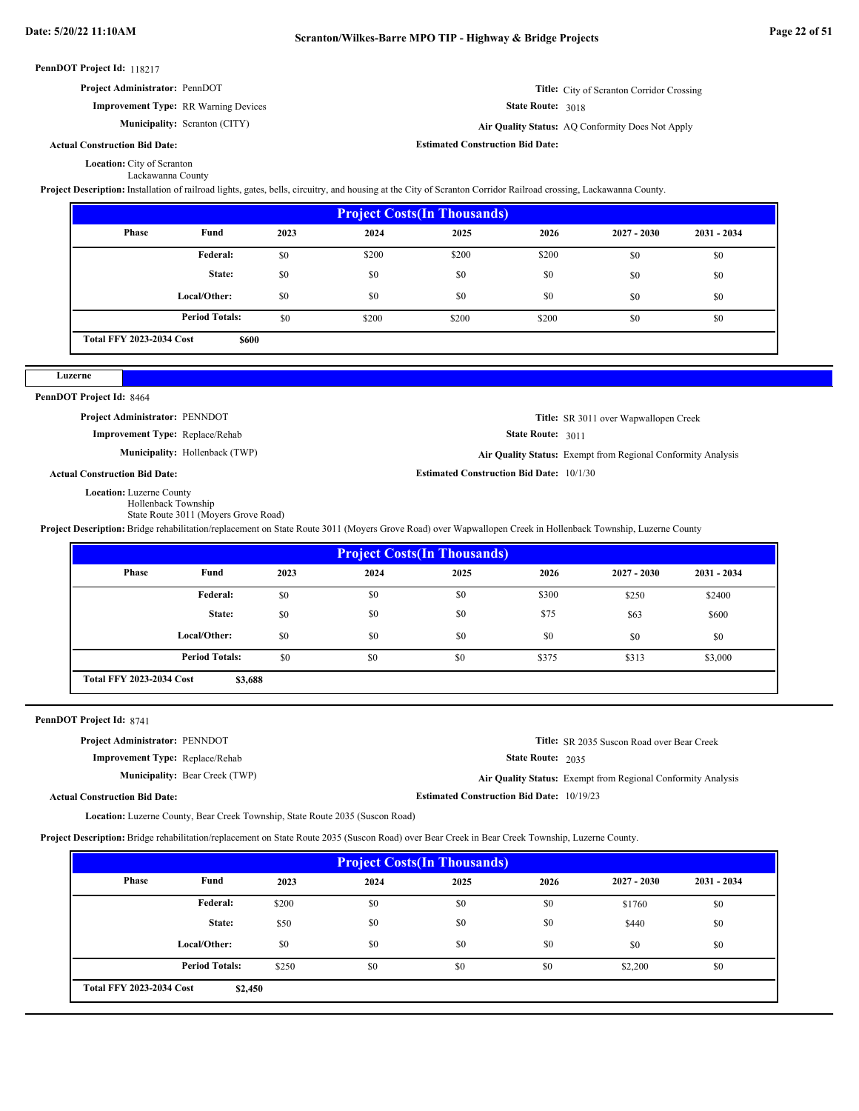#### PennDOT Project Id: 118217 State Route: 3018 PennDOT Project Id: 8464 State Route: 3011 PennDOT Project Id: 8741 State Route: 2035 Location: City of Scranton Lackawanna County **Title:** City of Scranton Corridor Crossing **Improvement Type:** RR Warning Devices **Estimated Construction Bid Date: Actual Construction Bid Date: Municipality:** Scranton (CITY) **Air Quality Status:** AQ Conformity Does Not Apply Air Quality Status: AQ Conformity Does Not Apply **Project Administrator:** PennDOT **Project Description:** Installation of railroad lights, gates, bells, circuitry, and housing at the City of Scranton Corridor Railroad crossing, Lackawanna County. **Location:** Luzerne County Hollenback Township State Route 3011 (Moyers Grove Road) **Title:** SR 3011 over Wapwallopen Creek **Improvement Type:** Replace/Rehab **Estimated Construction Bid Date:** 10/1/30 **Actual Construction Bid Date:** Municipality: Hollenback (TWP) Hollenback (TWP) **Air Quality Status:** Exempt from Regional Conformity Analysis **Project Administrator:** PENNDOT **Project Description:** Bridge rehabilitation/replacement on State Route 3011 (Moyers Grove Road) over Wapwallopen Creek in Hollenback Township, Luzerne County Location: Luzerne County, Bear Creek Township, State Route 2035 (Suscon Road) **Title:** SR 2035 Suscon Road over Bear Creek **Improvement Type:** Replace/Rehab **Estimated Construction Bid Date:** 10/19/23 **Actual Construction Bid Date: Municipality:** Bear Creek (TWP) **Air Quality Status:** Exempt from Regional Conformity Analysis **Project Administrator:** PENNDOT **Project Description:** Bridge rehabilitation/replacement on State Route 2035 (Suscon Road) over Bear Creek in Bear Creek Township, Luzerne County.  **2023 2025 2026 \$600** \$0 \$200 \$200 \$200 \$200 \$0 \$0 \$0 \$0 \$0 \$0 \$0 \$0 \$0 \$0 \$0 \$0 \$0 \$0 \$0 \$0 \$0 \$0 \$0 \$0 \$0 \$0 \$200 \$200 \$0 \$0 **Project Costs(In Thousands) Phase Fund 2027 - 2030 2031 - 2034 Federal: State: Local/Other: Total FFY 2023-2034 Cost 2024** \$0 \$0 \$0 **Period Totals:** \$200  **2023 2025 2026 \$3,688** \$0 \$1,000 \$250 \$2400 \$2500 \$2500 \$2400 \$0 \$0 \$0 \$75 \$63 \$600 \$0 \$0 \$0 \$0 \$0 \$0 \$0 \$0 \$0 \$0 \$0 \$0 \$375 \$313 \$3,000 **Project Costs(In Thousands) Phase Fund 2027 - 2030 2031 - 2034 Federal: State: Local/Other: Total FFY 2023-2034 Cost 2024** \$250 \$63 \$0 **Period Totals:** \$0 \$375  **2023 2025 2026** \$200 \$0 \$0 \$0 \$0 \$1760 \$0 \$0 \$50 \$0 \$0 \$0 \$0 \$0 \$0 \$0 \$0 \$0 \$0 \$0 \$0 \$0  $$0$  \$0 \$0 \$2,200 \$0 \$0 **Project Costs(In Thousands) Phase Fund 2027 - 2030 2031 - 2034 Federal: State: Local/Other: 2024** \$1760 \$440 \$0 **Period Totals:** \$250 \$0 \$0 \$0 \$0 **Luzerne**

**\$2,450 Total FFY 2023-2034 Cost**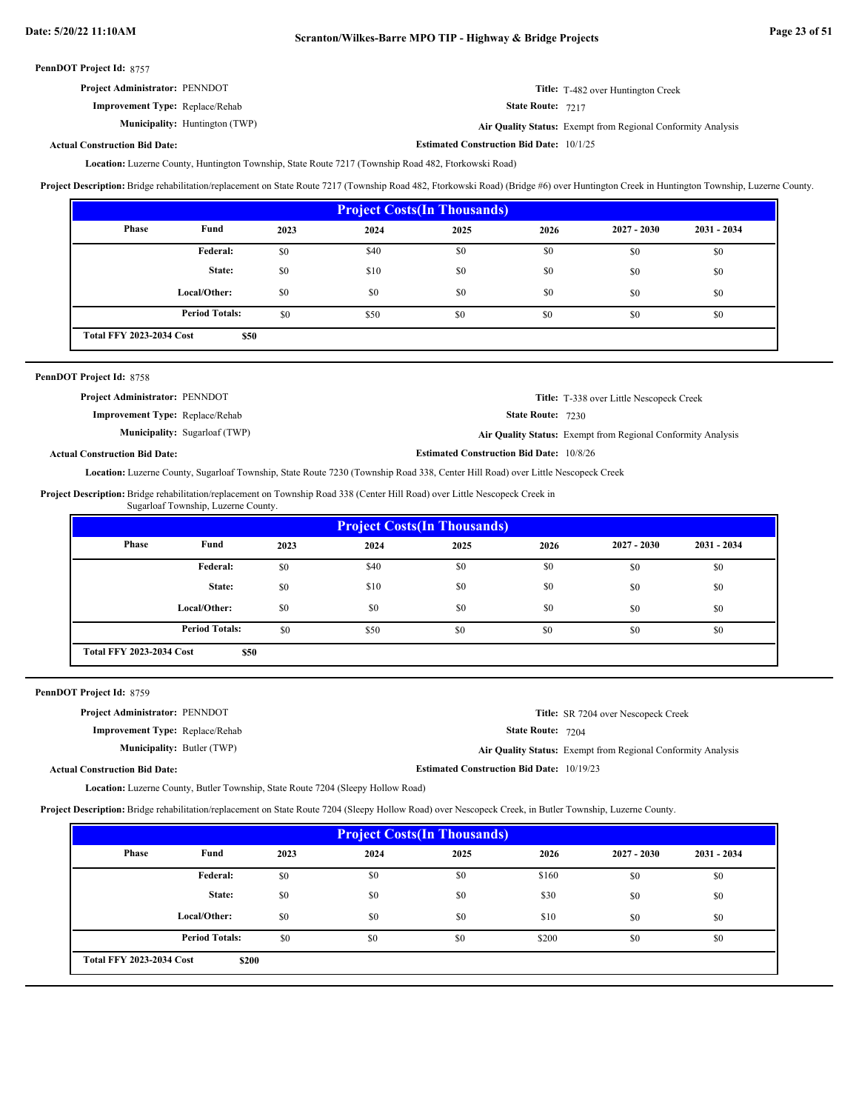**Estimated Construction Bid Date:** 10/1/25

PennDOT Project Id: 8757

| <b>Project Administrator: PENNDOT</b>  | <b>Title:</b> T-482 over Huntington Creek |
|----------------------------------------|-------------------------------------------|
| <b>Improvement Type:</b> Replace/Rehab | <b>State Route: 7217</b>                  |

**Municipality:**

State Route: 7217

Huntington (TWP) **Air Quality Status:** Exempt from Regional Conformity Analysis

## **Actual Construction Bid Date:**

Location: Luzerne County, Huntington Township, State Route 7217 (Township Road 482, Ftorkowski Road)

**Project Description:** Bridge rehabilitation/replacement on State Route 7217 (Township Road 482, Ftorkowski Road) (Bridge #6) over Huntington Creek in Huntington Township, Luzerne County.

| <b>Project Costs (In Thousands)</b> |                       |      |      |      |      |               |               |
|-------------------------------------|-----------------------|------|------|------|------|---------------|---------------|
| <b>Phase</b>                        | Fund                  | 2023 | 2024 | 2025 | 2026 | $2027 - 2030$ | $2031 - 2034$ |
|                                     | Federal:              | \$0  | \$40 | \$0  | \$0  | \$0           | \$0           |
|                                     | State:                | \$0  | \$10 | \$0  | \$0  | \$0           | \$0           |
|                                     | Local/Other:          | \$0  | \$0  | \$0  | \$0  | \$0           | \$0           |
|                                     | <b>Period Totals:</b> | \$0  | \$50 | \$0  | \$0  | \$0           | \$0           |
| <b>Total FFY 2023-2034 Cost</b>     | \$50                  |      |      |      |      |               |               |

| PennDOT Project Id: 8758               |                                      |                                                 |                                                              |
|----------------------------------------|--------------------------------------|-------------------------------------------------|--------------------------------------------------------------|
| <b>Project Administrator: PENNDOT</b>  |                                      |                                                 | <b>Title:</b> T-338 over Little Nescopeck Creek              |
| <b>Improvement Type:</b> Replace/Rehab |                                      | <b>State Route: 7230</b>                        |                                                              |
|                                        | <b>Municipality:</b> Sugarloaf (TWP) |                                                 | Air Quality Status: Exempt from Regional Conformity Analysis |
| <b>Actual Construction Bid Date:</b>   |                                      | <b>Estimated Construction Bid Date: 10/8/26</b> |                                                              |

Location: Luzerne County, Sugarloaf Township, State Route 7230 (Township Road 338, Center Hill Road) over Little Nescopeck Creek

Project Description: Bridge rehabilitation/replacement on Township Road 338 (Center Hill Road) over Little Nescopeck Creek in Sugarloaf Township, Luzerne County.

| <b>Project Costs (In Thousands)</b>     |                       |      |      |      |      |               |               |
|-----------------------------------------|-----------------------|------|------|------|------|---------------|---------------|
| Phase                                   | Fund                  | 2023 | 2024 | 2025 | 2026 | $2027 - 2030$ | $2031 - 2034$ |
|                                         | Federal:              | \$0  | \$40 | \$0  | \$0  | \$0           | \$0           |
|                                         | State:                | \$0  | \$10 | \$0  | \$0  | \$0           | \$0           |
|                                         | Local/Other:          | \$0  | \$0  | \$0  | \$0  | \$0           | \$0           |
|                                         | <b>Period Totals:</b> | \$0  | \$50 | \$0  | \$0  | \$0           | \$0           |
| <b>Total FFY 2023-2034 Cost</b><br>\$50 |                       |      |      |      |      |               |               |

PennDOT Project Id: 8759

| Project Administrator: PENNDOT         | <b>Title:</b> SR 7204 over Nescopeck Creek                   |
|----------------------------------------|--------------------------------------------------------------|
| <b>Improvement Type:</b> Replace/Rehab | <b>State Route: 7204</b>                                     |
| <b>Municipality: Butler (TWP)</b>      | Air Quality Status: Exempt from Regional Conformity Analysis |
| <b>Actual Construction Bid Date:</b>   | <b>Estimated Construction Bid Date: 10/19/23</b>             |

Location: Luzerne County, Butler Township, State Route 7204 (Sleepy Hollow Road)

**Project Description:** Bridge rehabilitation/replacement on State Route 7204 (Sleepy Hollow Road) over Nescopeck Creek, in Butler Township, Luzerne County.

| <b>Project Costs (In Thousands)</b>      |                       |      |      |      |       |               |               |
|------------------------------------------|-----------------------|------|------|------|-------|---------------|---------------|
| <b>Phase</b>                             | Fund                  | 2023 | 2024 | 2025 | 2026  | $2027 - 2030$ | $2031 - 2034$ |
|                                          | Federal:              | \$0  | \$0  | \$0  | \$160 | \$0           | \$0           |
|                                          | State:                | \$0  | \$0  | \$0  | \$30  | \$0           | \$0           |
|                                          | Local/Other:          | \$0  | \$0  | \$0  | \$10  | \$0           | \$0           |
|                                          | <b>Period Totals:</b> | \$0  | \$0  | \$0  | \$200 | \$0           | \$0           |
| <b>Total FFY 2023-2034 Cost</b><br>\$200 |                       |      |      |      |       |               |               |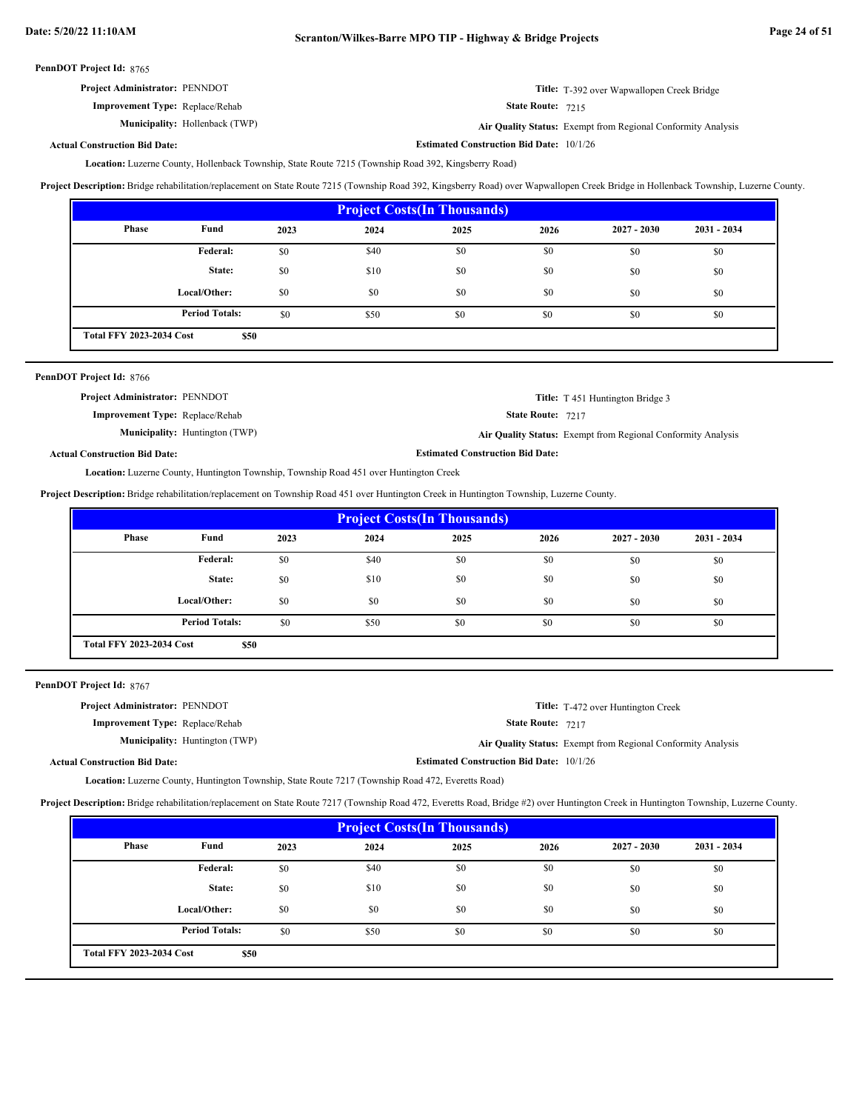**Estimated Construction Bid Date:** 10/1/26

PennDOT Project Id: 8765

| <b>Project Administrator: PENNDOT</b>  | Title: T-392 over Wapwallopen Creek Bridge |
|----------------------------------------|--------------------------------------------|
| <b>Improvement Type:</b> Replace/Rehab | <b>State Route: 7215</b>                   |

Municipality: Hollenback (TWP)

State Route: 7215

Hollenback (TWP) **Air Quality Status:** Exempt from Regional Conformity Analysis

## **Actual Construction Bid Date:**

Location: Luzerne County, Hollenback Township, State Route 7215 (Township Road 392, Kingsberry Road)

**Project Description:** Bridge rehabilitation/replacement on State Route 7215 (Township Road 392, Kingsberry Road) over Wapwallopen Creek Bridge in Hollenback Township, Luzerne County.

| <b>Project Costs (In Thousands)</b>     |                       |      |      |      |      |               |               |
|-----------------------------------------|-----------------------|------|------|------|------|---------------|---------------|
| Phase                                   | Fund                  | 2023 | 2024 | 2025 | 2026 | $2027 - 2030$ | $2031 - 2034$ |
|                                         | Federal:              | \$0  | \$40 | \$0  | \$0  | \$0           | \$0           |
|                                         | State:                | \$0  | \$10 | \$0  | \$0  | \$0           | \$0           |
|                                         | Local/Other:          | \$0  | \$0  | \$0  | \$0  | \$0           | \$0           |
|                                         | <b>Period Totals:</b> | \$0  | \$50 | \$0  | \$0  | \$0           | \$0           |
| <b>Total FFY 2023-2034 Cost</b><br>\$50 |                       |      |      |      |      |               |               |

| PennDOT Project Id: 8766               |                                       |                                         |                                                              |
|----------------------------------------|---------------------------------------|-----------------------------------------|--------------------------------------------------------------|
| <b>Project Administrator: PENNDOT</b>  |                                       |                                         | <b>Title:</b> T 451 Huntington Bridge 3                      |
| <b>Improvement Type:</b> Replace/Rehab |                                       | <b>State Route: 7217</b>                |                                                              |
|                                        | <b>Municipality:</b> Huntington (TWP) |                                         | Air Quality Status: Exempt from Regional Conformity Analysis |
| <b>Actual Construction Bid Date:</b>   |                                       | <b>Estimated Construction Bid Date:</b> |                                                              |

Location: Luzerne County, Huntington Township, Township Road 451 over Huntington Creek

**Project Description:** Bridge rehabilitation/replacement on Township Road 451 over Huntington Creek in Huntington Township, Luzerne County.

| <b>Project Costs(In Thousands)</b>      |                       |      |      |      |      |               |               |
|-----------------------------------------|-----------------------|------|------|------|------|---------------|---------------|
| <b>Phase</b>                            | Fund                  | 2023 | 2024 | 2025 | 2026 | $2027 - 2030$ | $2031 - 2034$ |
|                                         | Federal:              | \$0  | \$40 | \$0  | \$0  | \$0           | \$0           |
|                                         | State:                | \$0  | \$10 | \$0  | \$0  | \$0           | \$0           |
|                                         | Local/Other:          | \$0  | \$0  | \$0  | \$0  | \$0           | \$0           |
|                                         | <b>Period Totals:</b> | \$0  | \$50 | \$0  | \$0  | \$0           | \$0           |
| <b>Total FFY 2023-2034 Cost</b><br>\$50 |                       |      |      |      |      |               |               |

PennDOT Project Id: 8767

| <b>Project Administrator: PENNDOT</b>  |                                       |                                                 | <b>Title:</b> T-472 over Huntington Creek                    |
|----------------------------------------|---------------------------------------|-------------------------------------------------|--------------------------------------------------------------|
| <b>Improvement Type:</b> Replace/Rehab |                                       | <b>State Route: 7217</b>                        |                                                              |
|                                        | <b>Municipality:</b> Huntington (TWP) |                                                 | Air Quality Status: Exempt from Regional Conformity Analysis |
| <b>Actual Construction Bid Date:</b>   |                                       | <b>Estimated Construction Bid Date: 10/1/26</b> |                                                              |

Location: Luzerne County, Huntington Township, State Route 7217 (Township Road 472, Everetts Road)

**Project Description:** Bridge rehabilitation/replacement on State Route 7217 (Township Road 472, Everetts Road, Bridge #2) over Huntington Creek in Huntington Township, Luzerne County.

| <b>Project Costs (In Thousands)</b>     |                       |      |      |      |      |               |               |
|-----------------------------------------|-----------------------|------|------|------|------|---------------|---------------|
| <b>Phase</b>                            | Fund                  | 2023 | 2024 | 2025 | 2026 | $2027 - 2030$ | $2031 - 2034$ |
|                                         | Federal:              | \$0  | \$40 | \$0  | \$0  | \$0           | \$0           |
|                                         | State:                | \$0  | \$10 | \$0  | \$0  | \$0           | \$0           |
|                                         | Local/Other:          | \$0  | \$0  | \$0  | \$0  | \$0           | \$0           |
|                                         | <b>Period Totals:</b> | \$0  | \$50 | \$0  | \$0  | \$0           | \$0           |
| <b>Total FFY 2023-2034 Cost</b><br>\$50 |                       |      |      |      |      |               |               |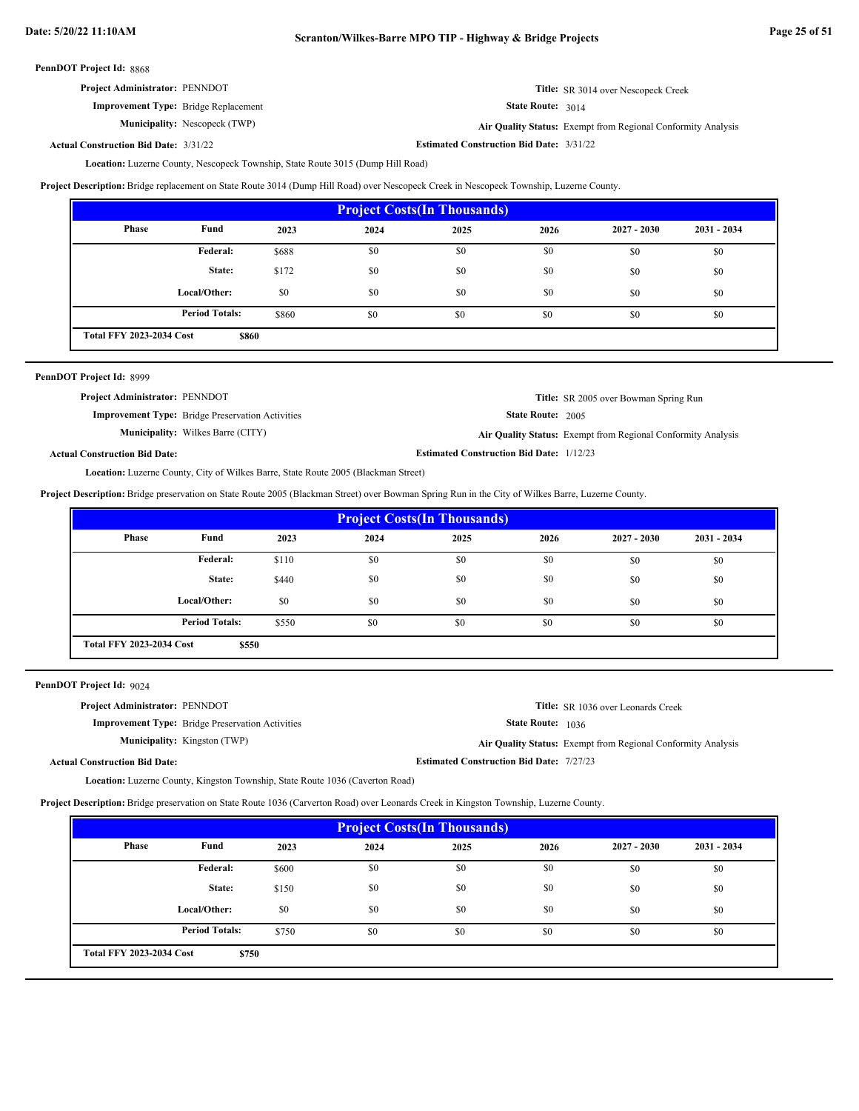| <b>Project Administrator: PENNDOT</b>       | <b>Title:</b> SR 3014 over Nescopeck Creek |
|---------------------------------------------|--------------------------------------------|
| <b>Improvement Type:</b> Bridge Replacement | <b>State Route: 3014</b>                   |

**Municipality:** Nescopeck (TWP)

State Route: 3014

Nescopeck (TWP) **Air Quality Status:** Exempt from Regional Conformity Analysis

**Estimated Construction Bid Date:** 3/31/22 3/31/22 **Actual Construction Bid Date:**

Location: Luzerne County, Nescopeck Township, State Route 3015 (Dump Hill Road)

**Project Description:** Bridge replacement on State Route 3014 (Dump Hill Road) over Nescopeck Creek in Nescopeck Township, Luzerne County.

| <b>Project Costs (In Thousands)</b>      |                       |       |      |      |      |               |               |
|------------------------------------------|-----------------------|-------|------|------|------|---------------|---------------|
| Phase                                    | Fund                  | 2023  | 2024 | 2025 | 2026 | $2027 - 2030$ | $2031 - 2034$ |
|                                          | Federal:              | \$688 | \$0  | \$0  | \$0  | \$0           | \$0           |
|                                          | State:                | \$172 | \$0  | \$0  | \$0  | \$0           | \$0           |
|                                          | Local/Other:          | \$0   | \$0  | \$0  | \$0  | \$0           | \$0           |
|                                          | <b>Period Totals:</b> | \$860 | \$0  | \$0  | \$0  | \$0           | \$0           |
| <b>Total FFY 2023-2034 Cost</b><br>\$860 |                       |       |      |      |      |               |               |

| PennDOT Project Id: 8999              |                                                         |                                                 |                                                              |
|---------------------------------------|---------------------------------------------------------|-------------------------------------------------|--------------------------------------------------------------|
| <b>Project Administrator: PENNDOT</b> |                                                         |                                                 | <b>Title:</b> SR 2005 over Bowman Spring Run                 |
|                                       | <b>Improvement Type:</b> Bridge Preservation Activities | <b>State Route: 2005</b>                        |                                                              |
|                                       | <b>Municipality:</b> Wilkes Barre (CITY)                |                                                 | Air Quality Status: Exempt from Regional Conformity Analysis |
| <b>Actual Construction Bid Date:</b>  |                                                         | <b>Estimated Construction Bid Date: 1/12/23</b> |                                                              |

Location: Luzerne County, City of Wilkes Barre, State Route 2005 (Blackman Street)

**Project Description:** Bridge preservation on State Route 2005 (Blackman Street) over Bowman Spring Run in the City of Wilkes Barre, Luzerne County.

| <b>Project Costs(In Thousands)</b>       |                       |       |      |      |      |               |               |
|------------------------------------------|-----------------------|-------|------|------|------|---------------|---------------|
| Phase                                    | Fund                  | 2023  | 2024 | 2025 | 2026 | $2027 - 2030$ | $2031 - 2034$ |
|                                          | Federal:              | \$110 | \$0  | \$0  | \$0  | \$0           | \$0           |
|                                          | State:                | \$440 | \$0  | \$0  | \$0  | \$0           | \$0           |
|                                          | Local/Other:          | \$0   | \$0  | \$0  | \$0  | \$0           | \$0           |
|                                          | <b>Period Totals:</b> | \$550 | \$0  | \$0  | \$0  | \$0           | \$0           |
| <b>Total FFY 2023-2034 Cost</b><br>\$550 |                       |       |      |      |      |               |               |

PennDOT Project Id: 9024

| <b>Project Administrator: PENNDOT</b> |                                                         |                                                 | <b>Title:</b> SR 1036 over Leonards Creek                    |
|---------------------------------------|---------------------------------------------------------|-------------------------------------------------|--------------------------------------------------------------|
|                                       | <b>Improvement Type:</b> Bridge Preservation Activities | <b>State Route:</b> 1036                        |                                                              |
|                                       | <b>Municipality:</b> Kingston (TWP)                     |                                                 | Air Quality Status: Exempt from Regional Conformity Analysis |
| <b>Actual Construction Bid Date:</b>  |                                                         | <b>Estimated Construction Bid Date: 7/27/23</b> |                                                              |

Location: Luzerne County, Kingston Township, State Route 1036 (Caverton Road)

**Project Description:** Bridge preservation on State Route 1036 (Carverton Road) over Leonards Creek in Kingston Township, Luzerne County.

| <b>Project Costs(In Thousands)</b>       |                       |       |      |      |      |               |               |
|------------------------------------------|-----------------------|-------|------|------|------|---------------|---------------|
| <b>Phase</b>                             | Fund                  | 2023  | 2024 | 2025 | 2026 | $2027 - 2030$ | $2031 - 2034$ |
|                                          | Federal:              | \$600 | \$0  | \$0  | \$0  | \$0           | \$0           |
|                                          | State:                | \$150 | \$0  | \$0  | \$0  | \$0           | \$0           |
|                                          | Local/Other:          | \$0   | \$0  | \$0  | \$0  | \$0           | \$0           |
|                                          | <b>Period Totals:</b> | \$750 | \$0  | \$0  | \$0  | \$0           | \$0           |
| <b>Total FFY 2023-2034 Cost</b><br>\$750 |                       |       |      |      |      |               |               |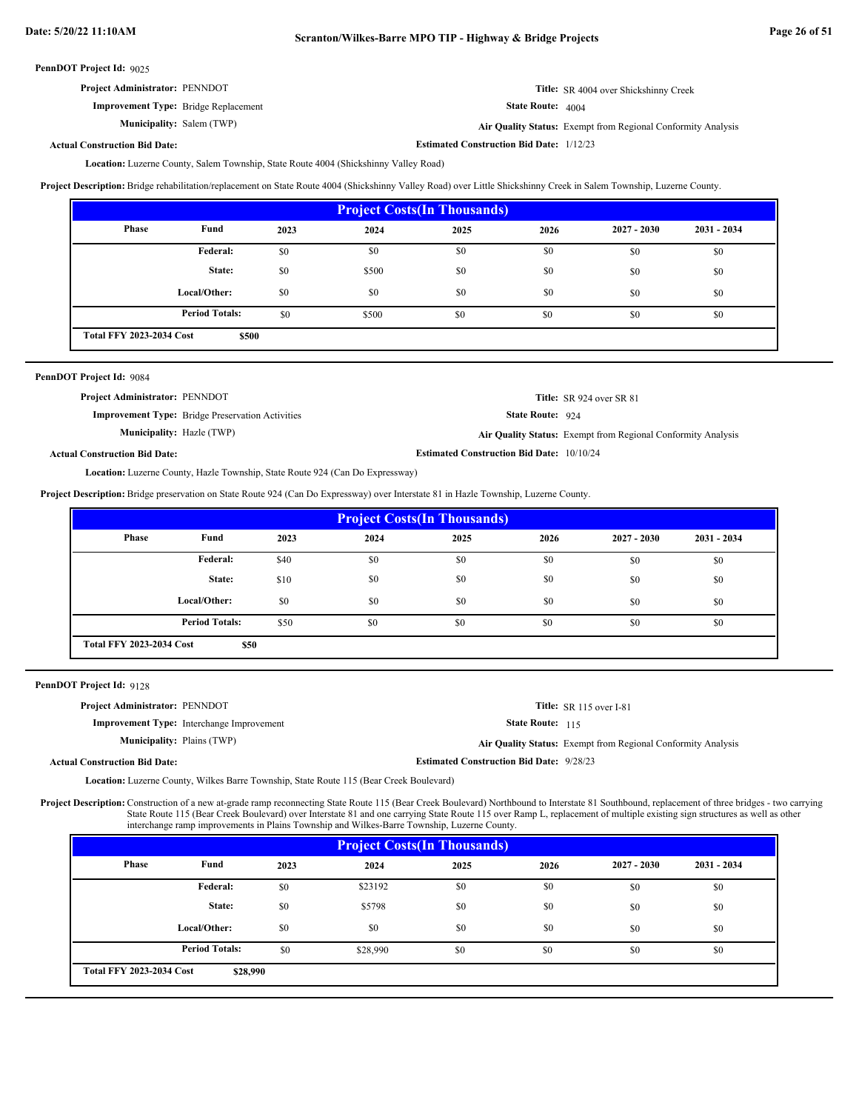**Estimated Construction Bid Date:** 1/12/23

PennDOT Project Id: 9025

| <b>Project Administrator: PENNDOT</b>       | <b>Title:</b> SR 4004 over Shickshinny Creek                 |
|---------------------------------------------|--------------------------------------------------------------|
| <b>Improvement Type:</b> Bridge Replacement | <b>State Route:</b> $4004$                                   |
| <b>Municipality:</b> Salem (TWP)            | Air Quality Status: Exempt from Regional Conformity Analysis |

**Actual Construction Bid Date:**

Location: Luzerne County, Salem Township, State Route 4004 (Shickshinny Valley Road)

Project Description: Bridge rehabilitation/replacement on State Route 4004 (Shickshinny Valley Road) over Little Shickshinny Creek in Salem Township, Luzerne County.

| <b>Project Costs (In Thousands)</b>      |                       |      |       |      |      |               |             |
|------------------------------------------|-----------------------|------|-------|------|------|---------------|-------------|
| <b>Phase</b>                             | Fund                  | 2023 | 2024  | 2025 | 2026 | $2027 - 2030$ | 2031 - 2034 |
|                                          | Federal:              | \$0  | \$0   | \$0  | \$0  | \$0           | \$0         |
|                                          | State:                | \$0  | \$500 | \$0  | \$0  | \$0           | \$0         |
|                                          | Local/Other:          | \$0  | \$0   | \$0  | \$0  | \$0           | \$0         |
|                                          | <b>Period Totals:</b> | \$0  | \$500 | \$0  | \$0  | \$0           | \$0         |
| <b>Total FFY 2023-2034 Cost</b><br>\$500 |                       |      |       |      |      |               |             |

| PennDOT Project Id: 9084                                                             |                                                         |                                                  |                                                              |  |  |  |
|--------------------------------------------------------------------------------------|---------------------------------------------------------|--------------------------------------------------|--------------------------------------------------------------|--|--|--|
| <b>Project Administrator: PENNDOT</b>                                                |                                                         |                                                  | Title: SR 924 over SR 81                                     |  |  |  |
|                                                                                      | <b>Improvement Type:</b> Bridge Preservation Activities | State Route: 924                                 |                                                              |  |  |  |
|                                                                                      | <b>Municipality:</b> Hazle (TWP)                        |                                                  | Air Quality Status: Exempt from Regional Conformity Analysis |  |  |  |
| <b>Actual Construction Bid Date:</b>                                                 |                                                         | <b>Estimated Construction Bid Date: 10/10/24</b> |                                                              |  |  |  |
| <b>Location:</b> Luzerne County, Hazle Township, State Route 924 (Can Do Expressway) |                                                         |                                                  |                                                              |  |  |  |

**Project Description:** Bridge preservation on State Route 924 (Can Do Expressway) over Interstate 81 in Hazle Township, Luzerne County.

| <b>Project Costs (In Thousands)</b>     |                       |      |      |      |      |               |               |
|-----------------------------------------|-----------------------|------|------|------|------|---------------|---------------|
| Phase                                   | Fund                  | 2023 | 2024 | 2025 | 2026 | $2027 - 2030$ | $2031 - 2034$ |
|                                         | Federal:              | \$40 | \$0  | \$0  | \$0  | \$0           | \$0           |
|                                         | State:                | \$10 | \$0  | \$0  | \$0  | \$0           | \$0           |
|                                         | Local/Other:          | \$0  | \$0  | \$0  | \$0  | \$0           | \$0           |
|                                         | <b>Period Totals:</b> | \$50 | \$0  | \$0  | \$0  | \$0           | \$0           |
| <b>Total FFY 2023-2034 Cost</b><br>\$50 |                       |      |      |      |      |               |               |

PennDOT Project Id: 9128

| <b>Project Administrator: PENNDOT</b> |                                                  |                                                 | Title: $SR$ 115 over I-81                                    |
|---------------------------------------|--------------------------------------------------|-------------------------------------------------|--------------------------------------------------------------|
|                                       | <b>Improvement Type:</b> Interchange Improvement | <b>State Route: 115</b>                         |                                                              |
| <b>Municipality:</b> Plains (TWP)     |                                                  |                                                 | Air Quality Status: Exempt from Regional Conformity Analysis |
| <b>Actual Construction Bid Date:</b>  |                                                  | <b>Estimated Construction Bid Date: 9/28/23</b> |                                                              |

Location: Luzerne County, Wilkes Barre Township, State Route 115 (Bear Creek Boulevard)

Project Description: Construction of a new at-grade ramp reconnecting State Route 115 (Bear Creek Boulevard) Northbound to Interstate 81 Southbound, replacement of three bridges - two carrying State Route 115 (Bear Creek Boulevard) over Interstate 81 and one carrying State Route 115 over Ramp L, replacement of multiple existing sign structures as well as other interchange ramp improvements in Plains Township and Wilkes-Barre Township, Luzerne County.

| <b>Project Costs (In Thousands)</b>         |                       |      |          |      |      |               |               |
|---------------------------------------------|-----------------------|------|----------|------|------|---------------|---------------|
| <b>Phase</b>                                | Fund                  | 2023 | 2024     | 2025 | 2026 | $2027 - 2030$ | $2031 - 2034$ |
|                                             | Federal:              | \$0  | \$23192  | \$0  | \$0  | \$0           | \$0           |
|                                             | State:                | \$0  | \$5798   | \$0  | \$0  | \$0           | \$0           |
|                                             | Local/Other:          | \$0  | \$0      | \$0  | \$0  | \$0           | \$0           |
|                                             | <b>Period Totals:</b> | \$0  | \$28,990 | \$0  | \$0  | \$0           | \$0           |
| <b>Total FFY 2023-2034 Cost</b><br>\$28,990 |                       |      |          |      |      |               |               |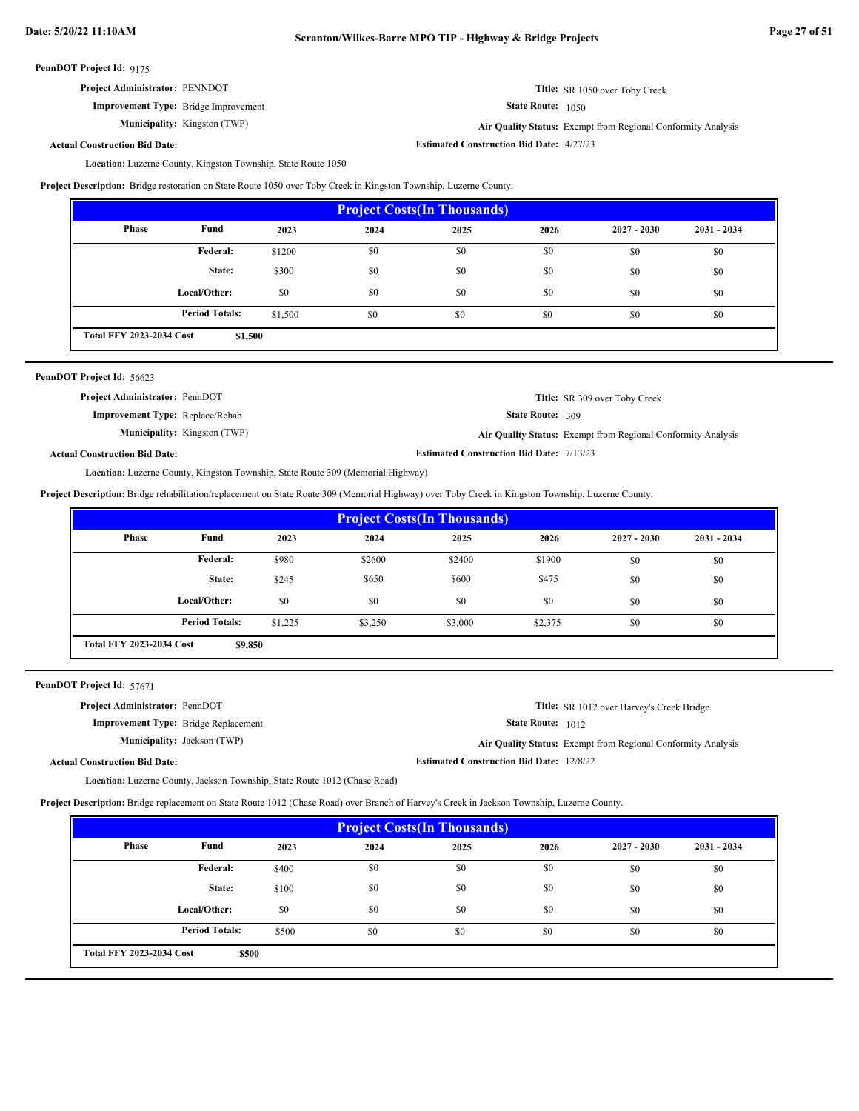**Improvement Type:** Bridge Improvement

**Municipality:** Kingston (TWP)

State Route: 1050

**Estimated Construction Bid Date:** 4/27/23

Kingston (TWP) **Air Quality Status:** Exempt from Regional Conformity Analysis

**Actual Construction Bid Date:**

Location: Luzerne County, Kingston Township, State Route 1050

**Project Description:** Bridge restoration on State Route 1050 over Toby Creek in Kingston Township, Luzerne County.

| <b>Project Costs (In Thousands)</b>        |                       |         |      |      |      |               |               |
|--------------------------------------------|-----------------------|---------|------|------|------|---------------|---------------|
| <b>Phase</b>                               | Fund                  | 2023    | 2024 | 2025 | 2026 | $2027 - 2030$ | $2031 - 2034$ |
|                                            | Federal:              | \$1200  | \$0  | \$0  | \$0  | \$0           | \$0           |
|                                            | State:                | \$300   | \$0  | \$0  | \$0  | \$0           | \$0           |
|                                            | Local/Other:          | \$0     | \$0  | \$0  | \$0  | \$0           | \$0           |
|                                            | <b>Period Totals:</b> | \$1,500 | \$0  | \$0  | \$0  | \$0           | \$0           |
| <b>Total FFY 2023-2034 Cost</b><br>\$1,500 |                       |         |      |      |      |               |               |

| PennDOT Project Id: 56623              |                                     |                                                 |                                                              |
|----------------------------------------|-------------------------------------|-------------------------------------------------|--------------------------------------------------------------|
| <b>Project Administrator: PennDOT</b>  |                                     |                                                 | <b>Title:</b> SR 309 over Toby Creek                         |
| <b>Improvement Type:</b> Replace/Rehab |                                     | State Route: 309                                |                                                              |
|                                        | <b>Municipality:</b> Kingston (TWP) |                                                 | Air Quality Status: Exempt from Regional Conformity Analysis |
| <b>Actual Construction Bid Date:</b>   |                                     | <b>Estimated Construction Bid Date: 7/13/23</b> |                                                              |

Location: Luzerne County, Kingston Township, State Route 309 (Memorial Highway)

**Project Description:** Bridge rehabilitation/replacement on State Route 309 (Memorial Highway) over Toby Creek in Kingston Township, Luzerne County.

| <b>Project Costs (In Thousands)</b>        |                       |         |         |         |         |               |               |
|--------------------------------------------|-----------------------|---------|---------|---------|---------|---------------|---------------|
| Phase                                      | Fund                  | 2023    | 2024    | 2025    | 2026    | $2027 - 2030$ | $2031 - 2034$ |
|                                            | Federal:              | \$980   | \$2600  | \$2400  | \$1900  | \$0           | \$0           |
|                                            | State:                | \$245   | \$650   | \$600   | \$475   | \$0           | \$0           |
|                                            | Local/Other:          | \$0     | \$0     | \$0     | \$0     | \$0           | \$0           |
|                                            | <b>Period Totals:</b> | \$1,225 | \$3,250 | \$3,000 | \$2,375 | \$0           | \$0           |
| <b>Total FFY 2023-2034 Cost</b><br>\$9,850 |                       |         |         |         |         |               |               |

PennDOT Project Id: 57671

| <b>Project Administrator: PennDOT</b>       | <b>Title:</b> SR 1012 over Harvey's Creek Bridge             |
|---------------------------------------------|--------------------------------------------------------------|
| <b>Improvement Type:</b> Bridge Replacement | <b>State Route:</b> 1012                                     |
| <b>Municipality:</b> Jackson (TWP)          | Air Quality Status: Exempt from Regional Conformity Analysis |
| <b>Actual Construction Bid Date:</b>        | <b>Estimated Construction Bid Date: 12/8/22</b>              |

Location: Luzerne County, Jackson Township, State Route 1012 (Chase Road)

**Project Description:** Bridge replacement on State Route 1012 (Chase Road) over Branch of Harvey's Creek in Jackson Township, Luzerne County.

| <b>Project Costs (In Thousands)</b>      |                       |       |      |      |      |               |               |
|------------------------------------------|-----------------------|-------|------|------|------|---------------|---------------|
| <b>Phase</b>                             | Fund                  | 2023  | 2024 | 2025 | 2026 | $2027 - 2030$ | $2031 - 2034$ |
|                                          | Federal:              | \$400 | \$0  | \$0  | \$0  | \$0           | \$0           |
|                                          | State:                | \$100 | \$0  | \$0  | \$0  | \$0           | \$0           |
|                                          | Local/Other:          | \$0   | \$0  | \$0  | \$0  | \$0           | \$0           |
|                                          | <b>Period Totals:</b> | \$500 | \$0  | \$0  | \$0  | \$0           | \$0           |
| <b>Total FFY 2023-2034 Cost</b><br>\$500 |                       |       |      |      |      |               |               |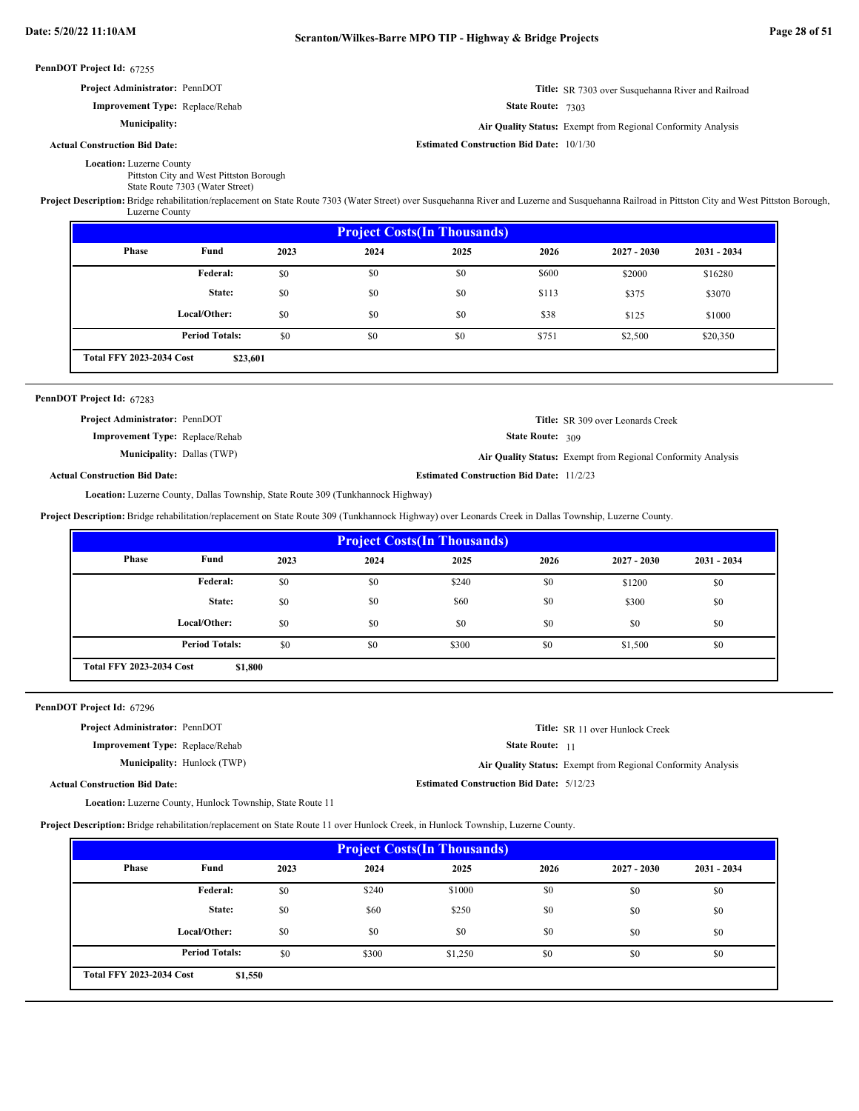| <b>Project Administrator: PennDOT</b> | <b>Title:</b> SR 7303 over Susquehanna River and Railroad |
|---------------------------------------|-----------------------------------------------------------|
|                                       |                                                           |

State Route: 7303

**Air Quality Status:** Exempt from Regional Conformity Analysis

**Title:** SR 309 over Leonards Creek

**Actual Construction Bid Date:**

**Estimated Construction Bid Date:** 10/1/30

Location: Luzerne County Pittston City and West Pittston Borough

State Route 7303 (Water Street)

**Improvement Type:** Replace/Rehab

**Municipality:**

Project Description: Bridge rehabilitation/replacement on State Route 7303 (Water Street) over Susquehanna River and Luzerne and Susquehanna Railroad in Pittston City and West Pittston Borough, Luzerne County

| <b>Project Costs (In Thousands)</b>                                        |              |      |      |      |       |               |               |
|----------------------------------------------------------------------------|--------------|------|------|------|-------|---------------|---------------|
| Phase                                                                      | Fund         | 2023 | 2024 | 2025 | 2026  | $2027 - 2030$ | $2031 - 2034$ |
|                                                                            | Federal:     | \$0  | \$0  | \$0  | \$600 | \$2000        | \$16280       |
|                                                                            | State:       | \$0  | \$0  | \$0  | \$113 | \$375         | \$3070        |
|                                                                            | Local/Other: | \$0  | \$0  | \$0  | \$38  | \$125         | \$1000        |
| <b>Period Totals:</b><br>\$0<br>\$0<br>\$0<br>\$20,350<br>\$751<br>\$2,500 |              |      |      |      |       |               |               |
| <b>Total FFY 2023-2034 Cost</b><br>\$23,601                                |              |      |      |      |       |               |               |

## PennDOT Project Id: 67283

**Project Administrator:** PennDOT

**Improvement Type:** Replace/Rehab

**Municipality:** Dallas (TWP) Dallas (TWP) **Air Quality Status:** Exempt from Regional Conformity Analysis

**Actual Construction Bid Date:**

**Estimated Construction Bid Date:** 11/2/23

State Route: 309

Location: Luzerne County, Dallas Township, State Route 309 (Tunkhannock Highway)

**Project Description:** Bridge rehabilitation/replacement on State Route 309 (Tunkhannock Highway) over Leonards Creek in Dallas Township, Luzerne County.

| <b>Project Costs (In Thousands)</b>        |                       |      |      |       |      |               |               |
|--------------------------------------------|-----------------------|------|------|-------|------|---------------|---------------|
| <b>Phase</b>                               | Fund                  | 2023 | 2024 | 2025  | 2026 | $2027 - 2030$ | $2031 - 2034$ |
|                                            | Federal:              | \$0  | \$0  | \$240 | \$0  | \$1200        | \$0           |
|                                            | State:                | \$0  | \$0  | \$60  | \$0  | \$300         | \$0           |
|                                            | Local/Other:          | \$0  | \$0  | \$0   | \$0  | \$0           | \$0           |
|                                            | <b>Period Totals:</b> | \$0  | \$0  | \$300 | \$0  | \$1,500       | \$0           |
| <b>Total FFY 2023-2034 Cost</b><br>\$1,800 |                       |      |      |       |      |               |               |

PennDOT Project Id: 67296

**Improvement Type:** Replace/Rehab **Project Administrator:** PennDOT

**Municipality:** Hunlock (TWP)

**Title:** SR 11 over Hunlock Creek

State Route: 11

Hunlock (TWP) **Air Quality Status:** Exempt from Regional Conformity Analysis

**Estimated Construction Bid Date:** 5/12/23

**Actual Construction Bid Date:**

Location: Luzerne County, Hunlock Township, State Route 11 **Project Description:** Bridge rehabilitation/replacement on State Route 11 over Hunlock Creek, in Hunlock Township, Luzerne County.

|                                            | <b>Project Costs (In Thousands)</b> |      |       |         |      |               |               |
|--------------------------------------------|-------------------------------------|------|-------|---------|------|---------------|---------------|
| <b>Phase</b>                               | Fund                                | 2023 | 2024  | 2025    | 2026 | $2027 - 2030$ | $2031 - 2034$ |
|                                            | Federal:                            | \$0  | \$240 | \$1000  | \$0  | \$0           | \$0           |
|                                            | State:                              | \$0  | \$60  | \$250   | \$0  | \$0           | \$0           |
|                                            | Local/Other:                        | \$0  | \$0   | \$0     | \$0  | \$0           | \$0           |
|                                            | <b>Period Totals:</b>               | \$0  | \$300 | \$1,250 | \$0  | \$0           | \$0           |
| <b>Total FFY 2023-2034 Cost</b><br>\$1,550 |                                     |      |       |         |      |               |               |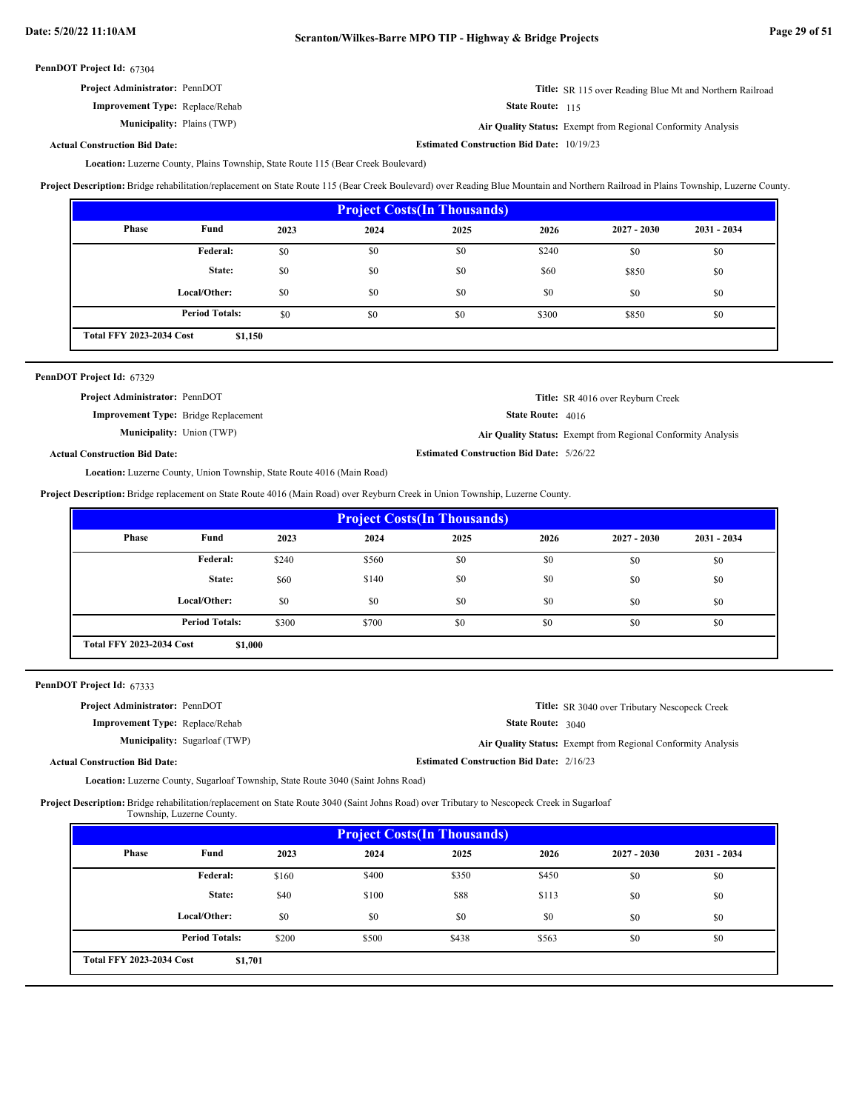| <b>Project Administrator: PennDOT</b> | <b>Title:</b> SR 115 over Reading Blue Mt and Northern Railroad |
|---------------------------------------|-----------------------------------------------------------------|
|---------------------------------------|-----------------------------------------------------------------|

**Improvement Type:** Replace/Rehab

**Municipality:** Plains (TWP) Plains (TWP) **Air Quality Status:** Exempt from Regional Conformity Analysis

**Estimated Construction Bid Date:** 10/19/23

State Route: 115

**Actual Construction Bid Date:**

Location: Luzerne County, Plains Township, State Route 115 (Bear Creek Boulevard)

**Project Description:** Bridge rehabilitation/replacement on State Route 115 (Bear Creek Boulevard) over Reading Blue Mountain and Northern Railroad in Plains Township, Luzerne County.

| <b>Project Costs (In Thousands)</b>        |                       |      |      |      |       |               |               |
|--------------------------------------------|-----------------------|------|------|------|-------|---------------|---------------|
| <b>Phase</b>                               | Fund                  | 2023 | 2024 | 2025 | 2026  | $2027 - 2030$ | $2031 - 2034$ |
|                                            | <b>Federal:</b>       | \$0  | \$0  | \$0  | \$240 | \$0           | \$0           |
|                                            | State:                | \$0  | \$0  | \$0  | \$60  | \$850         | \$0           |
|                                            | Local/Other:          | \$0  | \$0  | \$0  | \$0   | \$0           | \$0           |
|                                            | <b>Period Totals:</b> | \$0  | \$0  | \$0  | \$300 | \$850         | \$0           |
| <b>Total FFY 2023-2034 Cost</b><br>\$1,150 |                       |      |      |      |       |               |               |

| PennDOT Project Id: 67329                   |                                                              |
|---------------------------------------------|--------------------------------------------------------------|
| Project Administrator: PennDOT              | <b>Title:</b> SR 4016 over Reyburn Creek                     |
| <b>Improvement Type:</b> Bridge Replacement | <b>State Route:</b> $4016$                                   |
| <b>Municipality:</b> Union (TWP)            | Air Quality Status: Exempt from Regional Conformity Analysis |
| <b>Actual Construction Bid Date:</b>        | <b>Estimated Construction Bid Date: 5/26/22</b>              |
| <b>THE TO THE THOUR HOLLOCK</b>             |                                                              |

Location: Luzerne County, Union Township, State Route 4016 (Main Road)

**Project Description:** Bridge replacement on State Route 4016 (Main Road) over Reyburn Creek in Union Township, Luzerne County.

| <b>Project Costs (In Thousands)</b>        |                       |       |       |      |      |               |               |
|--------------------------------------------|-----------------------|-------|-------|------|------|---------------|---------------|
| Phase                                      | Fund                  | 2023  | 2024  | 2025 | 2026 | $2027 - 2030$ | $2031 - 2034$ |
|                                            | Federal:              | \$240 | \$560 | \$0  | \$0  | \$0           | \$0           |
|                                            | State:                | \$60  | \$140 | \$0  | \$0  | \$0           | \$0           |
|                                            | Local/Other:          | \$0   | \$0   | \$0  | \$0  | \$0           | \$0           |
|                                            | <b>Period Totals:</b> | \$300 | \$700 | \$0  | \$0  | \$0           | \$0           |
| <b>Total FFY 2023-2034 Cost</b><br>\$1,000 |                       |       |       |      |      |               |               |

PennDOT Project Id: 67333

| <b>Project Administrator: PennDOT</b>  | <b>Title:</b> SR 3040 over Tributary Nescopeck Creek         |
|----------------------------------------|--------------------------------------------------------------|
| <b>Improvement Type:</b> Replace/Rehab | <b>State Route:</b> 3040                                     |
| <b>Municipality:</b> Sugarloaf (TWP)   | Air Quality Status: Exempt from Regional Conformity Analysis |
| <b>Actual Construction Bid Date:</b>   | <b>Estimated Construction Bid Date: 2/16/23</b>              |

Location: Luzerne County, Sugarloaf Township, State Route 3040 (Saint Johns Road)

Project Description: Bridge rehabilitation/replacement on State Route 3040 (Saint Johns Road) over Tributary to Nescopeck Creek in Sugarloaf

Township, Luzerne County.

| <b>Project Costs (In Thousands)</b>        |                       |       |       |       |       |               |               |
|--------------------------------------------|-----------------------|-------|-------|-------|-------|---------------|---------------|
| Phase                                      | Fund                  | 2023  | 2024  | 2025  | 2026  | $2027 - 2030$ | $2031 - 2034$ |
|                                            | <b>Federal:</b>       | \$160 | \$400 | \$350 | \$450 | \$0           | \$0           |
|                                            | State:                | \$40  | \$100 | \$88  | \$113 | \$0           | \$0           |
|                                            | Local/Other:          | \$0   | \$0   | \$0   | \$0   | \$0           | \$0           |
|                                            | <b>Period Totals:</b> | \$200 | \$500 | \$438 | \$563 | \$0           | \$0           |
| <b>Total FFY 2023-2034 Cost</b><br>\$1,701 |                       |       |       |       |       |               |               |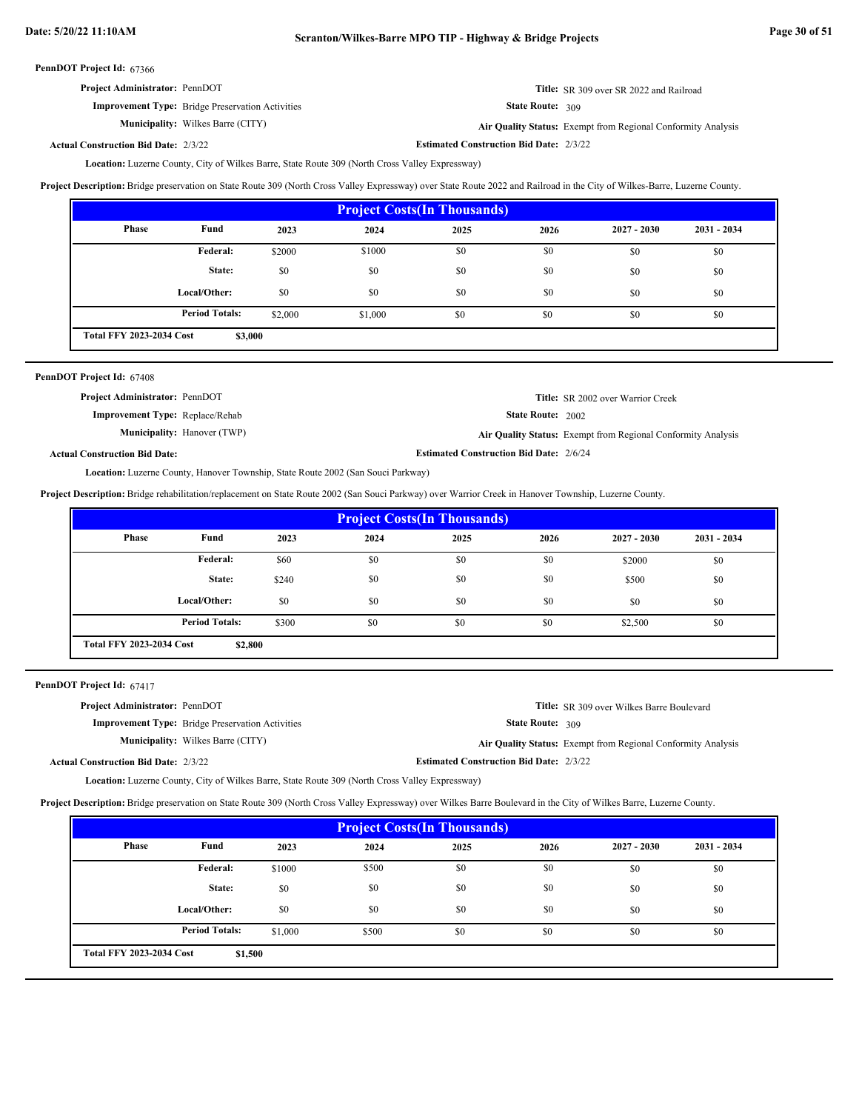| <b>Project Administrator: PennDOT</b>                   | <b>Title:</b> SR 309 over SR 2022 and Railroad |
|---------------------------------------------------------|------------------------------------------------|
| <b>Improvement Type:</b> Bridge Preservation Activities | <b>State Route:</b> $309$                      |

Wilkes Barre (CITY) **Air Quality Status:** Exempt from Regional Conformity Analysis

**Estimated Construction Bid Date:** 2/3/22 2/3/22 **Actual Construction Bid Date:**

**Municipality:** Wilkes Barre (CITY)

Location: Luzerne County, City of Wilkes Barre, State Route 309 (North Cross Valley Expressway)

**Project Description:** Bridge preservation on State Route 309 (North Cross Valley Expressway) over State Route 2022 and Railroad in the City of Wilkes-Barre, Luzerne County.

| <b>Project Costs (In Thousands)</b>        |                       |         |         |      |      |               |               |
|--------------------------------------------|-----------------------|---------|---------|------|------|---------------|---------------|
| Phase                                      | Fund                  | 2023    | 2024    | 2025 | 2026 | $2027 - 2030$ | $2031 - 2034$ |
|                                            | Federal:              | \$2000  | \$1000  | \$0  | \$0  | \$0           | \$0           |
|                                            | State:                | \$0     | \$0     | \$0  | \$0  | \$0           | \$0           |
|                                            | Local/Other:          | \$0     | \$0     | \$0  | \$0  | \$0           | \$0           |
|                                            | <b>Period Totals:</b> | \$2,000 | \$1,000 | \$0  | \$0  | \$0           | \$0           |
| <b>Total FFY 2023-2034 Cost</b><br>\$3,000 |                       |         |         |      |      |               |               |

| PennDOT Project Id: 67408              |                                    |                                                |                                                              |
|----------------------------------------|------------------------------------|------------------------------------------------|--------------------------------------------------------------|
| Project Administrator: PennDOT         |                                    |                                                | <b>Title:</b> SR 2002 over Warrior Creek                     |
| <b>Improvement Type:</b> Replace/Rehab |                                    | <b>State Route: 2002</b>                       |                                                              |
|                                        | <b>Municipality:</b> Hanover (TWP) |                                                | Air Quality Status: Exempt from Regional Conformity Analysis |
| <b>Actual Construction Bid Date:</b>   |                                    | <b>Estimated Construction Bid Date: 2/6/24</b> |                                                              |

Location: Luzerne County, Hanover Township, State Route 2002 (San Souci Parkway)

**Project Description:** Bridge rehabilitation/replacement on State Route 2002 (San Souci Parkway) over Warrior Creek in Hanover Township, Luzerne County.

| <b>Project Costs (In Thousands)</b>        |                       |       |      |      |      |               |               |
|--------------------------------------------|-----------------------|-------|------|------|------|---------------|---------------|
| Phase                                      | Fund                  | 2023  | 2024 | 2025 | 2026 | $2027 - 2030$ | $2031 - 2034$ |
|                                            | Federal:              | \$60  | \$0  | \$0  | \$0  | \$2000        | \$0           |
|                                            | State:                | \$240 | \$0  | \$0  | \$0  | \$500         | \$0           |
|                                            | Local/Other:          | \$0   | \$0  | \$0  | \$0  | \$0           | \$0           |
|                                            | <b>Period Totals:</b> | \$300 | \$0  | \$0  | \$0  | \$2,500       | \$0           |
| <b>Total FFY 2023-2034 Cost</b><br>\$2,800 |                       |       |      |      |      |               |               |

PennDOT Project Id: 67417

| <b>Project Administrator: PennDOT</b>       |                                                         |                                                | <b>Title:</b> SR 309 over Wilkes Barre Boulevard             |
|---------------------------------------------|---------------------------------------------------------|------------------------------------------------|--------------------------------------------------------------|
|                                             | <b>Improvement Type:</b> Bridge Preservation Activities | State Route: 309                               |                                                              |
|                                             | <b>Municipality:</b> Wilkes Barre (CITY)                |                                                | Air Quality Status: Exempt from Regional Conformity Analysis |
| <b>Actual Construction Bid Date: 2/3/22</b> |                                                         | <b>Estimated Construction Bid Date: 2/3/22</b> |                                                              |

Location: Luzerne County, City of Wilkes Barre, State Route 309 (North Cross Valley Expressway)

**Project Description:** Bridge preservation on State Route 309 (North Cross Valley Expressway) over Wilkes Barre Boulevard in the City of Wilkes Barre, Luzerne County.

| <b>Project Costs (In Thousands)</b>        |                       |         |       |      |      |               |               |
|--------------------------------------------|-----------------------|---------|-------|------|------|---------------|---------------|
| Phase                                      | Fund                  | 2023    | 2024  | 2025 | 2026 | $2027 - 2030$ | $2031 - 2034$ |
|                                            | Federal:              | \$1000  | \$500 | \$0  | \$0  | \$0           | \$0           |
|                                            | State:                | \$0     | \$0   | \$0  | \$0  | \$0           | \$0           |
|                                            | Local/Other:          | \$0     | \$0   | \$0  | \$0  | \$0           | \$0           |
|                                            | <b>Period Totals:</b> | \$1,000 | \$500 | \$0  | \$0  | \$0           | \$0           |
| <b>Total FFY 2023-2034 Cost</b><br>\$1,500 |                       |         |       |      |      |               |               |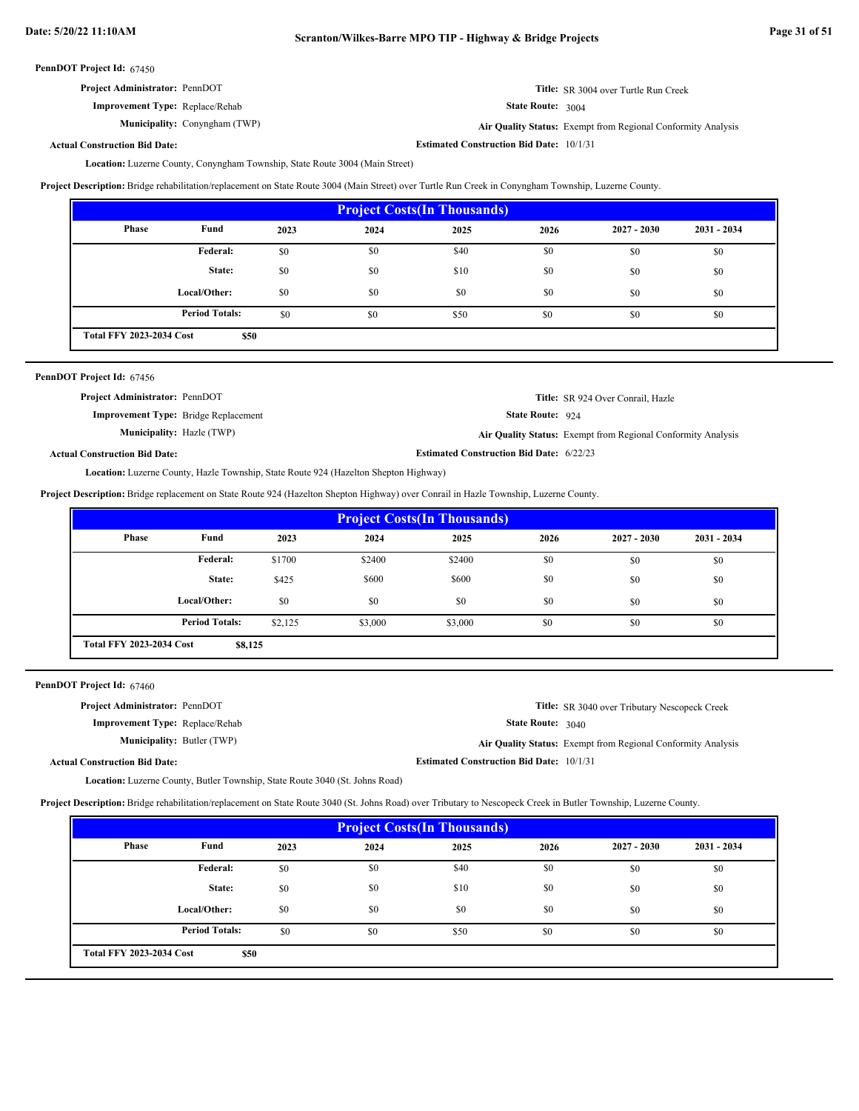| <b>Project Administrator: PennDOT</b> | <b>Title:</b> SR 3004 over Turtle Run Creek |
|---------------------------------------|---------------------------------------------|
|                                       |                                             |

**Improvement Type:** Replace/Rehab

**Municipality:** Conyngham (TWP)

State Route: 3004 Conyngham (TWP) **Air Quality Status:** Exempt from Regional Conformity Analysis

**Estimated Construction Bid Date:** 10/1/31

**Actual Construction Bid Date:**

Location: Luzerne County, Conyngham Township, State Route 3004 (Main Street)

**Project Description:** Bridge rehabilitation/replacement on State Route 3004 (Main Street) over Turtle Run Creek in Conyngham Township, Luzerne County.

| <b>Project Costs (In Thousands)</b>     |                       |      |      |      |      |               |               |
|-----------------------------------------|-----------------------|------|------|------|------|---------------|---------------|
| Phase                                   | Fund                  | 2023 | 2024 | 2025 | 2026 | $2027 - 2030$ | $2031 - 2034$ |
|                                         | <b>Federal:</b>       | \$0  | \$0  | \$40 | \$0  | \$0           | \$0           |
|                                         | State:                | \$0  | \$0  | \$10 | \$0  | \$0           | \$0           |
|                                         | Local/Other:          | \$0  | \$0  | \$0  | \$0  | \$0           | \$0           |
|                                         | <b>Period Totals:</b> | \$0  | \$0  | \$50 | \$0  | \$0           | \$0           |
| <b>Total FFY 2023-2034 Cost</b><br>\$50 |                       |      |      |      |      |               |               |

| PennDOT Project Id: 67456                   |                                                 |                                                              |
|---------------------------------------------|-------------------------------------------------|--------------------------------------------------------------|
| <b>Project Administrator: PennDOT</b>       |                                                 | Title: SR 924 Over Conrail, Hazle                            |
| <b>Improvement Type:</b> Bridge Replacement | <b>State Route: <math>924</math></b>            |                                                              |
| <b>Municipality:</b> Hazle (TWP)            |                                                 | Air Quality Status: Exempt from Regional Conformity Analysis |
| <b>Actual Construction Bid Date:</b>        | <b>Estimated Construction Bid Date: 6/22/23</b> |                                                              |
|                                             |                                                 |                                                              |

Location: Luzerne County, Hazle Township, State Route 924 (Hazelton Shepton Highway)

**Project Description:** Bridge replacement on State Route 924 (Hazelton Shepton Highway) over Conrail in Hazle Township, Luzerne County.

| <b>Project Costs (In Thousands)</b>        |                       |         |         |         |      |               |               |
|--------------------------------------------|-----------------------|---------|---------|---------|------|---------------|---------------|
| Phase                                      | Fund                  | 2023    | 2024    | 2025    | 2026 | $2027 - 2030$ | $2031 - 2034$ |
|                                            | Federal:              | \$1700  | \$2400  | \$2400  | \$0  | \$0           | \$0           |
|                                            | State:                | \$425   | \$600   | \$600   | \$0  | \$0           | \$0           |
|                                            | Local/Other:          | \$0     | \$0     | \$0     | \$0  | \$0           | \$0           |
|                                            | <b>Period Totals:</b> | \$2,125 | \$3,000 | \$3,000 | \$0  | \$0           | \$0           |
| <b>Total FFY 2023-2034 Cost</b><br>\$8,125 |                       |         |         |         |      |               |               |

PennDOT Project Id: 67460

| <b>Project Administrator: PennDOT</b>  |                                                 | <b>Title:</b> SR 3040 over Tributary Nescopeck Creek         |
|----------------------------------------|-------------------------------------------------|--------------------------------------------------------------|
| <b>Improvement Type:</b> Replace/Rehab | <b>State Route: 3040</b>                        |                                                              |
| <b>Municipality: Butler (TWP)</b>      |                                                 | Air Quality Status: Exempt from Regional Conformity Analysis |
| <b>Actual Construction Bid Date:</b>   | <b>Estimated Construction Bid Date: 10/1/31</b> |                                                              |

Location: Luzerne County, Butler Township, State Route 3040 (St. Johns Road)

**Project Description:** Bridge rehabilitation/replacement on State Route 3040 (St. Johns Road) over Tributary to Nescopeck Creek in Butler Township, Luzerne County.

| <b>Project Costs (In Thousands)</b>     |                       |      |      |      |      |               |               |
|-----------------------------------------|-----------------------|------|------|------|------|---------------|---------------|
| Phase                                   | Fund                  | 2023 | 2024 | 2025 | 2026 | $2027 - 2030$ | $2031 - 2034$ |
|                                         | Federal:              | \$0  | \$0  | \$40 | \$0  | \$0           | \$0           |
|                                         | State:                | \$0  | \$0  | \$10 | \$0  | \$0           | \$0           |
|                                         | Local/Other:          | \$0  | \$0  | \$0  | \$0  | \$0           | \$0           |
|                                         | <b>Period Totals:</b> | \$0  | \$0  | \$50 | \$0  | \$0           | \$0           |
| <b>Total FFY 2023-2034 Cost</b><br>\$50 |                       |      |      |      |      |               |               |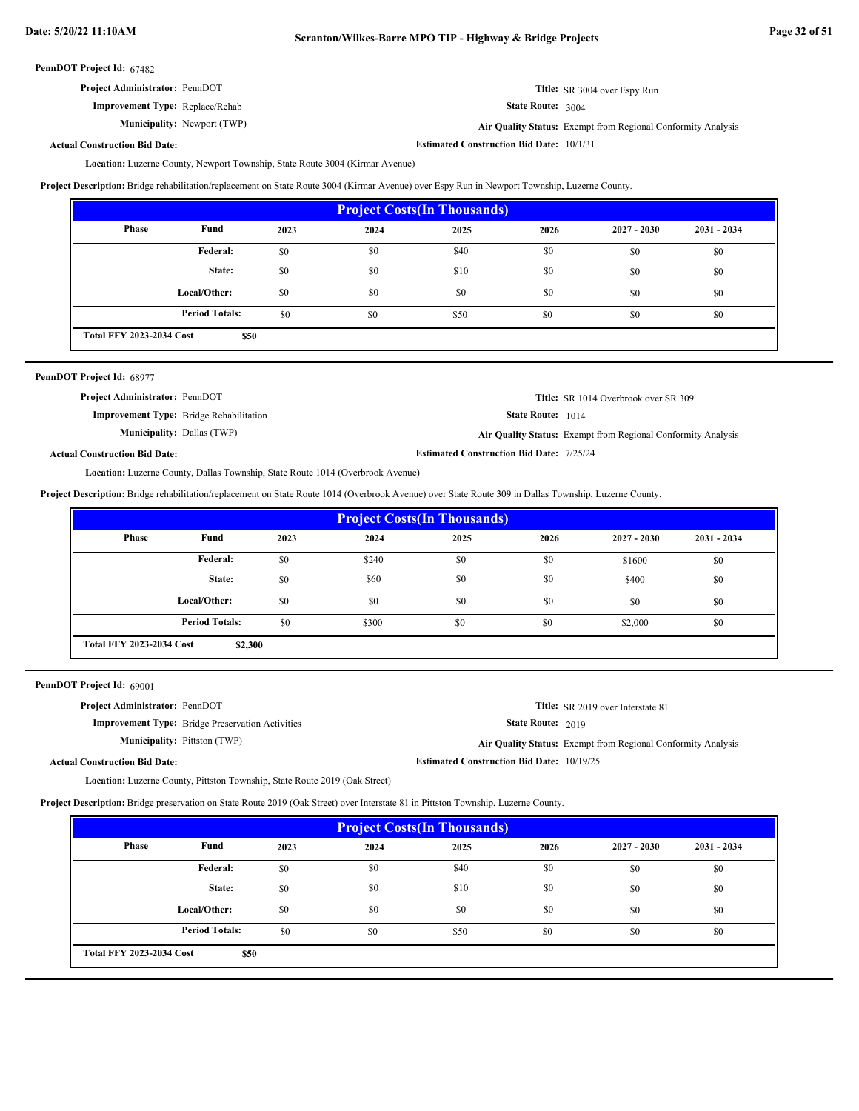| <b>Project Administrator: PennDOT</b> | Title: SR 3004 over Espy Run |
|---------------------------------------|------------------------------|
|                                       |                              |

**Improvement Type:** Replace/Rehab

Municipality: Newport (TWP)

State Route: 3004 Newport (TWP) **Air Quality Status:** Exempt from Regional Conformity Analysis

**Estimated Construction Bid Date:** 10/1/31

**Actual Construction Bid Date:**

Location: Luzerne County, Newport Township, State Route 3004 (Kirmar Avenue)

**Project Description:** Bridge rehabilitation/replacement on State Route 3004 (Kirmar Avenue) over Espy Run in Newport Township, Luzerne County.

| <b>Project Costs (In Thousands)</b>     |                       |      |      |      |      |               |               |
|-----------------------------------------|-----------------------|------|------|------|------|---------------|---------------|
| Phase                                   | Fund                  | 2023 | 2024 | 2025 | 2026 | $2027 - 2030$ | $2031 - 2034$ |
|                                         | Federal:              | \$0  | \$0  | \$40 | \$0  | \$0           | \$0           |
|                                         | State:                | \$0  | \$0  | \$10 | \$0  | \$0           | \$0           |
|                                         | Local/Other:          | \$0  | \$0  | \$0  | \$0  | \$0           | \$0           |
|                                         | <b>Period Totals:</b> | \$0  | \$0  | \$50 | \$0  | \$0           | \$0           |
| <b>Total FFY 2023-2034 Cost</b><br>\$50 |                       |      |      |      |      |               |               |

| PennDOT Project Id: 68977             |                                                |                                                 |                                                              |
|---------------------------------------|------------------------------------------------|-------------------------------------------------|--------------------------------------------------------------|
| <b>Project Administrator: PennDOT</b> |                                                |                                                 | <b>Title:</b> SR 1014 Overbrook over SR 309                  |
|                                       | <b>Improvement Type:</b> Bridge Rehabilitation | <b>State Route:</b> 1014                        |                                                              |
|                                       | <b>Municipality: Dallas (TWP)</b>              |                                                 | Air Quality Status: Exempt from Regional Conformity Analysis |
| <b>Actual Construction Bid Date:</b>  |                                                | <b>Estimated Construction Bid Date: 7/25/24</b> |                                                              |

Location: Luzerne County, Dallas Township, State Route 1014 (Overbrook Avenue)

**Project Description:** Bridge rehabilitation/replacement on State Route 1014 (Overbrook Avenue) over State Route 309 in Dallas Township, Luzerne County.

| <b>Project Costs (In Thousands)</b>        |                       |      |       |      |      |               |               |
|--------------------------------------------|-----------------------|------|-------|------|------|---------------|---------------|
| Phase                                      | Fund                  | 2023 | 2024  | 2025 | 2026 | $2027 - 2030$ | $2031 - 2034$ |
|                                            | Federal:              | \$0  | \$240 | \$0  | \$0  | \$1600        | \$0           |
|                                            | State:                | \$0  | \$60  | \$0  | \$0  | \$400         | \$0           |
|                                            | Local/Other:          | \$0  | \$0   | \$0  | \$0  | \$0           | \$0           |
|                                            | <b>Period Totals:</b> | \$0  | \$300 | \$0  | \$0  | \$2,000       | \$0           |
| <b>Total FFY 2023-2034 Cost</b><br>\$2,300 |                       |      |       |      |      |               |               |

PennDOT Project Id: 69001

| <b>Project Administrator: PennDOT</b> |                                                         |                                                  | <b>Title:</b> SR 2019 over Interstate 81                     |
|---------------------------------------|---------------------------------------------------------|--------------------------------------------------|--------------------------------------------------------------|
|                                       | <b>Improvement Type:</b> Bridge Preservation Activities | <b>State Route:</b> $2019$                       |                                                              |
|                                       | <b>Municipality:</b> Pittston (TWP)                     |                                                  | Air Quality Status: Exempt from Regional Conformity Analysis |
| <b>Actual Construction Bid Date:</b>  |                                                         | <b>Estimated Construction Bid Date: 10/19/25</b> |                                                              |

Location: Luzerne County, Pittston Township, State Route 2019 (Oak Street)

**Project Description:** Bridge preservation on State Route 2019 (Oak Street) over Interstate 81 in Pittston Township, Luzerne County.

| <b>Project Costs (In Thousands)</b>     |                       |      |      |      |      |               |               |
|-----------------------------------------|-----------------------|------|------|------|------|---------------|---------------|
| <b>Phase</b>                            | Fund                  | 2023 | 2024 | 2025 | 2026 | $2027 - 2030$ | $2031 - 2034$ |
|                                         | Federal:              | \$0  | \$0  | \$40 | \$0  | \$0           | \$0           |
|                                         | State:                | \$0  | \$0  | \$10 | \$0  | \$0           | \$0           |
|                                         | Local/Other:          | \$0  | \$0  | \$0  | \$0  | \$0           | \$0           |
|                                         | <b>Period Totals:</b> | \$0  | \$0  | \$50 | \$0  | \$0           | \$0           |
| <b>Total FFY 2023-2034 Cost</b><br>\$50 |                       |      |      |      |      |               |               |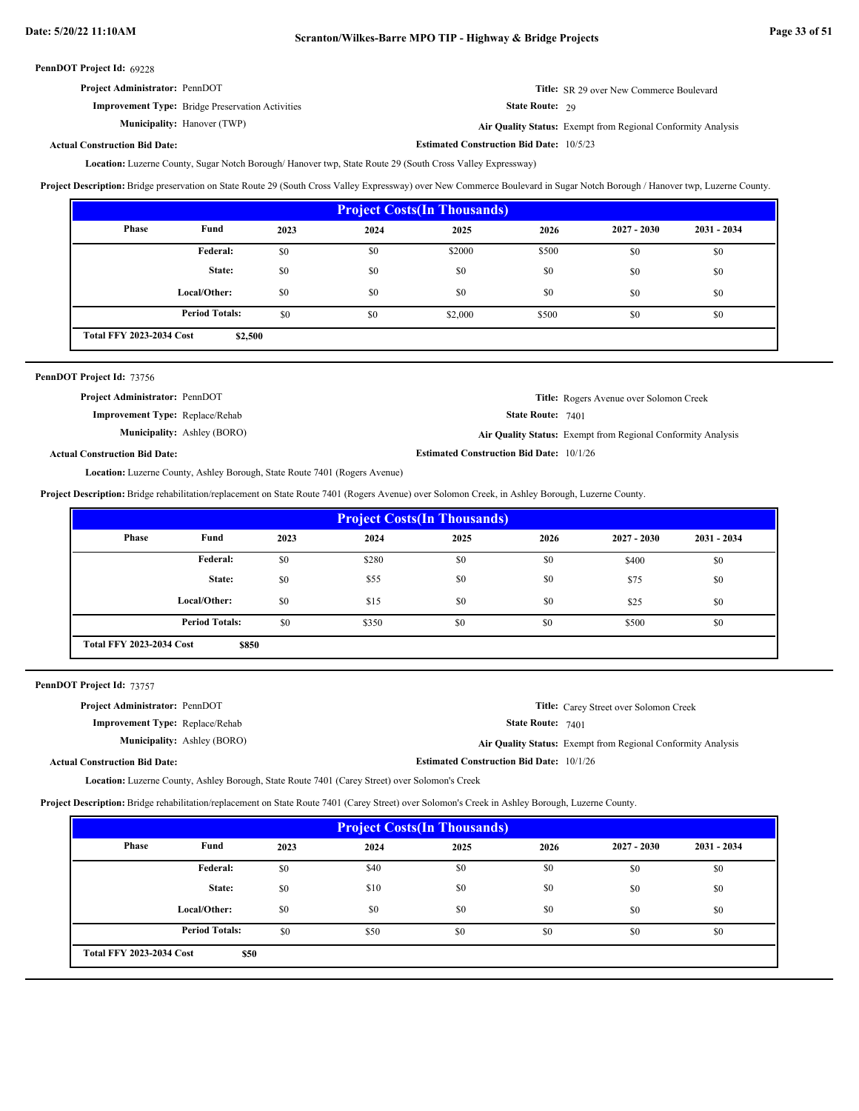| <b>Project Administrator: PennDOT</b>                   | <b>Title:</b> SR 29 over New Commerce Boulevard                     |
|---------------------------------------------------------|---------------------------------------------------------------------|
| <b>Improvement Type:</b> Bridge Preservation Activities | <b>State Route: 29</b>                                              |
| <b>Municipality:</b> Hanover (TWP)                      | <b>Air Ouality Status:</b> Exempt from Regional Conformity Analysis |

Hanover (TWP) **Air Quality Status:** Exempt from Regional Conformity Analysis

**Estimated Construction Bid Date:** 10/5/23

## **Actual Construction Bid Date:**

Location: Luzerne County, Sugar Notch Borough/ Hanover twp, State Route 29 (South Cross Valley Expressway)

**Project Description:** Bridge preservation on State Route 29 (South Cross Valley Expressway) over New Commerce Boulevard in Sugar Notch Borough / Hanover twp, Luzerne County.

| <b>Project Costs (In Thousands)</b>        |                       |      |      |         |       |               |               |
|--------------------------------------------|-----------------------|------|------|---------|-------|---------------|---------------|
| Phase                                      | Fund                  | 2023 | 2024 | 2025    | 2026  | $2027 - 2030$ | $2031 - 2034$ |
|                                            | <b>Federal:</b>       | \$0  | \$0  | \$2000  | \$500 | \$0           | \$0           |
|                                            | State:                | \$0  | \$0  | \$0     | \$0   | \$0           | \$0           |
|                                            | Local/Other:          | \$0  | \$0  | \$0     | \$0   | \$0           | \$0           |
|                                            | <b>Period Totals:</b> | \$0  | \$0  | \$2,000 | \$500 | \$0           | \$0           |
| <b>Total FFY 2023-2034 Cost</b><br>\$2,500 |                       |      |      |         |       |               |               |

| PennDOT Project Id: 73756              |                                    |                                                 |                                                                     |
|----------------------------------------|------------------------------------|-------------------------------------------------|---------------------------------------------------------------------|
| <b>Project Administrator: PennDOT</b>  |                                    |                                                 | <b>Title:</b> Rogers Avenue over Solomon Creek                      |
| <b>Improvement Type:</b> Replace/Rehab |                                    | <b>State Route: 7401</b>                        |                                                                     |
|                                        | <b>Municipality:</b> Ashley (BORO) |                                                 | <b>Air Quality Status:</b> Exempt from Regional Conformity Analysis |
| <b>Actual Construction Bid Date:</b>   |                                    | <b>Estimated Construction Bid Date: 10/1/26</b> |                                                                     |

Location: Luzerne County, Ashley Borough, State Route 7401 (Rogers Avenue)

**Project Description:** Bridge rehabilitation/replacement on State Route 7401 (Rogers Avenue) over Solomon Creek, in Ashley Borough, Luzerne County.

| <b>Project Costs (In Thousands)</b>      |                       |      |       |      |      |               |               |  |
|------------------------------------------|-----------------------|------|-------|------|------|---------------|---------------|--|
| Phase                                    | Fund                  | 2023 | 2024  | 2025 | 2026 | $2027 - 2030$ | $2031 - 2034$ |  |
|                                          | Federal:              | \$0  | \$280 | \$0  | \$0  | \$400         | \$0           |  |
|                                          | State:                | \$0  | \$55  | \$0  | \$0  | \$75          | \$0           |  |
|                                          | Local/Other:          | \$0  | \$15  | \$0  | \$0  | \$25          | \$0           |  |
|                                          | <b>Period Totals:</b> | \$0  | \$350 | \$0  | \$0  | \$500         | \$0           |  |
| <b>Total FFY 2023-2034 Cost</b><br>\$850 |                       |      |       |      |      |               |               |  |

PennDOT Project Id: 73757

| <b>Project Administrator: PennDOT</b>  |                                                 | <b>Title:</b> Carey Street over Solomon Creek                |
|----------------------------------------|-------------------------------------------------|--------------------------------------------------------------|
| <b>Improvement Type:</b> Replace/Rehab | <b>State Route: 7401</b>                        |                                                              |
| <b>Municipality:</b> Ashley (BORO)     |                                                 | Air Quality Status: Exempt from Regional Conformity Analysis |
| <b>Actual Construction Bid Date:</b>   | <b>Estimated Construction Bid Date: 10/1/26</b> |                                                              |

Luzerne County, Ashley Borough, State Route 7401 (Carey Street) over Solomon's Creek **Location:**

**Project Description:** Bridge rehabilitation/replacement on State Route 7401 (Carey Street) over Solomon's Creek in Ashley Borough, Luzerne County.

| <b>Project Costs (In Thousands)</b>     |                       |      |      |      |      |               |             |  |
|-----------------------------------------|-----------------------|------|------|------|------|---------------|-------------|--|
| Phase                                   | Fund                  | 2023 | 2024 | 2025 | 2026 | $2027 - 2030$ | 2031 - 2034 |  |
|                                         | <b>Federal:</b>       | \$0  | \$40 | \$0  | \$0  | \$0           | \$0         |  |
|                                         | State:                | \$0  | \$10 | \$0  | \$0  | \$0           | \$0         |  |
|                                         | Local/Other:          | \$0  | \$0  | \$0  | \$0  | \$0           | \$0         |  |
|                                         | <b>Period Totals:</b> | \$0  | \$50 | \$0  | \$0  | \$0           | \$0         |  |
| <b>Total FFY 2023-2034 Cost</b><br>\$50 |                       |      |      |      |      |               |             |  |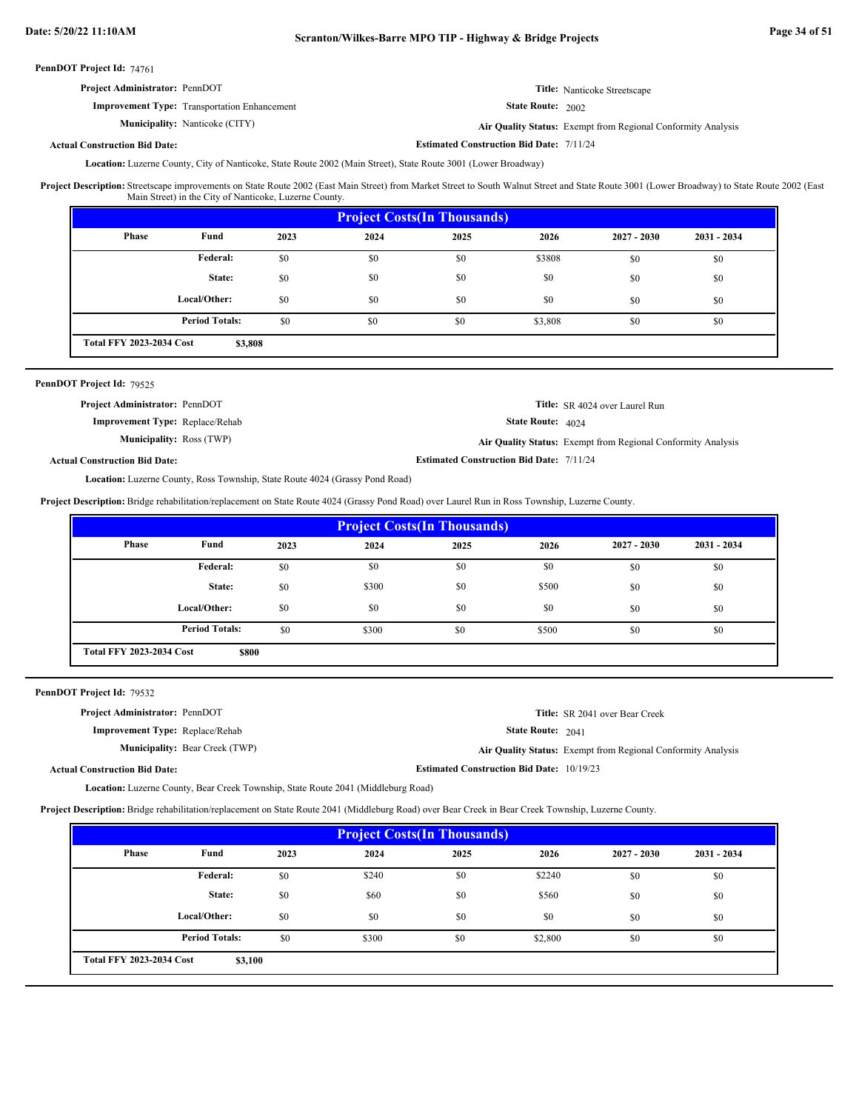| <b>Project Administrator: PennDOT</b>               | <b>Title:</b> Nanticoke Streetscape                        |
|-----------------------------------------------------|------------------------------------------------------------|
| <b>Improvement Type:</b> Transportation Enhancement | <b>State Route: 2002</b>                                   |
| <b>Municipality:</b> Nanticoke (CITY)               | Air Quality Status: Exempt from Regional Conformity Analys |

Nanticoke (CITY) **Air Quality Status:** Exempt from Regional Conformity Analysis

**Estimated Construction Bid Date:** 7/11/24

## **Actual Construction Bid Date:**

Location: Luzerne County, City of Nanticoke, State Route 2002 (Main Street), State Route 3001 (Lower Broadway)

Streetscape improvements on State Route 2002 (East Main Street) from Market Street to South Walnut Street and State Route 3001 (Lower Broadway) to State Route 2002 (East Main Street) in the City of Nanticoke, Luzerne County. **Project Description:**

| <b>Project Costs (In Thousands)</b> |                                            |      |      |      |         |               |               |  |  |
|-------------------------------------|--------------------------------------------|------|------|------|---------|---------------|---------------|--|--|
| Phase                               | Fund                                       | 2023 | 2024 | 2025 | 2026    | $2027 - 2030$ | $2031 - 2034$ |  |  |
|                                     | Federal:                                   | \$0  | \$0  | \$0  | \$3808  | \$0           | \$0           |  |  |
|                                     | State:                                     | \$0  | \$0  | \$0  | \$0     | \$0           | \$0           |  |  |
|                                     | Local/Other:                               | \$0  | \$0  | \$0  | \$0     | \$0           | \$0           |  |  |
|                                     | <b>Period Totals:</b>                      | \$0  | \$0  | \$0  | \$3,808 | \$0           | \$0           |  |  |
|                                     | <b>Total FFY 2023-2034 Cost</b><br>\$3,808 |      |      |      |         |               |               |  |  |

## PennDOT Project Id: 79525

| <b>Project Administrator: PennDOT</b>  |                                                 | <b>Title:</b> SR 4024 over Laurel Run                               |
|----------------------------------------|-------------------------------------------------|---------------------------------------------------------------------|
| <b>Improvement Type:</b> Replace/Rehab | <b>State Route:</b> $4024$                      |                                                                     |
| <b>Municipality: Ross (TWP)</b>        |                                                 | <b>Air Quality Status:</b> Exempt from Regional Conformity Analysis |
| <b>Actual Construction Bid Date:</b>   | <b>Estimated Construction Bid Date: 7/11/24</b> |                                                                     |

# Location: Luzerne County, Ross Township, State Route 4024 (Grassy Pond Road)

**Project Description:** Bridge rehabilitation/replacement on State Route 4024 (Grassy Pond Road) over Laurel Run in Ross Township, Luzerne County.

| <b>Project Costs (In Thousands)</b> |                                          |      |       |      |       |               |               |  |  |
|-------------------------------------|------------------------------------------|------|-------|------|-------|---------------|---------------|--|--|
| Phase                               | Fund                                     | 2023 | 2024  | 2025 | 2026  | $2027 - 2030$ | $2031 - 2034$ |  |  |
|                                     | Federal:                                 | \$0  | \$0   | \$0  | \$0   | \$0           | \$0           |  |  |
|                                     | State:                                   | \$0  | \$300 | \$0  | \$500 | \$0           | \$0           |  |  |
|                                     | Local/Other:                             | \$0  | \$0   | \$0  | \$0   | \$0           | \$0           |  |  |
|                                     | <b>Period Totals:</b>                    | \$0  | \$300 | \$0  | \$500 | \$0           | \$0           |  |  |
|                                     | <b>Total FFY 2023-2034 Cost</b><br>\$800 |      |       |      |       |               |               |  |  |

## PennDOT Project Id: 79532

| <b>Project Administrator: PennDOT</b>  | <b>Title:</b> SR 2041 over Bear Creek                               |
|----------------------------------------|---------------------------------------------------------------------|
| <b>Improvement Type:</b> Replace/Rehab | <b>State Route:</b> $2041$                                          |
| <b>Municipality: Bear Creek (TWP)</b>  | <b>Air Quality Status:</b> Exempt from Regional Conformity Analysis |
| <b>Actual Construction Bid Date:</b>   | <b>Estimated Construction Bid Date: 10/19/23</b>                    |

Location: Luzerne County, Bear Creek Township, State Route 2041 (Middleburg Road)

**Project Description:** Bridge rehabilitation/replacement on State Route 2041 (Middleburg Road) over Bear Creek in Bear Creek Township, Luzerne County.

| <b>Project Costs (In Thousands)</b>        |                       |      |       |      |         |               |               |  |  |
|--------------------------------------------|-----------------------|------|-------|------|---------|---------------|---------------|--|--|
| Phase                                      | Fund                  | 2023 | 2024  | 2025 | 2026    | $2027 - 2030$ | $2031 - 2034$ |  |  |
|                                            | Federal:              | \$0  | \$240 | \$0  | \$2240  | \$0           | \$0           |  |  |
|                                            | State:                | \$0  | \$60  | \$0  | \$560   | \$0           | \$0           |  |  |
|                                            | Local/Other:          | \$0  | \$0   | \$0  | \$0     | \$0           | \$0           |  |  |
|                                            | <b>Period Totals:</b> | \$0  | \$300 | \$0  | \$2,800 | \$0           | \$0           |  |  |
| <b>Total FFY 2023-2034 Cost</b><br>\$3,100 |                       |      |       |      |         |               |               |  |  |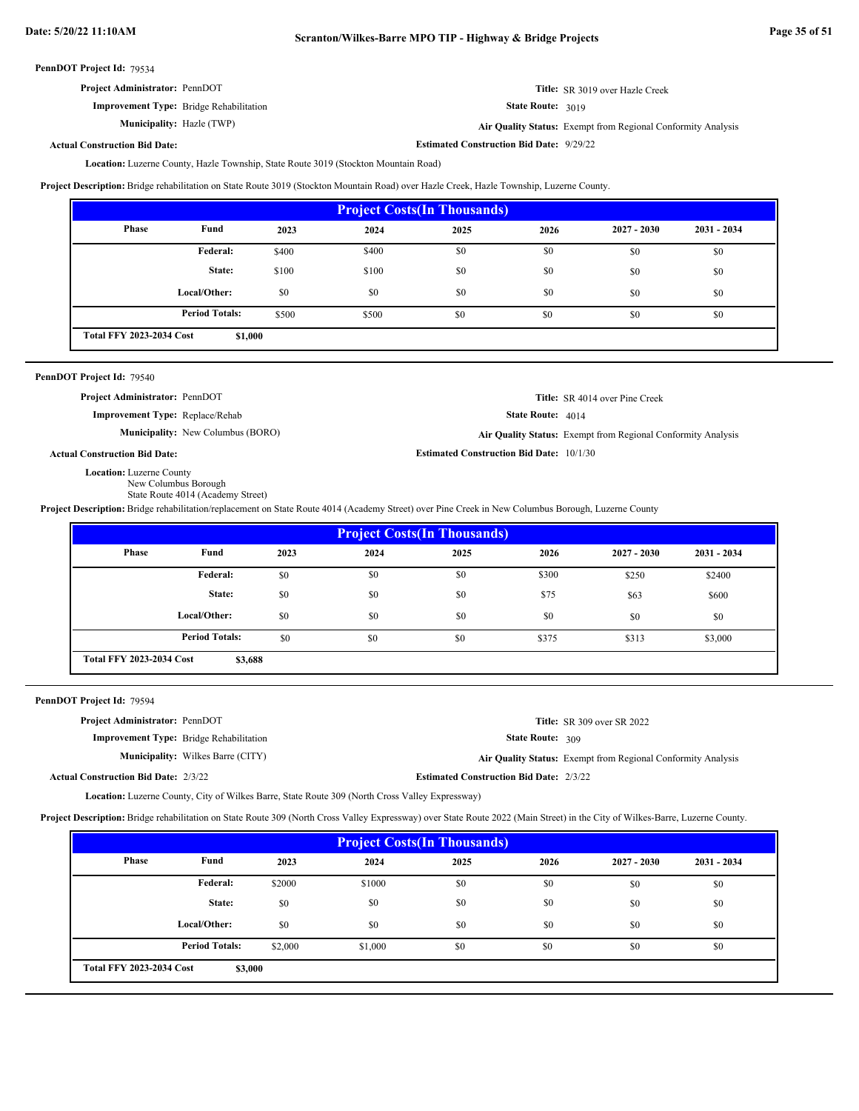**Estimated Construction Bid Date:** 9/29/22

**Estimated Construction Bid Date:** 10/1/30

PennDOT Project Id: 79534

| <b>Project Administrator: PennDOT</b>          | Title: SR 3019 over Hazle Creek |
|------------------------------------------------|---------------------------------|
| <b>Improvement Type:</b> Bridge Rehabilitation | <b>State Route: 3019</b>        |

Hazle (TWP) **Air Quality Status:** Exempt from Regional Conformity Analysis

**Actual Construction Bid Date:**

**Municipality:**

Location: Luzerne County, Hazle Township, State Route 3019 (Stockton Mountain Road)

**Project Description:** Bridge rehabilitation on State Route 3019 (Stockton Mountain Road) over Hazle Creek, Hazle Township, Luzerne County.

| <b>Project Costs (In Thousands)</b>        |                       |       |       |      |      |               |               |  |  |
|--------------------------------------------|-----------------------|-------|-------|------|------|---------------|---------------|--|--|
| Phase                                      | Fund                  | 2023  | 2024  | 2025 | 2026 | $2027 - 2030$ | $2031 - 2034$ |  |  |
|                                            | Federal:              | \$400 | \$400 | \$0  | \$0  | \$0           | \$0           |  |  |
|                                            | State:                | \$100 | \$100 | \$0  | \$0  | \$0           | \$0           |  |  |
|                                            | Local/Other:          | \$0   | \$0   | \$0  | \$0  | \$0           | \$0           |  |  |
|                                            | <b>Period Totals:</b> | \$500 | \$500 | \$0  | \$0  | \$0           | \$0           |  |  |
| <b>Total FFY 2023-2034 Cost</b><br>\$1,000 |                       |       |       |      |      |               |               |  |  |

## PennDOT Project Id: 79540

**Project Administrator:** PennDOT

**Improvement Type:** Replace/Rehab

State Route: 4014 **Title:** SR 4014 over Pine Creek

Air Quality Status: Exempt from Regional Conformity Analysis

**Municipality:** New Columbus (BORO) **Air Quality Status:** 

```
Actual Construction Bid Date:
```
Location: Luzerne County

New Columbus Borough

State Route 4014 (Academy Street)

**Project Description:** Bridge rehabilitation/replacement on State Route 4014 (Academy Street) over Pine Creek in New Columbus Borough, Luzerne County

| <b>Project Costs (In Thousands)</b>        |                       |      |      |      |       |               |               |  |
|--------------------------------------------|-----------------------|------|------|------|-------|---------------|---------------|--|
| Phase                                      | Fund                  | 2023 | 2024 | 2025 | 2026  | $2027 - 2030$ | $2031 - 2034$ |  |
|                                            | Federal:              | \$0  | \$0  | \$0  | \$300 | \$250         | \$2400        |  |
|                                            | State:                | \$0  | \$0  | \$0  | \$75  | \$63          | \$600         |  |
|                                            | Local/Other:          | \$0  | \$0  | \$0  | \$0   | \$0           | \$0           |  |
|                                            | <b>Period Totals:</b> | \$0  | \$0  | \$0  | \$375 | \$313         | \$3,000       |  |
| <b>Total FFY 2023-2034 Cost</b><br>\$3,688 |                       |      |      |      |       |               |               |  |

PennDOT Project Id: 79594

Act

| <b>Project Administrator: PennDOT</b> |                                                |                                                | <b>Title:</b> SR 309 over SR 2022                            |
|---------------------------------------|------------------------------------------------|------------------------------------------------|--------------------------------------------------------------|
|                                       | <b>Improvement Type:</b> Bridge Rehabilitation | <b>State Route: 309</b>                        |                                                              |
|                                       | <b>Municipality:</b> Wilkes Barre (CITY)       |                                                | Air Quality Status: Exempt from Regional Conformity Analysis |
| ual Construction Bid Date: 2/3/22     |                                                | <b>Estimated Construction Bid Date: 2/3/22</b> |                                                              |
|                                       |                                                |                                                |                                                              |

Location: Luzerne County, City of Wilkes Barre, State Route 309 (North Cross Valley Expressway)

**Project Description:** Bridge rehabilitation on State Route 309 (North Cross Valley Expressway) over State Route 2022 (Main Street) in the City of Wilkes-Barre, Luzerne County.

| <b>Project Costs (In Thousands)</b>        |                       |         |         |      |      |               |               |
|--------------------------------------------|-----------------------|---------|---------|------|------|---------------|---------------|
| Phase                                      | Fund                  | 2023    | 2024    | 2025 | 2026 | $2027 - 2030$ | $2031 - 2034$ |
|                                            | <b>Federal:</b>       | \$2000  | \$1000  | \$0  | \$0  | \$0           | \$0           |
|                                            | State:                | \$0     | \$0     | \$0  | \$0  | \$0           | \$0           |
|                                            | Local/Other:          | \$0     | \$0     | \$0  | \$0  | \$0           | \$0           |
|                                            | <b>Period Totals:</b> | \$2,000 | \$1,000 | \$0  | \$0  | \$0           | \$0           |
| <b>Total FFY 2023-2034 Cost</b><br>\$3,000 |                       |         |         |      |      |               |               |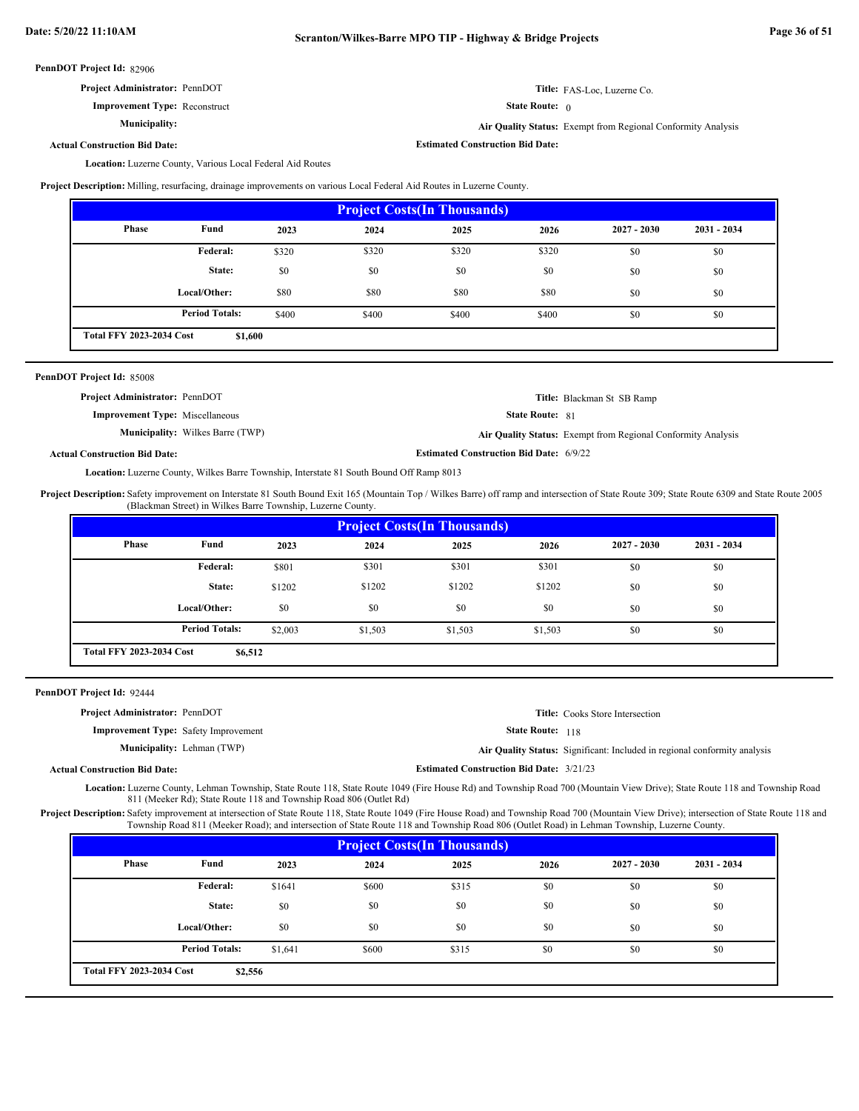**Actual Construction Bid Date:**

| <b>Project Administrator: PennDOT</b> |  |
|---------------------------------------|--|
|---------------------------------------|--|

**Improvement Type:** Reconstruct

**Municipality:**

State Route: 0 **Air Quality Status:** Exempt from Regional Conformity Analysis

**Title:** FAS-Loc, Luzerne Co.

**Estimated Construction Bid Date:**

Location: Luzerne County, Various Local Federal Aid Routes

**Project Description:** Milling, resurfacing, drainage improvements on various Local Federal Aid Routes in Luzerne County.

| <b>Project Costs (In Thousands)</b>        |                       |       |       |       |       |               |               |
|--------------------------------------------|-----------------------|-------|-------|-------|-------|---------------|---------------|
| <b>Phase</b>                               | Fund                  | 2023  | 2024  | 2025  | 2026  | $2027 - 2030$ | $2031 - 2034$ |
|                                            | Federal:              | \$320 | \$320 | \$320 | \$320 | \$0           | \$0           |
|                                            | State:                | \$0   | \$0   | \$0   | \$0   | \$0           | \$0           |
|                                            | Local/Other:          | \$80  | \$80  | \$80  | \$80  | \$0           | \$0           |
|                                            | <b>Period Totals:</b> | \$400 | \$400 | \$400 | \$400 | \$0           | \$0           |
| <b>Total FFY 2023-2034 Cost</b><br>\$1,600 |                       |       |       |       |       |               |               |

| PennDOT Project Id: 85008              |                                         |                                                |                                                              |
|----------------------------------------|-----------------------------------------|------------------------------------------------|--------------------------------------------------------------|
| <b>Project Administrator: PennDOT</b>  |                                         |                                                | Title: Blackman St SB Ramp                                   |
| <b>Improvement Type:</b> Miscellaneous |                                         | <b>State Route: 81</b>                         |                                                              |
|                                        | <b>Municipality:</b> Wilkes Barre (TWP) |                                                | Air Quality Status: Exempt from Regional Conformity Analysis |
| <b>Actual Construction Bid Date:</b>   |                                         | <b>Estimated Construction Bid Date: 6/9/22</b> |                                                              |

Location: Luzerne County, Wilkes Barre Township, Interstate 81 South Bound Off Ramp 8013

Project Description: Safety improvement on Interstate 81 South Bound Exit 165 (Mountain Top / Wilkes Barre) off ramp and intersection of State Route 309; State Route 6309 and State Route 2005 (Blackman Street) in Wilkes Barre Township, Luzerne County.

|                                            | <b>Project Costs (In Thousands)</b> |         |         |         |         |               |               |  |
|--------------------------------------------|-------------------------------------|---------|---------|---------|---------|---------------|---------------|--|
| Phase                                      | Fund                                | 2023    | 2024    | 2025    | 2026    | $2027 - 2030$ | $2031 - 2034$ |  |
|                                            | Federal:                            | \$801   | \$301   | \$301   | \$301   | \$0           | \$0           |  |
|                                            | State:                              | \$1202  | \$1202  | \$1202  | \$1202  | \$0           | \$0           |  |
|                                            | Local/Other:                        | \$0     | \$0     | \$0     | \$0     | \$0           | \$0           |  |
|                                            | <b>Period Totals:</b>               | \$2,003 | \$1,503 | \$1,503 | \$1,503 | \$0           | \$0           |  |
| <b>Total FFY 2023-2034 Cost</b><br>\$6,512 |                                     |         |         |         |         |               |               |  |

| PennDOT Project Id: 92444                   |                                   |                                                 |                                                                           |
|---------------------------------------------|-----------------------------------|-------------------------------------------------|---------------------------------------------------------------------------|
| <b>Project Administrator: PennDOT</b>       |                                   |                                                 | <b>Title:</b> Cooks Store Intersection                                    |
| <b>Improvement Type:</b> Safety Improvement |                                   | <b>State Route:</b> 118                         |                                                                           |
|                                             | <b>Municipality:</b> Lehman (TWP) |                                                 | Air Quality Status: Significant: Included in regional conformity analysis |
| <b>Actual Construction Bid Date:</b>        |                                   | <b>Estimated Construction Bid Date: 3/21/23</b> |                                                                           |
|                                             |                                   |                                                 |                                                                           |

Location: Luzerne County, Lehman Township, State Route 118, State Route 1049 (Fire House Rd) and Township Road 700 (Mountain View Drive); State Route 118 and Township Road 811 (Meeker Rd); State Route 118 and Township Road 806 (Outlet Rd)

Project Description: Safety improvement at intersection of State Route 118, State Route 1049 (Fire House Road) and Township Road 700 (Mountain View Drive); intersection of State Route 118 and Township Road 811 (Meeker Road); and intersection of State Route 118 and Township Road 806 (Outlet Road) in Lehman Township, Luzerne County.

| <b>Project Costs (In Thousands)</b>        |                       |         |       |       |      |               |               |
|--------------------------------------------|-----------------------|---------|-------|-------|------|---------------|---------------|
| Phase                                      | Fund                  | 2023    | 2024  | 2025  | 2026 | $2027 - 2030$ | $2031 - 2034$ |
|                                            | Federal:              | \$1641  | \$600 | \$315 | \$0  | \$0           | \$0           |
|                                            | State:                | \$0     | \$0   | \$0   | \$0  | \$0           | \$0           |
|                                            | Local/Other:          | \$0     | \$0   | \$0   | \$0  | \$0           | \$0           |
|                                            | <b>Period Totals:</b> | \$1,641 | \$600 | \$315 | \$0  | \$0           | \$0           |
| <b>Total FFY 2023-2034 Cost</b><br>\$2,556 |                       |         |       |       |      |               |               |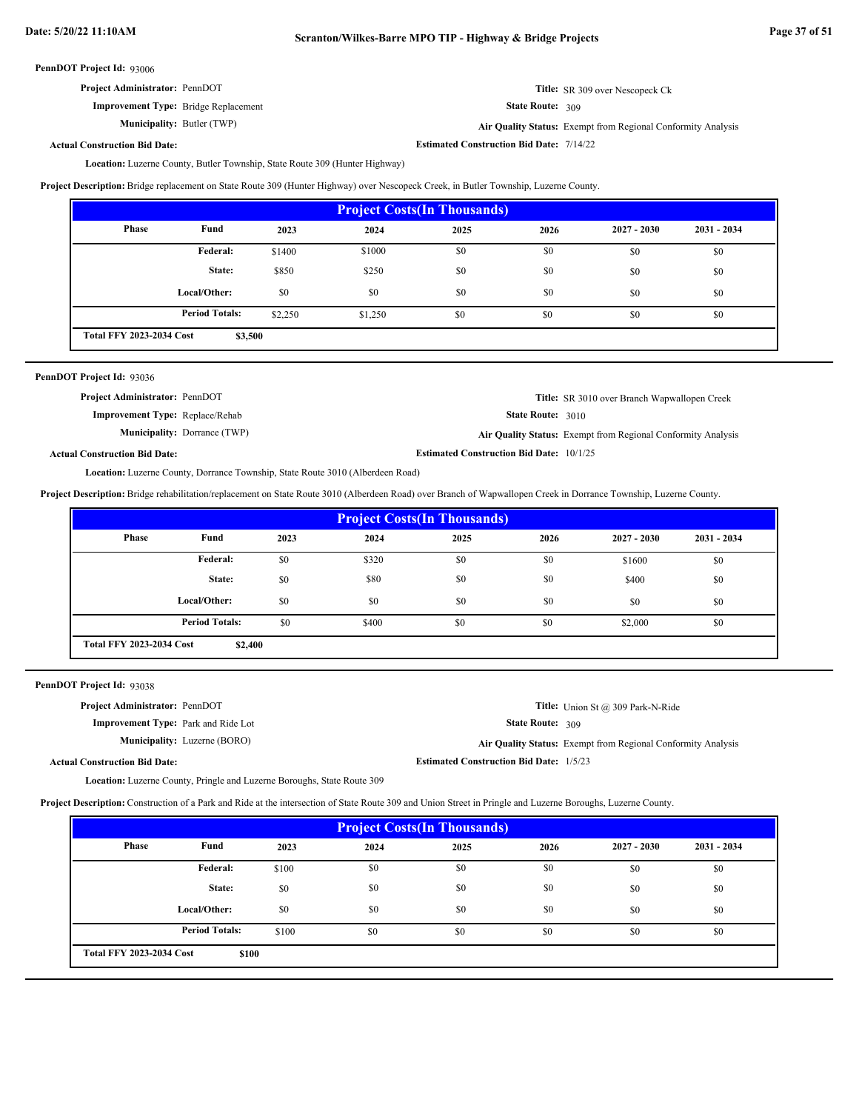**Estimated Construction Bid Date:** 7/14/22

PennDOT Project Id: 93006

| <b>Project Administrator: PennDOT</b>       | Title: SR 309 over Nescopeck Ck |
|---------------------------------------------|---------------------------------|
| <b>Improvement Type:</b> Bridge Replacement | <b>State Route: 309</b>         |

**Municipality:**

State Route: 309

Butler (TWP) **Air Quality Status:** Exempt from Regional Conformity Analysis

**Actual Construction Bid Date:**

Location: Luzerne County, Butler Township, State Route 309 (Hunter Highway)

**Project Description:** Bridge replacement on State Route 309 (Hunter Highway) over Nescopeck Creek, in Butler Township, Luzerne County.

| <b>Project Costs (In Thousands)</b>        |                       |         |         |      |      |               |               |
|--------------------------------------------|-----------------------|---------|---------|------|------|---------------|---------------|
| <b>Phase</b>                               | Fund                  | 2023    | 2024    | 2025 | 2026 | $2027 - 2030$ | $2031 - 2034$ |
|                                            | <b>Federal:</b>       | \$1400  | \$1000  | \$0  | \$0  | \$0           | \$0           |
|                                            | State:                | \$850   | \$250   | \$0  | \$0  | \$0           | \$0           |
|                                            | Local/Other:          | \$0     | \$0     | \$0  | \$0  | \$0           | \$0           |
|                                            | <b>Period Totals:</b> | \$2,250 | \$1,250 | \$0  | \$0  | \$0           | \$0           |
| <b>Total FFY 2023-2034 Cost</b><br>\$3,500 |                       |         |         |      |      |               |               |

| PennDOT Project Id: 93036              |                                     |                                                 |                                                              |
|----------------------------------------|-------------------------------------|-------------------------------------------------|--------------------------------------------------------------|
| <b>Project Administrator: PennDOT</b>  |                                     |                                                 | <b>Title:</b> SR 3010 over Branch Wapwallopen Creek          |
| <b>Improvement Type:</b> Replace/Rehab |                                     | <b>State Route: 3010</b>                        |                                                              |
|                                        | <b>Municipality:</b> Dorrance (TWP) |                                                 | Air Quality Status: Exempt from Regional Conformity Analysis |
| <b>Actual Construction Bid Date:</b>   |                                     | <b>Estimated Construction Bid Date: 10/1/25</b> |                                                              |

Location: Luzerne County, Dorrance Township, State Route 3010 (Alberdeen Road)

**Project Description:** Bridge rehabilitation/replacement on State Route 3010 (Alberdeen Road) over Branch of Wapwallopen Creek in Dorrance Township, Luzerne County.

| <b>Project Costs (In Thousands)</b>        |                       |      |       |      |      |               |               |
|--------------------------------------------|-----------------------|------|-------|------|------|---------------|---------------|
| Phase                                      | Fund                  | 2023 | 2024  | 2025 | 2026 | $2027 - 2030$ | $2031 - 2034$ |
|                                            | Federal:              | \$0  | \$320 | \$0  | \$0  | \$1600        | \$0           |
|                                            | State:                | \$0  | \$80  | \$0  | \$0  | \$400         | \$0           |
|                                            | Local/Other:          | \$0  | \$0   | \$0  | \$0  | \$0           | \$0           |
|                                            | <b>Period Totals:</b> | \$0  | \$400 | \$0  | \$0  | \$2,000       | \$0           |
| <b>Total FFY 2023-2034 Cost</b><br>\$2,400 |                       |      |       |      |      |               |               |

PennDOT Project Id: 93038

| <b>Project Administrator: PennDOT</b>      |                                     |                                                | <b>Title:</b> Union St @ 309 Park-N-Ride                     |
|--------------------------------------------|-------------------------------------|------------------------------------------------|--------------------------------------------------------------|
| <b>Improvement Type:</b> Park and Ride Lot |                                     | <b>State Route: 309</b>                        |                                                              |
|                                            | <b>Municipality:</b> Luzerne (BORO) |                                                | Air Quality Status: Exempt from Regional Conformity Analysis |
| al Construction Bid Date:                  |                                     | <b>Estimated Construction Bid Date: 1/5/23</b> |                                                              |

Actu

Location: Luzerne County, Pringle and Luzerne Boroughs, State Route 309

**Project Description:** Construction of a Park and Ride at the intersection of State Route 309 and Union Street in Pringle and Luzerne Boroughs, Luzerne County.

| <b>Project Costs (In Thousands)</b>      |                       |       |      |      |      |               |               |
|------------------------------------------|-----------------------|-------|------|------|------|---------------|---------------|
| <b>Phase</b>                             | Fund                  | 2023  | 2024 | 2025 | 2026 | $2027 - 2030$ | $2031 - 2034$ |
|                                          | Federal:              | \$100 | \$0  | \$0  | \$0  | \$0           | \$0           |
|                                          | State:                | \$0   | \$0  | \$0  | \$0  | \$0           | \$0           |
|                                          | Local/Other:          | \$0   | \$0  | \$0  | \$0  | \$0           | \$0           |
|                                          | <b>Period Totals:</b> | \$100 | \$0  | \$0  | \$0  | \$0           | \$0           |
| <b>Total FFY 2023-2034 Cost</b><br>\$100 |                       |       |      |      |      |               |               |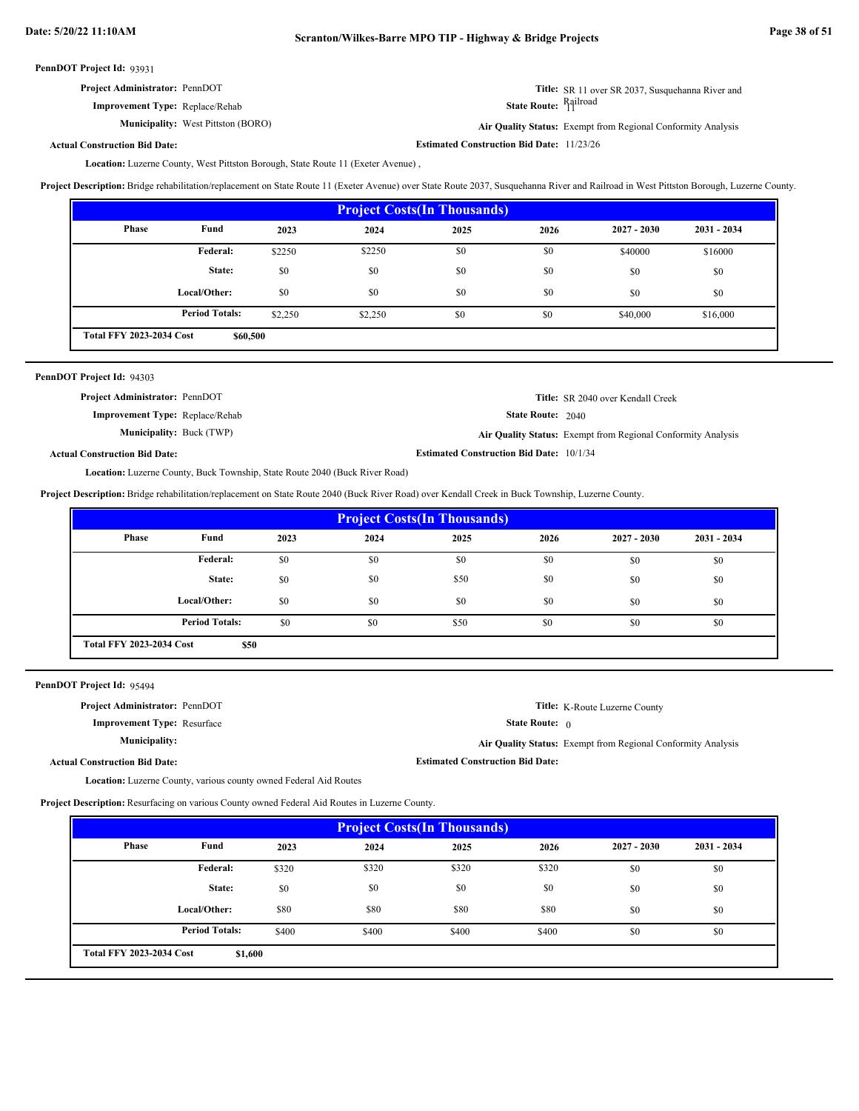| <b>Project Administrator: PennDOT</b>  | <b>Title:</b> SR 11 over SR 2037. Susquehanna River and |
|----------------------------------------|---------------------------------------------------------|
| <b>Improvement Type: Replace/Rehab</b> | State Route: Railroad                                   |

**Municipality:** West Pittston (BORO)

**Estimated Construction Bid Date:** 11/23/26 West Pittston (BORO) **Air Quality Status:** Exempt from Regional Conformity Analysis

**Actual Construction Bid Date:**

Location: Luzerne County, West Pittston Borough, State Route 11 (Exeter Avenue),

**Project Description:** Bridge rehabilitation/replacement on State Route 11 (Exeter Avenue) over State Route 2037, Susquehanna River and Railroad in West Pittston Borough, Luzerne County.

| <b>Project Costs (In Thousands)</b>         |                       |         |         |      |      |               |               |
|---------------------------------------------|-----------------------|---------|---------|------|------|---------------|---------------|
| <b>Phase</b>                                | Fund                  | 2023    | 2024    | 2025 | 2026 | $2027 - 2030$ | $2031 - 2034$ |
|                                             | Federal:              | \$2250  | \$2250  | \$0  | \$0  | \$40000       | \$16000       |
|                                             | State:                | \$0     | \$0     | \$0  | \$0  | \$0           | \$0           |
|                                             | Local/Other:          | \$0     | \$0     | \$0  | \$0  | \$0           | \$0           |
|                                             | <b>Period Totals:</b> | \$2,250 | \$2,250 | \$0  | \$0  | \$40,000      | \$16,000      |
| <b>Total FFY 2023-2034 Cost</b><br>\$60,500 |                       |         |         |      |      |               |               |

| PennDOT Project Id: 94303              |                                                 |                                                              |
|----------------------------------------|-------------------------------------------------|--------------------------------------------------------------|
| <b>Project Administrator: PennDOT</b>  |                                                 | <b>Title:</b> SR 2040 over Kendall Creek                     |
| <b>Improvement Type:</b> Replace/Rehab | <b>State Route: 2040</b>                        |                                                              |
| <b>Municipality:</b> Buck (TWP)        |                                                 | Air Quality Status: Exempt from Regional Conformity Analysis |
| <b>Actual Construction Bid Date:</b>   | <b>Estimated Construction Bid Date: 10/1/34</b> |                                                              |

Location: Luzerne County, Buck Township, State Route 2040 (Buck River Road)

**Project Description:** Bridge rehabilitation/replacement on State Route 2040 (Buck River Road) over Kendall Creek in Buck Township, Luzerne County.

| <b>Project Costs (In Thousands)</b> |                                         |      |      |      |      |               |               |
|-------------------------------------|-----------------------------------------|------|------|------|------|---------------|---------------|
| Phase                               | Fund                                    | 2023 | 2024 | 2025 | 2026 | $2027 - 2030$ | $2031 - 2034$ |
|                                     | Federal:                                | \$0  | \$0  | \$0  | \$0  | \$0           | \$0           |
|                                     | State:                                  | \$0  | \$0  | \$50 | \$0  | \$0           | \$0           |
|                                     | Local/Other:                            | \$0  | \$0  | \$0  | \$0  | \$0           | \$0           |
|                                     | <b>Period Totals:</b>                   | \$0  | \$0  | \$50 | \$0  | \$0           | \$0           |
|                                     | <b>Total FFY 2023-2034 Cost</b><br>\$50 |      |      |      |      |               |               |

PennDOT Project Id: 95494

| <b>Project Administrator: PennDOT</b> |                                         | <b>Title:</b> K-Route Luzerne County                         |
|---------------------------------------|-----------------------------------------|--------------------------------------------------------------|
| <b>Improvement Type: Resurface</b>    | <b>State Route:</b> $\theta$            |                                                              |
| Municipality:                         |                                         | Air Quality Status: Exempt from Regional Conformity Analysis |
| <b>Actual Construction Bid Date:</b>  | <b>Estimated Construction Bid Date:</b> |                                                              |

Location: Luzerne County, various county owned Federal Aid Routes

**Project Description:** Resurfacing on various County owned Federal Aid Routes in Luzerne County.

| <b>Project Costs (In Thousands)</b>        |                       |       |       |       |       |               |               |
|--------------------------------------------|-----------------------|-------|-------|-------|-------|---------------|---------------|
| <b>Phase</b>                               | Fund                  | 2023  | 2024  | 2025  | 2026  | $2027 - 2030$ | $2031 - 2034$ |
|                                            | Federal:              | \$320 | \$320 | \$320 | \$320 | \$0           | \$0           |
|                                            | State:                | \$0   | \$0   | \$0   | \$0   | \$0           | \$0           |
|                                            | Local/Other:          | \$80  | \$80  | \$80  | \$80  | \$0           | \$0           |
|                                            | <b>Period Totals:</b> | \$400 | \$400 | \$400 | \$400 | \$0           | \$0           |
| <b>Total FFY 2023-2034 Cost</b><br>\$1,600 |                       |       |       |       |       |               |               |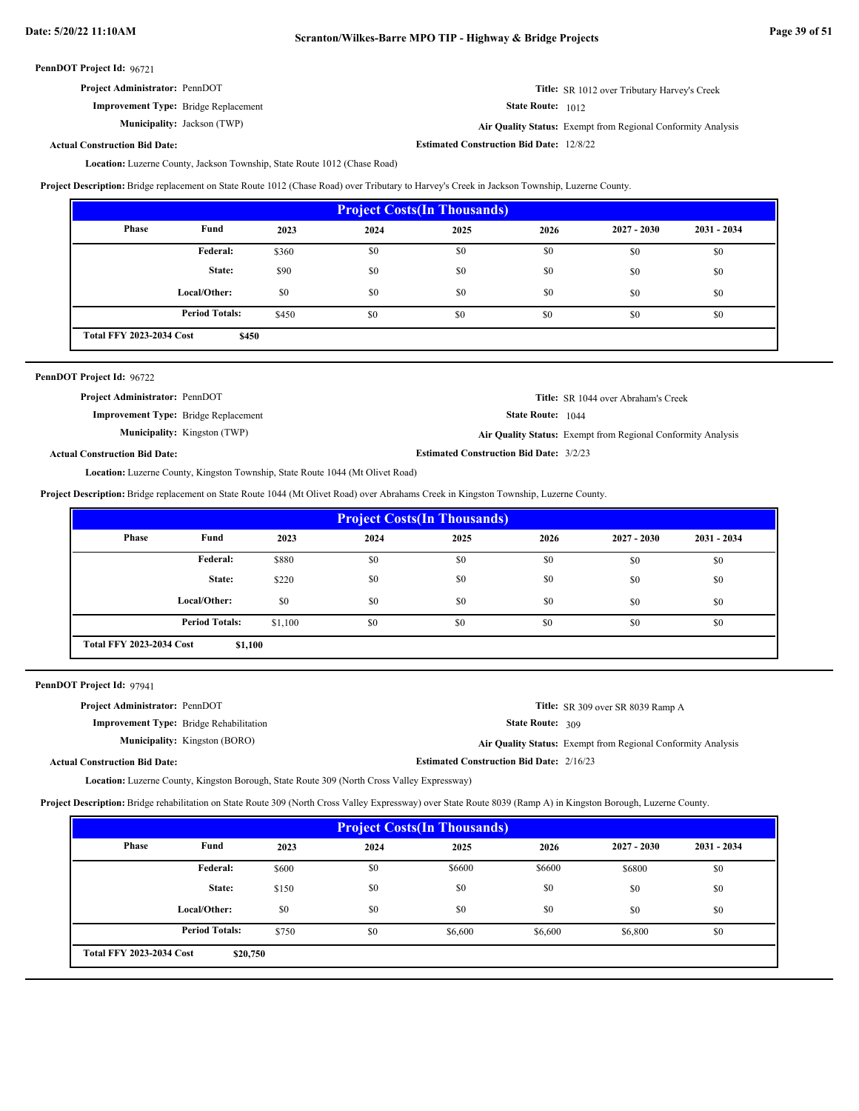**Actual Construction Bid Date:**

| <b>Project Administrator: PennDOT</b>       | <b>Title:</b> SR 1012 over Tributary Harvey's Creek |
|---------------------------------------------|-----------------------------------------------------|
| <b>Improvement Type:</b> Bridge Replacement | <b>State Route:</b> 1012                            |

**Municipality:** Jackson (TWP) **Air Quality Status:** Exempt from Regional Conformity Analysis

**Estimated Construction Bid Date:** 12/8/22

Location: Luzerne County, Jackson Township, State Route 1012 (Chase Road)

**Project Description:** Bridge replacement on State Route 1012 (Chase Road) over Tributary to Harvey's Creek in Jackson Township, Luzerne County.

| <b>Project Costs (In Thousands)</b> |                                          |       |      |      |      |               |               |
|-------------------------------------|------------------------------------------|-------|------|------|------|---------------|---------------|
| <b>Phase</b>                        | Fund                                     | 2023  | 2024 | 2025 | 2026 | $2027 - 2030$ | $2031 - 2034$ |
|                                     | Federal:                                 | \$360 | \$0  | \$0  | \$0  | \$0           | \$0           |
|                                     | State:                                   | \$90  | \$0  | \$0  | \$0  | \$0           | \$0           |
|                                     | Local/Other:                             | \$0   | \$0  | \$0  | \$0  | \$0           | \$0           |
|                                     | <b>Period Totals:</b>                    | \$450 | \$0  | \$0  | \$0  | \$0           | \$0           |
|                                     | <b>Total FFY 2023-2034 Cost</b><br>\$450 |       |      |      |      |               |               |

| PennDOT Project Id: 96722                   |                                     |                                                |                                                              |
|---------------------------------------------|-------------------------------------|------------------------------------------------|--------------------------------------------------------------|
| <b>Project Administrator: PennDOT</b>       |                                     |                                                | <b>Title:</b> SR 1044 over Abraham's Creek                   |
| <b>Improvement Type:</b> Bridge Replacement |                                     | <b>State Route:</b> 1044                       |                                                              |
|                                             | <b>Municipality:</b> Kingston (TWP) |                                                | Air Quality Status: Exempt from Regional Conformity Analysis |
| <b>Actual Construction Bid Date:</b>        |                                     | <b>Estimated Construction Bid Date: 3/2/23</b> |                                                              |

Location: Luzerne County, Kingston Township, State Route 1044 (Mt Olivet Road)

**Project Description:** Bridge replacement on State Route 1044 (Mt Olivet Road) over Abrahams Creek in Kingston Township, Luzerne County.

| <b>Project Costs (In Thousands)</b>        |                       |         |      |      |      |               |               |
|--------------------------------------------|-----------------------|---------|------|------|------|---------------|---------------|
| Phase                                      | Fund                  | 2023    | 2024 | 2025 | 2026 | $2027 - 2030$ | $2031 - 2034$ |
|                                            | Federal:              | \$880   | \$0  | \$0  | \$0  | \$0           | \$0           |
|                                            | State:                | \$220   | \$0  | \$0  | \$0  | \$0           | \$0           |
|                                            | Local/Other:          | \$0     | \$0  | \$0  | \$0  | \$0           | \$0           |
|                                            | <b>Period Totals:</b> | \$1,100 | \$0  | \$0  | \$0  | \$0           | \$0           |
| <b>Total FFY 2023-2034 Cost</b><br>\$1,100 |                       |         |      |      |      |               |               |

PennDOT Project Id: 97941

| <b>Project Administrator: PennDOT</b>          | Title: SR 309 over SR 8039 Ramp A                            |
|------------------------------------------------|--------------------------------------------------------------|
| <b>Improvement Type:</b> Bridge Rehabilitation | State Route: 309                                             |
| <b>Municipality:</b> Kingston (BORO)           | Air Quality Status: Exempt from Regional Conformity Analysis |
| <b>Actual Construction Bid Date:</b>           | <b>Estimated Construction Bid Date: 2/16/23</b>              |

Location: Luzerne County, Kingston Borough, State Route 309 (North Cross Valley Expressway)

**Project Description:** Bridge rehabilitation on State Route 309 (North Cross Valley Expressway) over State Route 8039 (Ramp A) in Kingston Borough, Luzerne County.

| <b>Project Costs (In Thousands)</b>         |                       |       |      |         |         |               |               |
|---------------------------------------------|-----------------------|-------|------|---------|---------|---------------|---------------|
| <b>Phase</b>                                | Fund                  | 2023  | 2024 | 2025    | 2026    | $2027 - 2030$ | $2031 - 2034$ |
|                                             | <b>Federal:</b>       | \$600 | \$0  | \$6600  | \$6600  | \$6800        | \$0           |
|                                             | State:                | \$150 | \$0  | \$0     | \$0     | \$0           | \$0           |
|                                             | Local/Other:          | \$0   | \$0  | \$0     | \$0     | \$0           | \$0           |
|                                             | <b>Period Totals:</b> | \$750 | \$0  | \$6,600 | \$6,600 | \$6,800       | \$0           |
| <b>Total FFY 2023-2034 Cost</b><br>\$20,750 |                       |       |      |         |         |               |               |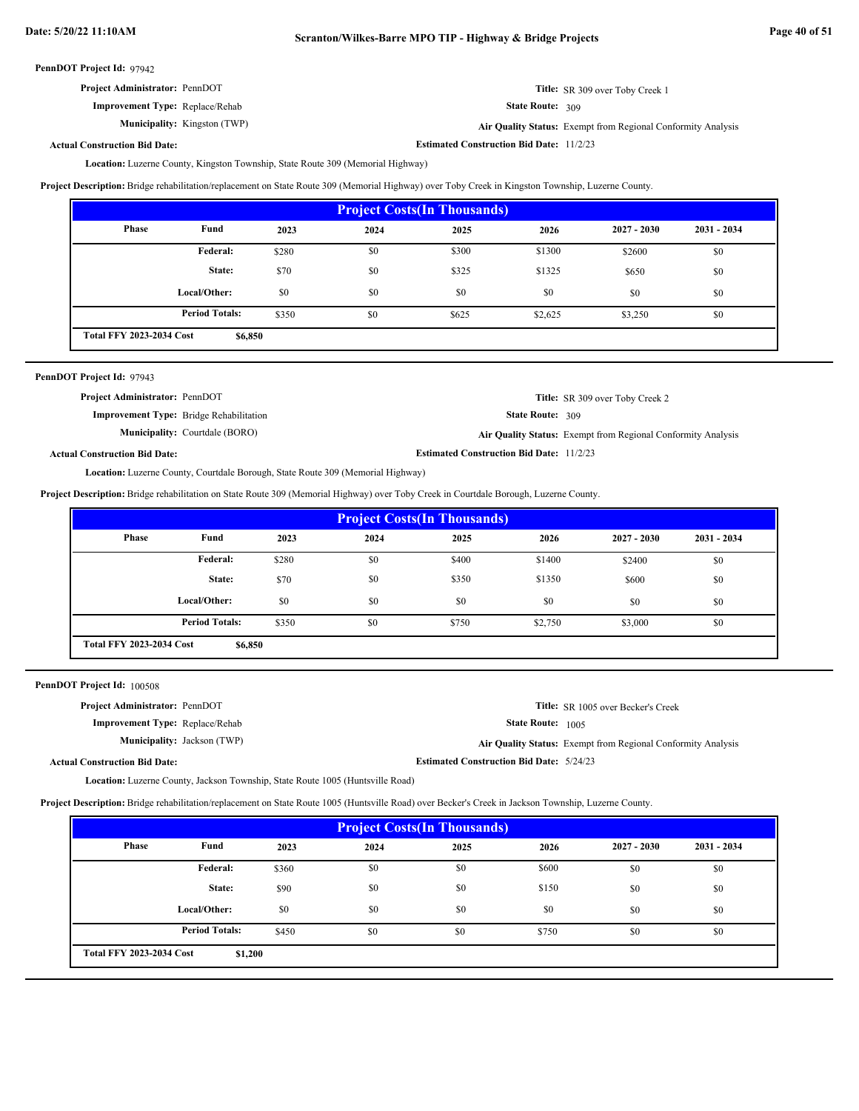| <b>Project Administrator: PennDOT</b> | Title: SR 309 over Toby Creek 1 |
|---------------------------------------|---------------------------------|
|---------------------------------------|---------------------------------|

**Improvement Type:** Replace/Rehab **Municipality:**

Kingston (TWP) **Air Quality Status:** Exempt from Regional Conformity Analysis

State Route: 309

**Estimated Construction Bid Date:** 11/2/23

**Actual Construction Bid Date:**

Location: Luzerne County, Kingston Township, State Route 309 (Memorial Highway)

**Project Description:** Bridge rehabilitation/replacement on State Route 309 (Memorial Highway) over Toby Creek in Kingston Township, Luzerne County.

| <b>Project Costs (In Thousands)</b> |                                            |       |      |       |         |               |               |
|-------------------------------------|--------------------------------------------|-------|------|-------|---------|---------------|---------------|
| <b>Phase</b>                        | Fund                                       | 2023  | 2024 | 2025  | 2026    | $2027 - 2030$ | $2031 - 2034$ |
|                                     | Federal:                                   | \$280 | \$0  | \$300 | \$1300  | \$2600        | \$0           |
|                                     | State:                                     | \$70  | \$0  | \$325 | \$1325  | \$650         | \$0           |
|                                     | Local/Other:                               | \$0   | \$0  | \$0   | \$0     | \$0           | \$0           |
|                                     | <b>Period Totals:</b>                      | \$350 | \$0  | \$625 | \$2,625 | \$3,250       | \$0           |
|                                     | <b>Total FFY 2023-2034 Cost</b><br>\$6,850 |       |      |       |         |               |               |

| PennDOT Project Id: 97943             |                                                |                                                 |                                                              |
|---------------------------------------|------------------------------------------------|-------------------------------------------------|--------------------------------------------------------------|
| <b>Project Administrator: PennDOT</b> |                                                |                                                 | <b>Title:</b> SR 309 over Toby Creek 2                       |
|                                       | <b>Improvement Type:</b> Bridge Rehabilitation | State Route: 309                                |                                                              |
|                                       | <b>Municipality:</b> Courtdale (BORO)          |                                                 | Air Quality Status: Exempt from Regional Conformity Analysis |
| <b>Actual Construction Bid Date:</b>  |                                                | <b>Estimated Construction Bid Date: 11/2/23</b> |                                                              |

Location: Luzerne County, Courtdale Borough, State Route 309 (Memorial Highway)

**Project Description:** Bridge rehabilitation on State Route 309 (Memorial Highway) over Toby Creek in Courtdale Borough, Luzerne County.

| <b>Project Costs (In Thousands)</b>        |                       |       |      |       |         |               |               |
|--------------------------------------------|-----------------------|-------|------|-------|---------|---------------|---------------|
| Phase                                      | Fund                  | 2023  | 2024 | 2025  | 2026    | $2027 - 2030$ | $2031 - 2034$ |
|                                            | Federal:              | \$280 | \$0  | \$400 | \$1400  | \$2400        | \$0           |
|                                            | State:                | \$70  | \$0  | \$350 | \$1350  | \$600         | \$0           |
|                                            | Local/Other:          | \$0   | \$0  | \$0   | \$0     | \$0           | \$0           |
|                                            | <b>Period Totals:</b> | \$350 | \$0  | \$750 | \$2,750 | \$3,000       | \$0           |
| <b>Total FFY 2023-2034 Cost</b><br>\$6,850 |                       |       |      |       |         |               |               |

PennDOT Project Id: 100508

| <b>Project Administrator: PennDOT</b>  | <b>Title:</b> SR 1005 over Becker's Creek                    |
|----------------------------------------|--------------------------------------------------------------|
| <b>Improvement Type:</b> Replace/Rehab | <b>State Route:</b> 1005                                     |
| <b>Municipality:</b> Jackson (TWP)     | Air Quality Status: Exempt from Regional Conformity Analysis |
| <b>Actual Construction Bid Date:</b>   | <b>Estimated Construction Bid Date: 5/24/23</b>              |

Location: Luzerne County, Jackson Township, State Route 1005 (Huntsville Road)

**Project Description:** Bridge rehabilitation/replacement on State Route 1005 (Huntsville Road) over Becker's Creek in Jackson Township, Luzerne County.

| <b>Project Costs (In Thousands)</b> |                                            |       |      |      |       |               |               |
|-------------------------------------|--------------------------------------------|-------|------|------|-------|---------------|---------------|
| <b>Phase</b>                        | Fund                                       | 2023  | 2024 | 2025 | 2026  | $2027 - 2030$ | $2031 - 2034$ |
|                                     | Federal:                                   | \$360 | \$0  | \$0  | \$600 | \$0           | \$0           |
|                                     | State:                                     | \$90  | \$0  | \$0  | \$150 | \$0           | \$0           |
|                                     | Local/Other:                               | \$0   | \$0  | \$0  | \$0   | \$0           | \$0           |
|                                     | <b>Period Totals:</b>                      | \$450 | \$0  | \$0  | \$750 | \$0           | \$0           |
|                                     | <b>Total FFY 2023-2034 Cost</b><br>\$1,200 |       |      |      |       |               |               |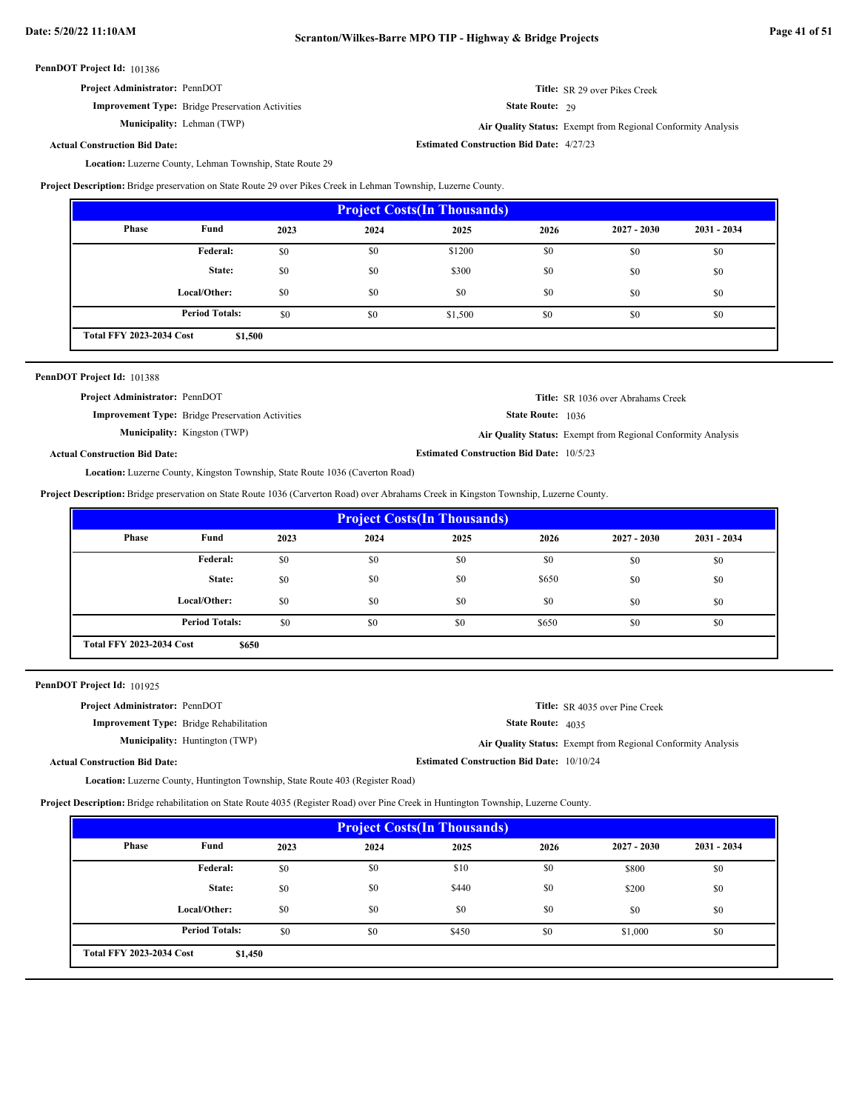| <b>Project Administrator: PennDOT</b> |  |
|---------------------------------------|--|
|---------------------------------------|--|

**Improvement Type:** Bridge Preservation Activities

**Municipality:** Lehman (TWP)

**Title:** SR 29 over Pikes Creek

State Route: 29

**Estimated Construction Bid Date:** 4/27/23

Lehman (TWP) **Air Quality Status:** Exempt from Regional Conformity Analysis

## **Actual Construction Bid Date:**

Location: Luzerne County, Lehman Township, State Route 29

**Project Description:** Bridge preservation on State Route 29 over Pikes Creek in Lehman Township, Luzerne County.

| <b>Project Costs (In Thousands)</b>        |                       |      |      |         |      |               |               |
|--------------------------------------------|-----------------------|------|------|---------|------|---------------|---------------|
| Phase                                      | Fund                  | 2023 | 2024 | 2025    | 2026 | $2027 - 2030$ | $2031 - 2034$ |
|                                            | Federal:              | \$0  | \$0  | \$1200  | \$0  | \$0           | \$0           |
|                                            | State:                | \$0  | \$0  | \$300   | \$0  | \$0           | \$0           |
|                                            | Local/Other:          | \$0  | \$0  | \$0     | \$0  | \$0           | \$0           |
|                                            | <b>Period Totals:</b> | \$0  | \$0  | \$1,500 | \$0  | \$0           | \$0           |
| <b>Total FFY 2023-2034 Cost</b><br>\$1,500 |                       |      |      |         |      |               |               |

| PennDOT Project Id: 101388            |                                                                                      |                                                 |                                                              |
|---------------------------------------|--------------------------------------------------------------------------------------|-------------------------------------------------|--------------------------------------------------------------|
| <b>Project Administrator: PennDOT</b> |                                                                                      |                                                 | <b>Title:</b> SR 1036 over Abrahams Creek                    |
|                                       | <b>Improvement Type:</b> Bridge Preservation Activities                              | <b>State Route: 1036</b>                        |                                                              |
|                                       | <b>Municipality:</b> Kingston (TWP)                                                  |                                                 | Air Quality Status: Exempt from Regional Conformity Analysis |
| <b>Actual Construction Bid Date:</b>  |                                                                                      | <b>Estimated Construction Bid Date: 10/5/23</b> |                                                              |
|                                       | <b>Location:</b> Luzerne County, Kingston Township, State Route 1036 (Caverton Road) |                                                 |                                                              |

**Project Description:** Bridge preservation on State Route 1036 (Carverton Road) over Abrahams Creek in Kingston Township, Luzerne County.

| <b>Project Costs (In Thousands)</b>      |                       |      |      |      |       |               |               |
|------------------------------------------|-----------------------|------|------|------|-------|---------------|---------------|
| <b>Phase</b>                             | Fund                  | 2023 | 2024 | 2025 | 2026  | $2027 - 2030$ | $2031 - 2034$ |
|                                          | Federal:              | \$0  | \$0  | \$0  | \$0   | \$0           | \$0           |
|                                          | State:                | \$0  | \$0  | \$0  | \$650 | \$0           | \$0           |
|                                          | Local/Other:          | \$0  | \$0  | \$0  | \$0   | \$0           | \$0           |
|                                          | <b>Period Totals:</b> | \$0  | \$0  | \$0  | \$650 | \$0           | \$0           |
| <b>Total FFY 2023-2034 Cost</b><br>\$650 |                       |      |      |      |       |               |               |

PennDOT Project Id: 101925

| <b>Project Administrator: PennDOT</b>          |                                       |                                                  | <b>Title:</b> SR 4035 over Pine Creek                               |
|------------------------------------------------|---------------------------------------|--------------------------------------------------|---------------------------------------------------------------------|
| <b>Improvement Type:</b> Bridge Rehabilitation |                                       | <b>State Route:</b> $4035$                       |                                                                     |
|                                                | <b>Municipality:</b> Huntington (TWP) |                                                  | <b>Air Quality Status:</b> Exempt from Regional Conformity Analysis |
| <b>Actual Construction Bid Date:</b>           |                                       | <b>Estimated Construction Bid Date: 10/10/24</b> |                                                                     |

Location: Luzerne County, Huntington Township, State Route 403 (Register Road)

**Project Description:** Bridge rehabilitation on State Route 4035 (Register Road) over Pine Creek in Huntington Township, Luzerne County.

| <b>Project Costs (In Thousands)</b>        |                       |      |      |       |      |               |               |
|--------------------------------------------|-----------------------|------|------|-------|------|---------------|---------------|
| <b>Phase</b>                               | Fund                  | 2023 | 2024 | 2025  | 2026 | $2027 - 2030$ | $2031 - 2034$ |
|                                            | Federal:              | \$0  | \$0  | \$10  | \$0  | \$800         | \$0           |
|                                            | State:                | \$0  | \$0  | \$440 | \$0  | \$200         | \$0           |
|                                            | Local/Other:          | \$0  | \$0  | \$0   | \$0  | \$0           | \$0           |
|                                            | <b>Period Totals:</b> | \$0  | \$0  | \$450 | \$0  | \$1,000       | \$0           |
| <b>Total FFY 2023-2034 Cost</b><br>\$1,450 |                       |      |      |       |      |               |               |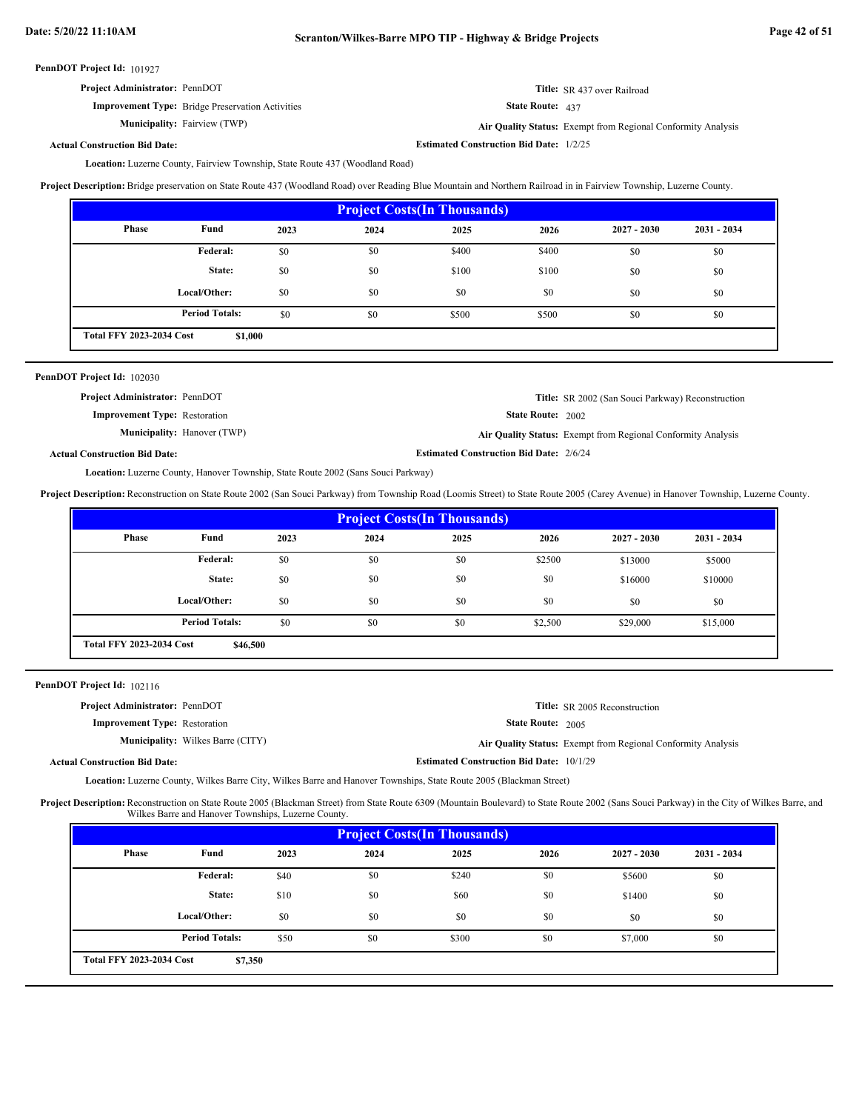| <b>Project Administrator: PennDOT</b>                   | <b>Title:</b> SR 437 over Railroad |
|---------------------------------------------------------|------------------------------------|
| <b>Improvement Type:</b> Bridge Preservation Activities | <b>State Route:</b> $437$          |

**Municipality:** Fairview (TWP)

Fairview (TWP) **Air Quality Status:** Exempt from Regional Conformity Analysis

**Actual Construction Bid Date:**

**Estimated Construction Bid Date:** 1/2/25

Location: Luzerne County, Fairview Township, State Route 437 (Woodland Road)

**Project Description:** Bridge preservation on State Route 437 (Woodland Road) over Reading Blue Mountain and Northern Railroad in in Fairview Township, Luzerne County.

| <b>Project Costs (In Thousands)</b>        |                       |      |      |       |       |               |               |
|--------------------------------------------|-----------------------|------|------|-------|-------|---------------|---------------|
| <b>Phase</b>                               | Fund                  | 2023 | 2024 | 2025  | 2026  | $2027 - 2030$ | $2031 - 2034$ |
|                                            | Federal:              | \$0  | \$0  | \$400 | \$400 | \$0           | \$0           |
|                                            | State:                | \$0  | \$0  | \$100 | \$100 | \$0           | \$0           |
|                                            | Local/Other:          | \$0  | \$0  | \$0   | \$0   | \$0           | \$0           |
|                                            | <b>Period Totals:</b> | \$0  | \$0  | \$500 | \$500 | \$0           | \$0           |
| <b>Total FFY 2023-2034 Cost</b><br>\$1,000 |                       |      |      |       |       |               |               |

| PennDOT Project Id: 102030            |                                    |                                                |                                                              |
|---------------------------------------|------------------------------------|------------------------------------------------|--------------------------------------------------------------|
| <b>Project Administrator: PennDOT</b> |                                    |                                                | <b>Title:</b> SR 2002 (San Souci Parkway) Reconstruction     |
| <b>Improvement Type: Restoration</b>  |                                    | <b>State Route: 2002</b>                       |                                                              |
|                                       | <b>Municipality:</b> Hanover (TWP) |                                                | Air Quality Status: Exempt from Regional Conformity Analysis |
| <b>Actual Construction Bid Date:</b>  |                                    | <b>Estimated Construction Bid Date: 2/6/24</b> |                                                              |

Location: Luzerne County, Hanover Township, State Route 2002 (Sans Souci Parkway)

**Project Description:** Reconstruction on State Route 2002 (San Souci Parkway) from Township Road (Loomis Street) to State Route 2005 (Carey Avenue) in Hanover Township, Luzerne County.

| <b>Project Costs (In Thousands)</b>         |                       |      |      |      |         |               |               |
|---------------------------------------------|-----------------------|------|------|------|---------|---------------|---------------|
| <b>Phase</b>                                | Fund                  | 2023 | 2024 | 2025 | 2026    | $2027 - 2030$ | $2031 - 2034$ |
|                                             | <b>Federal:</b>       | \$0  | \$0  | \$0  | \$2500  | \$13000       | \$5000        |
|                                             | State:                | \$0  | \$0  | \$0  | \$0     | \$16000       | \$10000       |
|                                             | Local/Other:          | \$0  | \$0  | \$0  | \$0     | \$0           | \$0           |
|                                             | <b>Period Totals:</b> | \$0  | \$0  | \$0  | \$2,500 | \$29,000      | \$15,000      |
| <b>Total FFY 2023-2034 Cost</b><br>\$46,500 |                       |      |      |      |         |               |               |

PennDOT Project Id: 102116

| <b>Project Administrator: PennDOT</b> |                                          |                                                 | <b>Title:</b> SR 2005 Reconstruction                         |
|---------------------------------------|------------------------------------------|-------------------------------------------------|--------------------------------------------------------------|
| <b>Improvement Type:</b> Restoration  |                                          | <b>State Route: 2005</b>                        |                                                              |
|                                       | <b>Municipality:</b> Wilkes Barre (CITY) |                                                 | Air Quality Status: Exempt from Regional Conformity Analysis |
| <b>Actual Construction Bid Date:</b>  |                                          | <b>Estimated Construction Bid Date: 10/1/29</b> |                                                              |

Luzerne County, Wilkes Barre City, Wilkes Barre and Hanover Townships, State Route 2005 (Blackman Street) **Location:**

Project Description: Reconstruction on State Route 2005 (Blackman Street) from State Route 6309 (Mountain Boulevard) to State Route 2002 (Sans Souci Parkway) in the City of Wilkes Barre, and Wilkes Barre and Hanover Townships, Luzerne County.

| <b>Project Costs (In Thousands)</b>        |                       |      |      |       |      |               |               |
|--------------------------------------------|-----------------------|------|------|-------|------|---------------|---------------|
| <b>Phase</b>                               | Fund                  | 2023 | 2024 | 2025  | 2026 | $2027 - 2030$ | $2031 - 2034$ |
|                                            | Federal:              | \$40 | \$0  | \$240 | \$0  | \$5600        | \$0           |
|                                            | State:                | \$10 | \$0  | \$60  | \$0  | \$1400        | \$0           |
|                                            | Local/Other:          | \$0  | \$0  | \$0   | \$0  | \$0           | \$0           |
|                                            | <b>Period Totals:</b> | \$50 | \$0  | \$300 | \$0  | \$7,000       | \$0           |
| <b>Total FFY 2023-2034 Cost</b><br>\$7,350 |                       |      |      |       |      |               |               |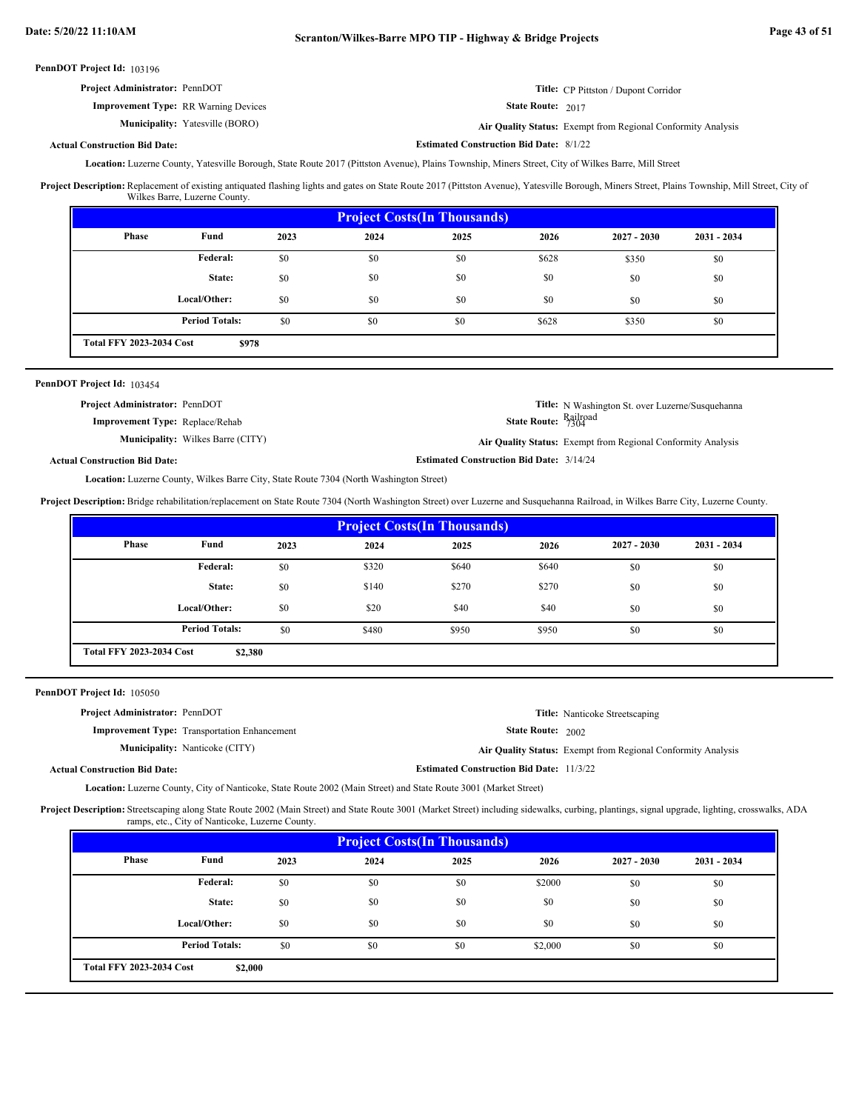**Estimated Construction Bid Date:** 8/1/22

PennDOT Project Id: 103196

| <b>Project Administrator: PennDOT</b> | <b>Title:</b> CP Pittston / Dupont Corridor |
|---------------------------------------|---------------------------------------------|
|---------------------------------------|---------------------------------------------|

**Improvement Type:** RR Warning Devices

**Municipality:**

State Route: 2017

Yatesville (BORO) **Air Quality Status:** Exempt from Regional Conformity Analysis

## **Actual Construction Bid Date:**

Location: Luzerne County, Yatesville Borough, State Route 2017 (Pittston Avenue), Plains Township, Miners Street, City of Wilkes Barre, Mill Street

Replacement of existing antiquated flashing lights and gates on State Route 2017 (Pittston Avenue), Yatesville Borough, Miners Street, Plains Township, Mill Street, City of Wilkes Barre, Luzerne County. **Project Description:**

| <b>Project Costs (In Thousands)</b>      |                       |      |      |      |       |               |               |  |
|------------------------------------------|-----------------------|------|------|------|-------|---------------|---------------|--|
| <b>Phase</b>                             | Fund                  | 2023 | 2024 | 2025 | 2026  | $2027 - 2030$ | $2031 - 2034$ |  |
|                                          | Federal:              | \$0  | \$0  | \$0  | \$628 | \$350         | \$0           |  |
|                                          | State:                | \$0  | \$0  | \$0  | \$0   | \$0           | \$0           |  |
|                                          | Local/Other:          | \$0  | \$0  | \$0  | \$0   | \$0           | \$0           |  |
|                                          | <b>Period Totals:</b> | \$0  | \$0  | \$0  | \$628 | \$350         | \$0           |  |
| <b>Total FFY 2023-2034 Cost</b><br>\$978 |                       |      |      |      |       |               |               |  |

## PennDOT Project Id: 103454

| <b>Project Administrator: PennDOT</b><br><b>Improvement Type:</b> Replace/Rehab | <b>Title:</b> N Washington St. over Luzerne/Susquehanna<br><b>State Route: Railroad</b> |
|---------------------------------------------------------------------------------|-----------------------------------------------------------------------------------------|
| <b>Municipality:</b> Wilkes Barre (CITY)                                        | <b>Air Quality Status:</b> Exempt from Regional Conformity Analysis                     |
| l Construction Bid Date:                                                        | <b>Estimated Construction Bid Date: 3/14/24</b>                                         |

## **Actual Construction Bid Date:**

Location: Luzerne County, Wilkes Barre City, State Route 7304 (North Washington Street)

**Project Description:** Bridge rehabilitation/replacement on State Route 7304 (North Washington Street) over Luzerne and Susquehanna Railroad, in Wilkes Barre City, Luzerne County.

| <b>Project Costs (In Thousands)</b>        |                       |      |       |       |       |               |               |  |
|--------------------------------------------|-----------------------|------|-------|-------|-------|---------------|---------------|--|
| <b>Phase</b>                               | Fund                  | 2023 | 2024  | 2025  | 2026  | $2027 - 2030$ | $2031 - 2034$ |  |
|                                            | Federal:              | \$0  | \$320 | \$640 | \$640 | \$0           | \$0           |  |
|                                            | State:                | \$0  | \$140 | \$270 | \$270 | \$0           | \$0           |  |
|                                            | Local/Other:          | \$0  | \$20  | \$40  | \$40  | \$0           | \$0           |  |
|                                            | <b>Period Totals:</b> | \$0  | \$480 | \$950 | \$950 | \$0           | \$0           |  |
| <b>Total FFY 2023-2034 Cost</b><br>\$2,380 |                       |      |       |       |       |               |               |  |

## PennDOT Project Id: 105050

| <b>Project Administrator: PennDOT</b> |                                                     |                                                 | <b>Title:</b> Nanticoke Streetscaping                        |
|---------------------------------------|-----------------------------------------------------|-------------------------------------------------|--------------------------------------------------------------|
|                                       | <b>Improvement Type:</b> Transportation Enhancement | <b>State Route: 2002</b>                        |                                                              |
|                                       | <b>Municipality:</b> Nanticoke (CITY)               |                                                 | Air Quality Status: Exempt from Regional Conformity Analysis |
| <b>Actual Construction Bid Date:</b>  |                                                     | <b>Estimated Construction Bid Date: 11/3/22</b> |                                                              |

Luzerne County, City of Nanticoke, State Route 2002 (Main Street) and State Route 3001 (Market Street) **Location:**

Project Description: Streetscaping along State Route 2002 (Main Street) and State Route 3001 (Market Street) including sidewalks, curbing, plantings, signal upgrade, lighting, crosswalks, ADA ramps, etc., City of Nanticoke, Luzerne County.

| <b>Project Costs (In Thousands)</b>        |                       |      |      |      |         |               |               |
|--------------------------------------------|-----------------------|------|------|------|---------|---------------|---------------|
| <b>Phase</b>                               | Fund                  | 2023 | 2024 | 2025 | 2026    | $2027 - 2030$ | $2031 - 2034$ |
|                                            | Federal:              | \$0  | \$0  | \$0  | \$2000  | \$0           | \$0           |
|                                            | State:                | \$0  | \$0  | \$0  | \$0     | \$0           | \$0           |
|                                            | Local/Other:          | \$0  | \$0  | \$0  | \$0     | \$0           | \$0           |
|                                            | <b>Period Totals:</b> | \$0  | \$0  | \$0  | \$2,000 | \$0           | \$0           |
| <b>Total FFY 2023-2034 Cost</b><br>\$2,000 |                       |      |      |      |         |               |               |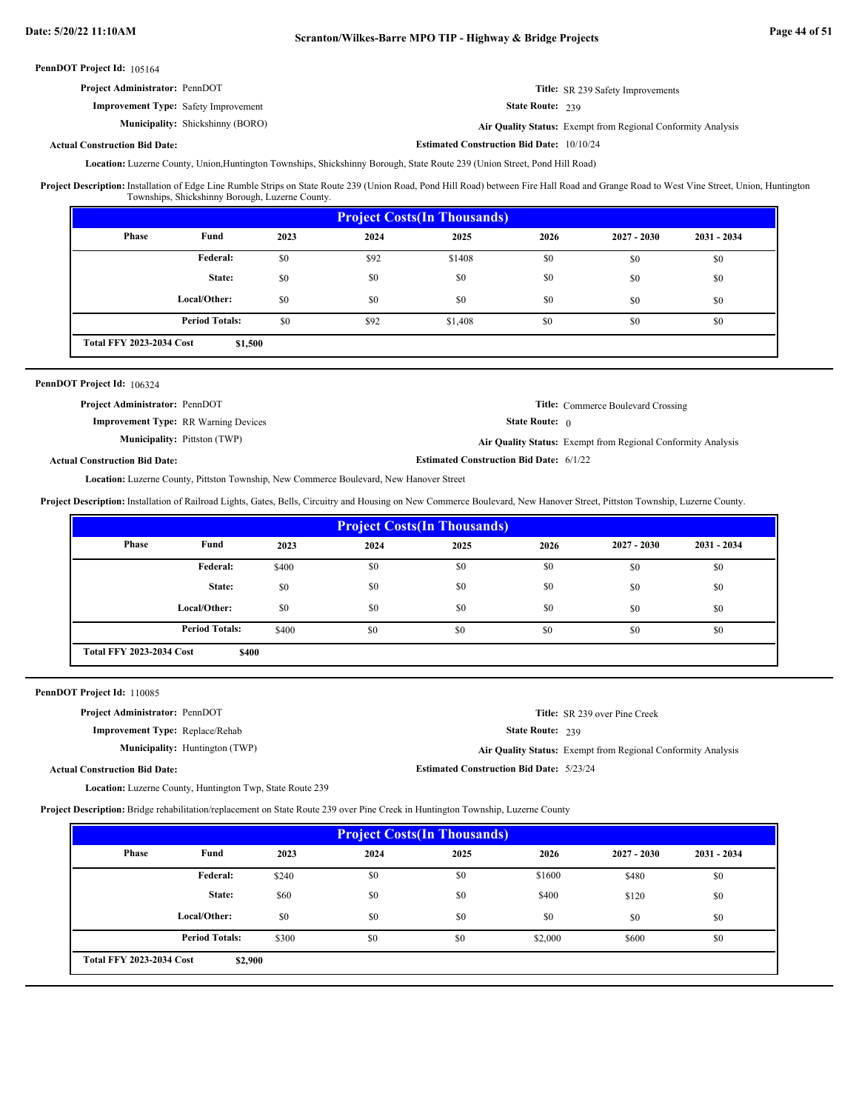| <b>Project Administrator: PennDOT</b>       | <b>Title:</b> SR 239 Safety Improvements              |
|---------------------------------------------|-------------------------------------------------------|
| <b>Improvement Type:</b> Safety Improvement | <b>State Route: 239</b>                               |
| <b>Municipality:</b> Shickshinny (BORO)     | Air Ouality Status: Exempt from Regional Conformity A |

Shickshinny (BORO) **Air Quality Status:** Exempt from Regional Conformity Analysis

**Estimated Construction Bid Date:** 10/10/24

#### **Actual Construction Bid Date:**

Location: Luzerne County, Union,Huntington Townships, Shickshinny Borough, State Route 239 (Union Street, Pond Hill Road)

Installation of Edge Line Rumble Strips on State Route 239 (Union Road, Pond Hill Road) between Fire Hall Road and Grange Road to West Vine Street, Union, Huntington Townships, Shickshinny Borough, Luzerne County. **Project Description:**

| <b>Project Costs (In Thousands)</b>        |                       |      |      |         |      |               |               |
|--------------------------------------------|-----------------------|------|------|---------|------|---------------|---------------|
| Phase                                      | Fund                  | 2023 | 2024 | 2025    | 2026 | $2027 - 2030$ | $2031 - 2034$ |
|                                            | Federal:              | \$0  | \$92 | \$1408  | \$0  | \$0           | \$0           |
|                                            | State:                | \$0  | \$0  | \$0     | \$0  | \$0           | \$0           |
|                                            | Local/Other:          | \$0  | \$0  | \$0     | \$0  | \$0           | \$0           |
|                                            | <b>Period Totals:</b> | \$0  | \$92 | \$1,408 | \$0  | \$0           | \$0           |
| <b>Total FFY 2023-2034 Cost</b><br>\$1,500 |                       |      |      |         |      |               |               |

#### PennDOT Project Id: 106324

| <b>Project Administrator: PennDOT</b>       |                                                | <b>Title:</b> Commerce Boulevard Crossing                    |
|---------------------------------------------|------------------------------------------------|--------------------------------------------------------------|
| <b>Improvement Type:</b> RR Warning Devices | <b>State Route:</b> 0                          |                                                              |
| <b>Municipality:</b> Pittston (TWP)         |                                                | Air Quality Status: Exempt from Regional Conformity Analysis |
| <b>Actual Construction Bid Date:</b>        | <b>Estimated Construction Bid Date: 6/1/22</b> |                                                              |

Location: Luzerne County, Pittston Township, New Commerce Boulevard, New Hanover Street

**Project Description:** Installation of Railroad Lights, Gates, Bells, Circuitry and Housing on New Commerce Boulevard, New Hanover Street, Pittston Township, Luzerne County.

| <b>Project Costs(In Thousands)</b>       |                       |       |      |      |      |               |               |
|------------------------------------------|-----------------------|-------|------|------|------|---------------|---------------|
| <b>Phase</b>                             | Fund                  | 2023  | 2024 | 2025 | 2026 | $2027 - 2030$ | $2031 - 2034$ |
|                                          | Federal:              | \$400 | \$0  | \$0  | \$0  | \$0           | \$0           |
|                                          | State:                | \$0   | \$0  | \$0  | \$0  | \$0           | \$0           |
|                                          | Local/Other:          | \$0   | \$0  | \$0  | \$0  | \$0           | \$0           |
|                                          | <b>Period Totals:</b> | \$400 | \$0  | \$0  | \$0  | \$0           | \$0           |
| <b>Total FFY 2023-2034 Cost</b><br>\$400 |                       |       |      |      |      |               |               |

PennDOT Project Id: 110085

| <b>Project Administrator: PennDOT</b>                     | <b>Title:</b> SR 239 over Pine Creek                         |  |
|-----------------------------------------------------------|--------------------------------------------------------------|--|
| <b>Improvement Type:</b> Replace/Rehab                    | State Route: 239                                             |  |
| <b>Municipality:</b> Huntington (TWP)                     | Air Quality Status: Exempt from Regional Conformity Analysis |  |
| <b>Actual Construction Bid Date:</b>                      | <b>Estimated Construction Bid Date: 5/23/24</b>              |  |
| Location: Luzerne County, Huntington Twp, State Route 239 |                                                              |  |

**Project Description:** Bridge rehabilitation/replacement on State Route 239 over Pine Creek in Huntington Township, Luzerne County

| <b>Project Costs (In Thousands)</b>        |                       |       |      |      |         |               |               |
|--------------------------------------------|-----------------------|-------|------|------|---------|---------------|---------------|
| Phase                                      | Fund                  | 2023  | 2024 | 2025 | 2026    | $2027 - 2030$ | $2031 - 2034$ |
|                                            | Federal:              | \$240 | \$0  | \$0  | \$1600  | \$480         | \$0           |
|                                            | State:                | \$60  | \$0  | \$0  | \$400   | \$120         | \$0           |
|                                            | Local/Other:          | \$0   | \$0  | \$0  | \$0     | \$0           | \$0           |
|                                            | <b>Period Totals:</b> | \$300 | \$0  | \$0  | \$2,000 | \$600         | \$0           |
| <b>Total FFY 2023-2034 Cost</b><br>\$2,900 |                       |       |      |      |         |               |               |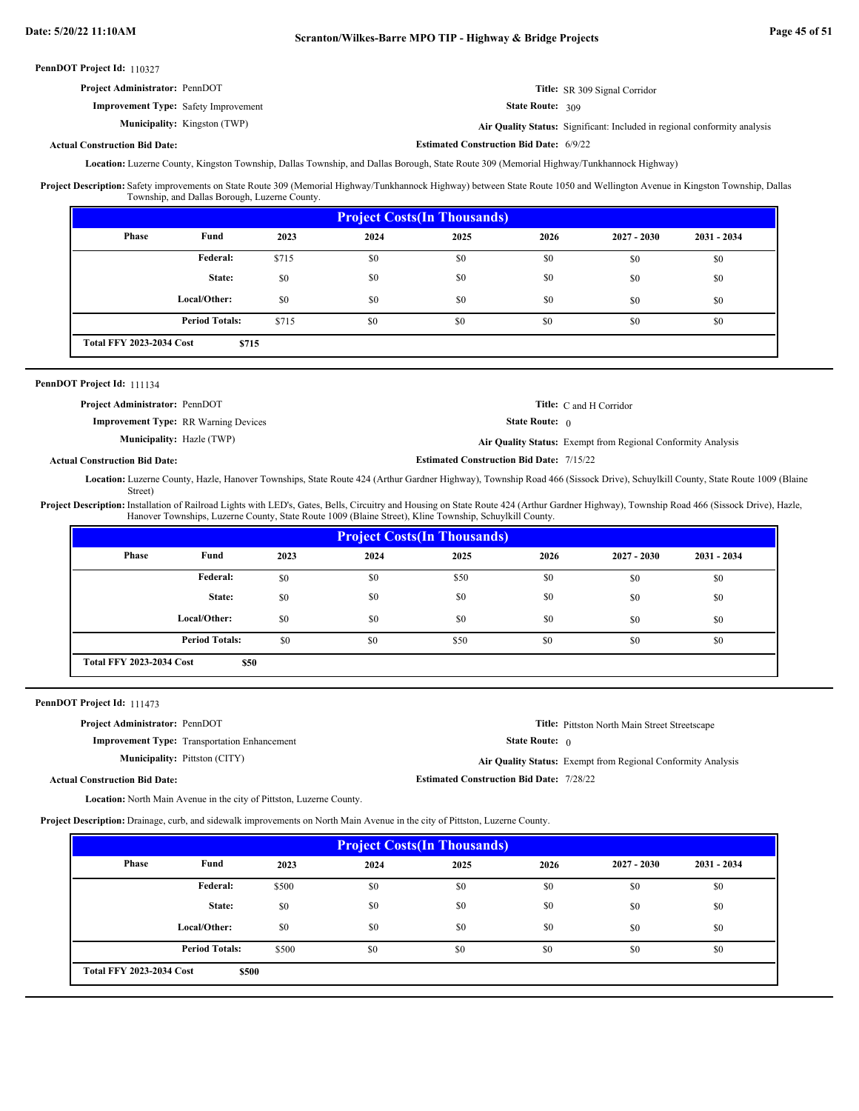**Estimated Construction Bid Date:** 6/9/22

PennDOT Project Id: 110327

| <b>Project Administrator: PennDOT</b>       | <b>Title:</b> SR 309 Signal Corridor |
|---------------------------------------------|--------------------------------------|
| <b>Improvement Type:</b> Safety Improvement | <b>State Route: 309</b>              |

Municipality: Kingston (TWP)

Kingston (TWP) **Air Quality Status:** Significant: Included in regional conformity analysis

## **Actual Construction Bid Date:**

Location: Luzerne County, Kingston Township, Dallas Township, and Dallas Borough, State Route 309 (Memorial Highway/Tunkhannock Highway)

Project Description: Safety improvements on State Route 309 (Memorial Highway/Tunkhannock Highway) between State Route 1050 and Wellington Avenue in Kingston Township, Dallas Township, and Dallas Borough, Luzerne County.

| <b>Project Costs (In Thousands)</b>      |                       |       |      |      |      |               |               |
|------------------------------------------|-----------------------|-------|------|------|------|---------------|---------------|
| Phase                                    | Fund                  | 2023  | 2024 | 2025 | 2026 | $2027 - 2030$ | $2031 - 2034$ |
|                                          | Federal:              | \$715 | \$0  | \$0  | \$0  | \$0           | \$0           |
|                                          | State:                | \$0   | \$0  | \$0  | \$0  | \$0           | \$0           |
|                                          | Local/Other:          | \$0   | \$0  | \$0  | \$0  | \$0           | \$0           |
|                                          | <b>Period Totals:</b> | \$715 | \$0  | \$0  | \$0  | \$0           | \$0           |
| <b>Total FFY 2023-2034 Cost</b><br>\$715 |                       |       |      |      |      |               |               |

## PennDOT Project Id: 111134

| <b>Project Administrator: PennDOT</b>       |                                                 | <b>Title:</b> C and H Corridor                               |
|---------------------------------------------|-------------------------------------------------|--------------------------------------------------------------|
| <b>Improvement Type:</b> RR Warning Devices | <b>State Route:</b> $\theta$                    |                                                              |
| <b>Municipality:</b> Hazle (TWP)            |                                                 | Air Quality Status: Exempt from Regional Conformity Analysis |
| <b>Actual Construction Bid Date:</b>        | <b>Estimated Construction Bid Date: 7/15/22</b> |                                                              |

Location: Luzerne County, Hazle, Hanover Townships, State Route 424 (Arthur Gardner Highway), Township Road 466 (Sissock Drive), Schuylkill County, State Route 1009 (Blaine Street)

Project Description: Installation of Railroad Lights with LED's, Gates, Bells, Circuitry and Housing on State Route 424 (Arthur Gardner Highway), Township Road 466 (Sissock Drive), Hazle, Hanover Townships, Luzerne County, State Route 1009 (Blaine Street), Kline Township, Schuylkill County.

| <b>Project Costs (In Thousands)</b>     |                       |      |      |      |      |               |               |
|-----------------------------------------|-----------------------|------|------|------|------|---------------|---------------|
| <b>Phase</b>                            | Fund                  | 2023 | 2024 | 2025 | 2026 | $2027 - 2030$ | $2031 - 2034$ |
|                                         | <b>Federal:</b>       | \$0  | \$0  | \$50 | \$0  | \$0           | \$0           |
|                                         | State:                | \$0  | \$0  | \$0  | \$0  | \$0           | \$0           |
|                                         | Local/Other:          | \$0  | \$0  | \$0  | \$0  | \$0           | \$0           |
|                                         | <b>Period Totals:</b> | \$0  | \$0  | \$50 | \$0  | \$0           | \$0           |
| <b>Total FFY 2023-2034 Cost</b><br>\$50 |                       |      |      |      |      |               |               |

PennDOT Project Id: 111473

| <b>Project Administrator: PennDOT</b> |                                                     |                                                 | <b>Title:</b> Pittston North Main Street Streetscape         |
|---------------------------------------|-----------------------------------------------------|-------------------------------------------------|--------------------------------------------------------------|
|                                       | <b>Improvement Type:</b> Transportation Enhancement | <b>State Route:</b> $\theta$                    |                                                              |
|                                       | <b>Municipality:</b> Pittston (CITY)                |                                                 | Air Quality Status: Exempt from Regional Conformity Analysis |
| <b>Actual Construction Bid Date:</b>  |                                                     | <b>Estimated Construction Bid Date: 7/28/22</b> |                                                              |

Location: North Main Avenue in the city of Pittston, Luzerne County.

**Project Description:** Drainage, curb, and sidewalk improvements on North Main Avenue in the city of Pittston, Luzerne County.

| <b>Project Costs (In Thousands)</b> |                                          |       |      |      |      |               |               |  |
|-------------------------------------|------------------------------------------|-------|------|------|------|---------------|---------------|--|
| Phase                               | Fund                                     | 2023  | 2024 | 2025 | 2026 | $2027 - 2030$ | $2031 - 2034$ |  |
|                                     | <b>Federal:</b>                          | \$500 | \$0  | \$0  | \$0  | \$0           | \$0           |  |
|                                     | State:                                   | \$0   | \$0  | \$0  | \$0  | \$0           | \$0           |  |
|                                     | Local/Other:                             | \$0   | \$0  | \$0  | \$0  | \$0           | \$0           |  |
|                                     | <b>Period Totals:</b>                    | \$500 | \$0  | \$0  | \$0  | \$0           | \$0           |  |
|                                     | <b>Total FFY 2023-2034 Cost</b><br>\$500 |       |      |      |      |               |               |  |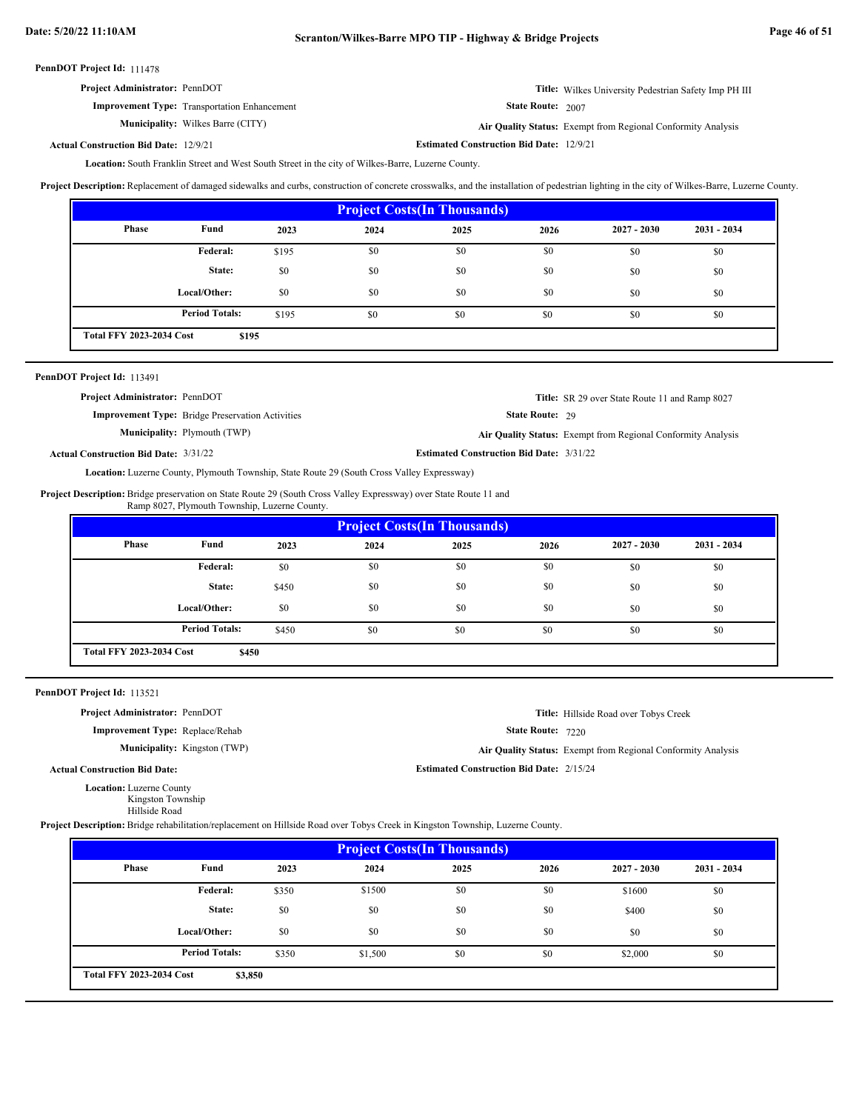| <b>Project Administrator: PennDOT</b>               | <b>Title:</b> Wilkes University Pedestrian Safety Imp PH III |
|-----------------------------------------------------|--------------------------------------------------------------|
| <b>Improvement Type:</b> Transportation Enhancement | <b>State Route:</b> $2007$                                   |
| <b>Municipality:</b> Wilkes Barre (CITY)            | Air Quality Status: Exempt from Regional Conformity Analysis |

**Estimated Construction Bid Date:** 12/9/21 12/9/21 **Actual Construction Bid Date:**

Location: South Franklin Street and West South Street in the city of Wilkes-Barre, Luzerne County.

Project Description: Replacement of damaged sidewalks and curbs, construction of concrete crosswalks, and the installation of pedestrian lighting in the city of Wilkes-Barre, Luzerne County.

| <b>Project Costs(In Thousands)</b> |                       |       |      |      |      |               |               |  |  |
|------------------------------------|-----------------------|-------|------|------|------|---------------|---------------|--|--|
| <b>Phase</b>                       | Fund                  | 2023  | 2024 | 2025 | 2026 | $2027 - 2030$ | $2031 - 2034$ |  |  |
|                                    | Federal:              | \$195 | \$0  | \$0  | \$0  | \$0           | \$0           |  |  |
|                                    | State:                | \$0   | \$0  | \$0  | \$0  | \$0           | \$0           |  |  |
|                                    | Local/Other:          | \$0   | \$0  | \$0  | \$0  | \$0           | \$0           |  |  |
|                                    | <b>Period Totals:</b> | \$195 | \$0  | \$0  | \$0  | \$0           | \$0           |  |  |
| <b>Total FFY 2023-2034 Cost</b>    | \$195                 |       |      |      |      |               |               |  |  |

| PennDOT Project Id: 113491                   |                                                         |                                                 |                                                              |
|----------------------------------------------|---------------------------------------------------------|-------------------------------------------------|--------------------------------------------------------------|
| <b>Project Administrator: PennDOT</b>        |                                                         |                                                 | <b>Title:</b> SR 29 over State Route 11 and Ramp 8027        |
|                                              | <b>Improvement Type:</b> Bridge Preservation Activities | <b>State Route: 29</b>                          |                                                              |
|                                              | <b>Municipality:</b> Plymouth (TWP)                     |                                                 | Air Quality Status: Exempt from Regional Conformity Analysis |
| <b>Actual Construction Bid Date: 3/31/22</b> |                                                         | <b>Estimated Construction Bid Date: 3/31/22</b> |                                                              |

Location: Luzerne County, Plymouth Township, State Route 29 (South Cross Valley Expressway)

Project Description: Bridge preservation on State Route 29 (South Cross Valley Expressway) over State Route 11 and Ramp 8027, Plymouth Township, Luzerne County.

| <b>Project Costs (In Thousands)</b> |                                          |       |      |      |      |               |               |  |
|-------------------------------------|------------------------------------------|-------|------|------|------|---------------|---------------|--|
| Phase                               | Fund                                     | 2023  | 2024 | 2025 | 2026 | $2027 - 2030$ | $2031 - 2034$ |  |
|                                     | Federal:                                 | \$0   | \$0  | \$0  | \$0  | \$0           | \$0           |  |
|                                     | State:                                   | \$450 | \$0  | \$0  | \$0  | \$0           | \$0           |  |
|                                     | Local/Other:                             | \$0   | \$0  | \$0  | \$0  | \$0           | \$0           |  |
|                                     | <b>Period Totals:</b>                    | \$450 | \$0  | \$0  | \$0  | \$0           | \$0           |  |
|                                     | <b>Total FFY 2023-2034 Cost</b><br>\$450 |       |      |      |      |               |               |  |

PennDOT Project Id: 113521

**Project Administrator:** PennDOT

**Improvement Type:** Replace/Rehab

**Municipality:** Kingston (TWP)

State Route: 7220 **Title:** Hillside Road over Tobys Creek

**Estimated Construction Bid Date:** 2/15/24

Kingston (TWP) **Air Quality Status:** Exempt from Regional Conformity Analysis

**Actual Construction Bid Date:**

Location: Luzerne County

Kingston Township

Hillside Road

**Project Description:** Bridge rehabilitation/replacement on Hillside Road over Tobys Creek in Kingston Township, Luzerne County.

| <b>Project Costs (In Thousands)</b> |                                            |       |         |      |      |               |               |  |
|-------------------------------------|--------------------------------------------|-------|---------|------|------|---------------|---------------|--|
| Phase                               | Fund                                       | 2023  | 2024    | 2025 | 2026 | $2027 - 2030$ | $2031 - 2034$ |  |
|                                     | Federal:                                   | \$350 | \$1500  | \$0  | \$0  | \$1600        | \$0           |  |
|                                     | State:                                     | \$0   | \$0     | \$0  | \$0  | \$400         | \$0           |  |
|                                     | Local/Other:                               | \$0   | \$0     | \$0  | \$0  | \$0           | \$0           |  |
|                                     | <b>Period Totals:</b>                      | \$350 | \$1,500 | \$0  | \$0  | \$2,000       | \$0           |  |
|                                     | <b>Total FFY 2023-2034 Cost</b><br>\$3,850 |       |         |      |      |               |               |  |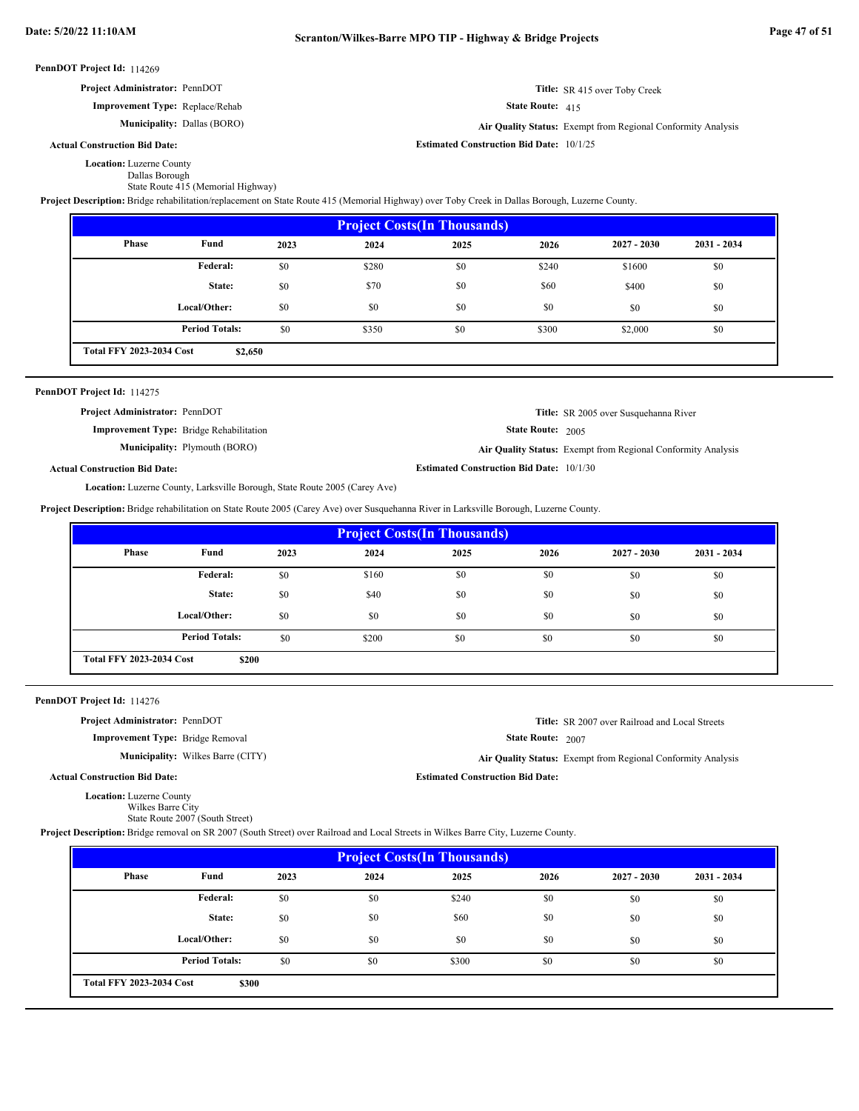**Estimated Construction Bid Date:** 10/1/25

#### PennDOT Project Id: 114269

| <b>Project Administrator: PennDOT</b>  | Title: SR 415 over Toby Creek |
|----------------------------------------|-------------------------------|
| <b>Improvement Type:</b> Replace/Rehab | <b>State Route:</b> $415$     |

**Municipality:** Dallas (BORO) **Air Quality Status:** Exempt from Regional Conformity Analysis

## **Actual Construction Bid Date:**

Location: Luzerne County

Dallas Borough

State Route 415 (Memorial Highway)

**Project Description:** Bridge rehabilitation/replacement on State Route 415 (Memorial Highway) over Toby Creek in Dallas Borough, Luzerne County.

| <b>Project Costs (In Thousands)</b> |                       |      |       |      |       |               |               |  |
|-------------------------------------|-----------------------|------|-------|------|-------|---------------|---------------|--|
| <b>Phase</b>                        | Fund                  | 2023 | 2024  | 2025 | 2026  | $2027 - 2030$ | $2031 - 2034$ |  |
|                                     | <b>Federal:</b>       | \$0  | \$280 | \$0  | \$240 | \$1600        | \$0           |  |
|                                     | State:                | \$0  | \$70  | \$0  | \$60  | \$400         | \$0           |  |
|                                     | Local/Other:          | \$0  | \$0   | \$0  | \$0   | \$0           | \$0           |  |
|                                     | <b>Period Totals:</b> | \$0  | \$350 | \$0  | \$300 | \$2,000       | \$0           |  |
| <b>Total FFY 2023-2034 Cost</b>     | \$2,650               |      |       |      |       |               |               |  |

#### PennDOT Project Id: 114275

| <b>Project Administrator: PennDOT</b>          | Title: SR 2005 over Susquehanna River                        |
|------------------------------------------------|--------------------------------------------------------------|
| <b>Improvement Type:</b> Bridge Rehabilitation | <b>State Route: 2005</b>                                     |
| <b>Municipality:</b> Plymouth (BORO)           | Air Quality Status: Exempt from Regional Conformity Analysis |
| l Construction Bid Date:                       | <b>Estimated Construction Bid Date: 10/1/30</b>              |

**Actual Construction Bid Date:**

Location: Luzerne County, Larksville Borough, State Route 2005 (Carey Ave)

**Project Description:** Bridge rehabilitation on State Route 2005 (Carey Ave) over Susquehanna River in Larksville Borough, Luzerne County.

| <b>Project Costs (In Thousands)</b>      |                       |      |       |      |      |               |               |  |
|------------------------------------------|-----------------------|------|-------|------|------|---------------|---------------|--|
| Phase                                    | Fund                  | 2023 | 2024  | 2025 | 2026 | $2027 - 2030$ | $2031 - 2034$ |  |
|                                          | Federal:              | \$0  | \$160 | \$0  | \$0  | \$0           | \$0           |  |
|                                          | State:                | \$0  | \$40  | \$0  | \$0  | \$0           | \$0           |  |
|                                          | Local/Other:          | \$0  | \$0   | \$0  | \$0  | \$0           | \$0           |  |
|                                          | <b>Period Totals:</b> | \$0  | \$200 | \$0  | \$0  | \$0           | \$0           |  |
| <b>Total FFY 2023-2034 Cost</b><br>\$200 |                       |      |       |      |      |               |               |  |

PennDOT Project Id: 114276

**Project Administrator:** PennDOT

**Improvement Type:** Bridge Removal

**Municipality:** Wilkes Barre (CITY)

Wilkes Barre (CITY) **Air Quality Status:** Exempt from Regional Conformity Analysis

**Estimated Construction Bid Date:**

State Route: 2007

**Title:** SR 2007 over Railroad and Local Streets

**Actual Construction Bid Date:**

**Location:** Luzerne County

Wilkes Barre City State Route 2007 (South Street)

**Project Description:** Bridge removal on SR 2007 (South Street) over Railroad and Local Streets in Wilkes Barre City, Luzerne County.

| <b>Project Costs (In Thousands)</b> |                                          |      |      |       |      |               |               |  |
|-------------------------------------|------------------------------------------|------|------|-------|------|---------------|---------------|--|
| Phase                               | Fund                                     | 2023 | 2024 | 2025  | 2026 | $2027 - 2030$ | $2031 - 2034$ |  |
|                                     | <b>Federal:</b>                          | \$0  | \$0  | \$240 | \$0  | \$0           | \$0           |  |
|                                     | State:                                   | \$0  | \$0  | \$60  | \$0  | \$0           | \$0           |  |
|                                     | Local/Other:                             | \$0  | \$0  | \$0   | \$0  | \$0           | \$0           |  |
|                                     | <b>Period Totals:</b>                    | \$0  | \$0  | \$300 | \$0  | \$0           | \$0           |  |
|                                     | <b>Total FFY 2023-2034 Cost</b><br>\$300 |      |      |       |      |               |               |  |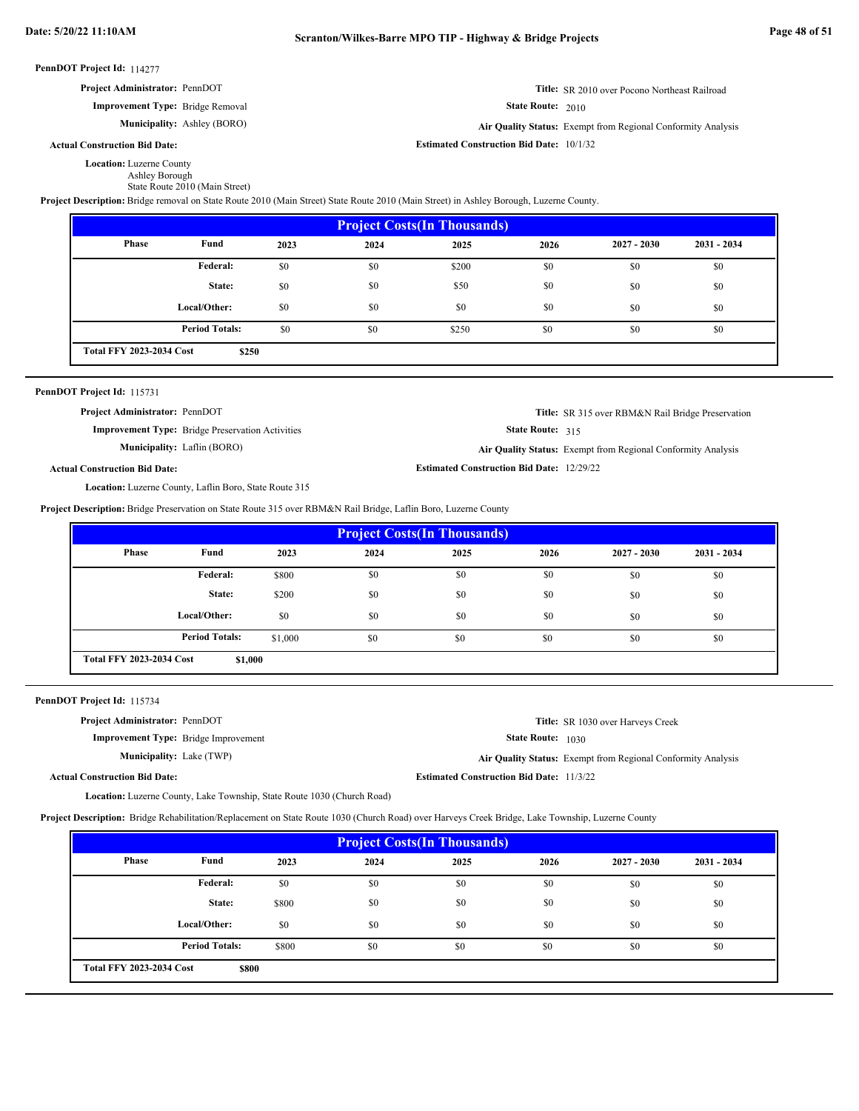| PennDOT Project Id: 114277 |  |
|----------------------------|--|
|----------------------------|--|

| <b>Project Administrator: PennDOT</b>   | <b>Title:</b> SR 2010 over Pocono Northeast Railroad                |
|-----------------------------------------|---------------------------------------------------------------------|
| <b>Improvement Type:</b> Bridge Removal | <b>State Route: 2010</b>                                            |
| <b>Municipality:</b> Ashley (BORO)      | <b>Air Ouality Status:</b> Exempt from Regional Conformity Analysis |

Ashley (BORO) **Air Quality Status:** Exempt from Regional Conformity Analysis

**Actual Construction Bid Date:**

Location: Luzerne County

Ashley Borough

State Route 2010 (Main Street)

**Project Description:** Bridge removal on State Route 2010 (Main Street) State Route 2010 (Main Street) in Ashley Borough, Luzerne County.

| <b>Project Costs (In Thousands)</b> |                                          |      |      |       |      |               |               |  |  |  |  |
|-------------------------------------|------------------------------------------|------|------|-------|------|---------------|---------------|--|--|--|--|
| Phase                               | Fund                                     | 2023 | 2024 | 2025  | 2026 | $2027 - 2030$ | $2031 - 2034$ |  |  |  |  |
|                                     | Federal:                                 | \$0  | \$0  | \$200 | \$0  | \$0           | \$0           |  |  |  |  |
|                                     | State:                                   | \$0  | \$0  | \$50  | \$0  | \$0           | \$0           |  |  |  |  |
|                                     | Local/Other:                             | \$0  | \$0  | \$0   | \$0  | \$0           | \$0           |  |  |  |  |
|                                     | <b>Period Totals:</b>                    | \$0  | \$0  | \$250 | \$0  | \$0           | \$0           |  |  |  |  |
|                                     | <b>Total FFY 2023-2034 Cost</b><br>\$250 |      |      |       |      |               |               |  |  |  |  |

#### PennDOT Project Id: 115731

**Actual Construction Bid Date:**

**Project Administrator:** PennDOT

**Improvement Type:** Bridge Preservation Activities

State Route: 315

**Title:** SR 315 over RBM&N Rail Bridge Preservation

**Municipality:** Laflin (BORO) **Air Quality Status:** Exempt from Regional Conformity Analysis

```
Estimated Construction Bid Date:
12/29/22
```
**Estimated Construction Bid Date:** 10/1/32

Location: Luzerne County, Laflin Boro, State Route 315

**Project Description:** Bridge Preservation on State Route 315 over RBM&N Rail Bridge, Laflin Boro, Luzerne County

| <b>Project Costs (In Thousands)</b> |                       |         |      |      |      |               |               |  |  |  |  |
|-------------------------------------|-----------------------|---------|------|------|------|---------------|---------------|--|--|--|--|
| <b>Phase</b>                        | Fund                  | 2023    | 2024 | 2025 | 2026 | $2027 - 2030$ | $2031 - 2034$ |  |  |  |  |
|                                     | Federal:              | \$800   | \$0  | \$0  | \$0  | \$0           | \$0           |  |  |  |  |
|                                     | State:                | \$200   | \$0  | \$0  | \$0  | \$0           | \$0           |  |  |  |  |
|                                     | Local/Other:          | \$0     | \$0  | \$0  | \$0  | \$0           | \$0           |  |  |  |  |
|                                     | <b>Period Totals:</b> | \$1,000 | \$0  | \$0  | \$0  | \$0           | \$0           |  |  |  |  |
| <b>Total FFY 2023-2034 Cost</b>     | \$1,000               |         |      |      |      |               |               |  |  |  |  |

PennDOT Project Id: 115734

| <b>Project Administrator: PennDOT</b>       |                                                 | <b>Title:</b> SR 1030 over Harveys Creek                     |
|---------------------------------------------|-------------------------------------------------|--------------------------------------------------------------|
| <b>Improvement Type:</b> Bridge Improvement | <b>State Route:</b> 1030                        |                                                              |
| <b>Municipality:</b> Lake (TWP)             |                                                 | Air Quality Status: Exempt from Regional Conformity Analysis |
| <b>Actual Construction Bid Date:</b>        | <b>Estimated Construction Bid Date: 11/3/22</b> |                                                              |

Location: Luzerne County, Lake Township, State Route 1030 (Church Road)

**Project Description:** Bridge Rehabilitation/Replacement on State Route 1030 (Church Road) over Harveys Creek Bridge, Lake Township, Luzerne County

| <b>Project Costs (In Thousands)</b> |                       |       |      |      |      |               |               |  |  |  |  |
|-------------------------------------|-----------------------|-------|------|------|------|---------------|---------------|--|--|--|--|
| Phase                               | Fund                  | 2023  | 2024 | 2025 | 2026 | $2027 - 2030$ | $2031 - 2034$ |  |  |  |  |
|                                     | Federal:              | \$0   | \$0  | \$0  | \$0  | \$0           | \$0           |  |  |  |  |
|                                     | State:                | \$800 | \$0  | \$0  | \$0  | \$0           | \$0           |  |  |  |  |
|                                     | Local/Other:          | \$0   | \$0  | \$0  | \$0  | \$0           | \$0           |  |  |  |  |
|                                     | <b>Period Totals:</b> | \$800 | \$0  | \$0  | \$0  | \$0           | \$0           |  |  |  |  |
| <b>Total FFY 2023-2034 Cost</b>     | \$800                 |       |      |      |      |               |               |  |  |  |  |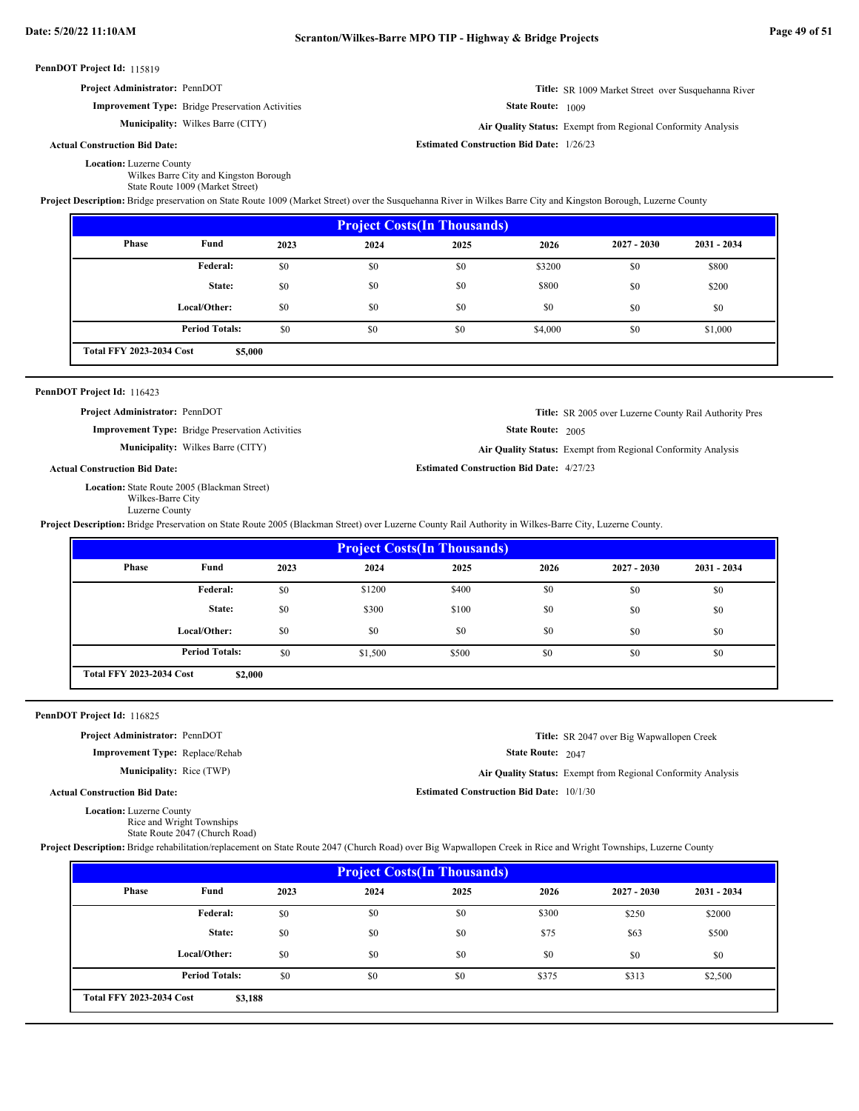**Project Administrator:** PennDOT

**Improvement Type:** Bridge Preservation Activities

**Municipality:** Wilkes Barre (CITY)

## **Actual Construction Bid Date:**

Wilkes Barre (CITY) **Air Quality Status:** Exempt from Regional Conformity Analysis

**Title:** SR 1009 Market Street over Susquehanna River

State Route: 1009

**Estimated Construction Bid Date:** 1/26/23

Location: Luzerne County

Wilkes Barre City and Kingston Borough State Route 1009 (Market Street)

**Project Description:** Bridge preservation on State Route 1009 (Market Street) over the Susquehanna River in Wilkes Barre City and Kingston Borough, Luzerne County

| <b>Project Costs (In Thousands)</b> |                                            |      |      |      |         |               |               |  |  |  |
|-------------------------------------|--------------------------------------------|------|------|------|---------|---------------|---------------|--|--|--|
| Phase                               | Fund                                       | 2023 | 2024 | 2025 | 2026    | $2027 - 2030$ | $2031 - 2034$ |  |  |  |
|                                     | Federal:                                   | \$0  | \$0  | \$0  | \$3200  | \$0           | \$800         |  |  |  |
|                                     | State:                                     | \$0  | \$0  | \$0  | \$800   | \$0           | \$200         |  |  |  |
|                                     | Local/Other:                               | \$0  | \$0  | \$0  | \$0     | \$0           | \$0           |  |  |  |
|                                     | <b>Period Totals:</b>                      | \$0  | \$0  | \$0  | \$4,000 | \$0           | \$1,000       |  |  |  |
|                                     | <b>Total FFY 2023-2034 Cost</b><br>\$5,000 |      |      |      |         |               |               |  |  |  |

### PennDOT Project Id: 116423

**Project Administrator:** PennDOT

**Improvement Type:** Bridge Preservation Activities

**Municipality:** Wilkes Barre (CITY)

**Actual Construction Bid Date:**

Location: State Route 2005 (Blackman Street) Wilkes-Barre City Luzerne County

```
State Route: 2005
Wilkes Barre (CITY) Air Quality Status: Exempt from Regional Conformity Analysis
```
**Title:** SR 2005 over Luzerne County Rail Authority Pres

**Estimated Construction Bid Date:** 4/27/23

**Project Description:** Bridge Preservation on State Route 2005 (Blackman Street) over Luzerne County Rail Authority in Wilkes-Barre City, Luzerne County.

| <b>Project Costs (In Thousands)</b> |                                            |      |         |       |      |               |               |  |  |  |  |
|-------------------------------------|--------------------------------------------|------|---------|-------|------|---------------|---------------|--|--|--|--|
| <b>Phase</b>                        | Fund                                       | 2023 | 2024    | 2025  | 2026 | $2027 - 2030$ | $2031 - 2034$ |  |  |  |  |
|                                     | Federal:                                   | \$0  | \$1200  | \$400 | \$0  | \$0           | \$0           |  |  |  |  |
|                                     | State:                                     | \$0  | \$300   | \$100 | \$0  | \$0           | \$0           |  |  |  |  |
|                                     | Local/Other:                               | \$0  | \$0     | \$0   | \$0  | \$0           | \$0           |  |  |  |  |
|                                     | <b>Period Totals:</b>                      | \$0  | \$1,500 | \$500 | \$0  | \$0           | \$0           |  |  |  |  |
|                                     | <b>Total FFY 2023-2034 Cost</b><br>\$2,000 |      |         |       |      |               |               |  |  |  |  |

## PennDOT Project Id: 116825

**Project Administrator:** PennDOT

**Improvement Type:** Replace/Rehab

**Municipality:** Rice (TWP)

**Title:** SR 2047 over Big Wapwallopen Creek

State Route: 2047

Rice (TWP) **Air Quality Status:** Exempt from Regional Conformity Analysis

**Estimated Construction Bid Date:** 10/1/30

**Actual Construction Bid Date:**

Location: Luzerne County Rice and Wright Townships

State Route 2047 (Church Road)

**Project Description:** Bridge rehabilitation/replacement on State Route 2047 (Church Road) over Big Wapwallopen Creek in Rice and Wright Townships, Luzerne County

| <b>Project Costs (In Thousands)</b> |                                            |      |      |      |       |               |             |  |  |  |
|-------------------------------------|--------------------------------------------|------|------|------|-------|---------------|-------------|--|--|--|
| <b>Phase</b>                        | Fund                                       | 2023 | 2024 | 2025 | 2026  | $2027 - 2030$ | 2031 - 2034 |  |  |  |
|                                     | Federal:                                   | \$0  | \$0  | \$0  | \$300 | \$250         | \$2000      |  |  |  |
|                                     | State:                                     | \$0  | \$0  | \$0  | \$75  | \$63          | \$500       |  |  |  |
|                                     | Local/Other:                               | \$0  | \$0  | \$0  | \$0   | \$0           | \$0         |  |  |  |
|                                     | <b>Period Totals:</b>                      | \$0  | \$0  | \$0  | \$375 | \$313         | \$2,500     |  |  |  |
|                                     | <b>Total FFY 2023-2034 Cost</b><br>\$3,188 |      |      |      |       |               |             |  |  |  |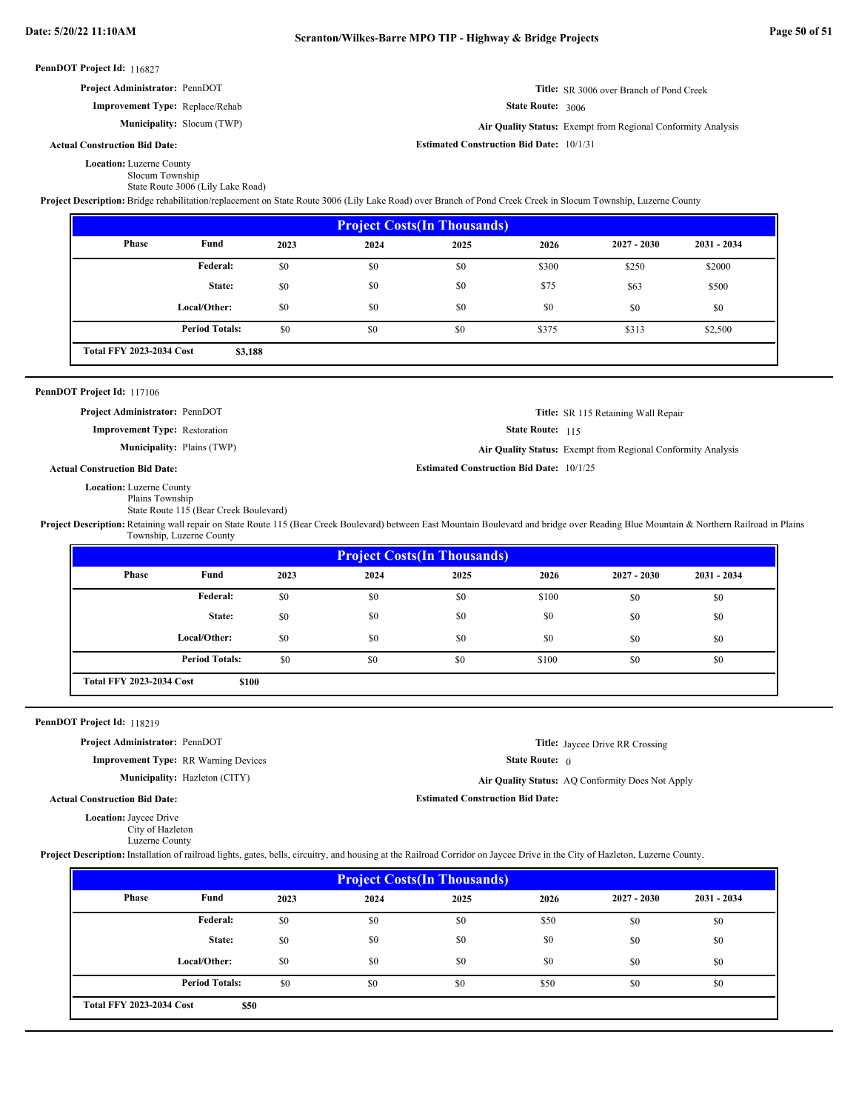| Project Administrator: PennDOT                                                                                                                                                                 |                                             |      |                                    |                                                 |                   | Title: SR 3006 over Branch of Pond Creek                     |               |
|------------------------------------------------------------------------------------------------------------------------------------------------------------------------------------------------|---------------------------------------------|------|------------------------------------|-------------------------------------------------|-------------------|--------------------------------------------------------------|---------------|
|                                                                                                                                                                                                | Improvement Type: Replace/Rehab             |      |                                    |                                                 | State Route: 3006 |                                                              |               |
|                                                                                                                                                                                                | Municipality: Slocum (TWP)                  |      |                                    |                                                 |                   | Air Quality Status: Exempt from Regional Conformity Analysis |               |
| <b>Actual Construction Bid Date:</b>                                                                                                                                                           |                                             |      |                                    | <b>Estimated Construction Bid Date: 10/1/31</b> |                   |                                                              |               |
| <b>Location:</b> Luzerne County                                                                                                                                                                |                                             |      |                                    |                                                 |                   |                                                              |               |
| Slocum Township                                                                                                                                                                                | State Route 3006 (Lily Lake Road)           |      |                                    |                                                 |                   |                                                              |               |
| Project Description: Bridge rehabilitation/replacement on State Route 3006 (Lily Lake Road) over Branch of Pond Creek Creek in Slocum Township, Luzerne County                                 |                                             |      |                                    | <b>Project Costs(In Thousands)</b>              |                   |                                                              |               |
| Phase                                                                                                                                                                                          | Fund                                        | 2023 | 2024                               | 2025                                            | 2026              | $2027 - 2030$                                                | 2031 - 2034   |
|                                                                                                                                                                                                | Federal:                                    | \$0  | \$0                                | \$0                                             | \$300             | \$250                                                        | \$2000        |
|                                                                                                                                                                                                | State:                                      | \$0  | \$0                                | \$0                                             | \$75              | \$63                                                         | \$500         |
|                                                                                                                                                                                                | Local/Other:                                | \$0  | \$0                                | \$0                                             | \$0               |                                                              |               |
|                                                                                                                                                                                                |                                             |      |                                    |                                                 |                   | \$0                                                          | \$0           |
|                                                                                                                                                                                                | <b>Period Totals:</b>                       | \$0  | \$0                                | \$0                                             | \$375             | \$313                                                        | \$2,500       |
| <b>Total FFY 2023-2034 Cost</b>                                                                                                                                                                | \$3,188                                     |      |                                    |                                                 |                   |                                                              |               |
| PennDOT Project Id: 117106                                                                                                                                                                     |                                             |      |                                    |                                                 |                   |                                                              |               |
| Project Administrator: PennDOT                                                                                                                                                                 |                                             |      |                                    |                                                 |                   | Title: SR 115 Retaining Wall Repair                          |               |
| <b>Improvement Type: Restoration</b>                                                                                                                                                           |                                             |      |                                    |                                                 | State Route: 115  |                                                              |               |
|                                                                                                                                                                                                | <b>Municipality: Plains (TWP)</b>           |      |                                    |                                                 |                   | Air Quality Status: Exempt from Regional Conformity Analysis |               |
| <b>Actual Construction Bid Date:</b>                                                                                                                                                           |                                             |      |                                    | <b>Estimated Construction Bid Date: 10/1/25</b> |                   |                                                              |               |
| Project Description: Retaining wall repair on State Route 115 (Bear Creek Boulevard) between East Mountain Boulevard and bridge over Reading Blue Mountain & Northern Railroad in Plai         | Township, Luzerne County                    |      | <b>Project Costs(In Thousands)</b> |                                                 |                   |                                                              |               |
|                                                                                                                                                                                                |                                             |      |                                    |                                                 |                   |                                                              |               |
| Phase                                                                                                                                                                                          | Fund                                        | 2023 | 2024                               | 2025                                            | 2026              | $2027 - 2030$                                                | $2031 - 2034$ |
|                                                                                                                                                                                                | Federal:                                    | \$0  | \$0                                | \$0                                             | \$100             | \$0                                                          | \$0           |
|                                                                                                                                                                                                | State:                                      |      | \$0                                | \$0                                             | \$0               |                                                              |               |
|                                                                                                                                                                                                |                                             | \$0  |                                    |                                                 |                   | \$0                                                          | \$0           |
|                                                                                                                                                                                                | Local/Other:                                | \$0  | \$0                                | \$0                                             | \$0               | \$0                                                          | \$0           |
| <b>Total FFY 2023-2034 Cost</b>                                                                                                                                                                | <b>Period Totals:</b><br>\$100              | \$0  | \$0                                | \$0                                             | \$100             | \$0                                                          | \$0           |
|                                                                                                                                                                                                |                                             |      |                                    |                                                 |                   |                                                              |               |
|                                                                                                                                                                                                |                                             |      |                                    |                                                 |                   |                                                              |               |
| Project Administrator: PennDOT                                                                                                                                                                 |                                             |      |                                    |                                                 |                   | <b>Title:</b> Jaycee Drive RR Crossing                       |               |
|                                                                                                                                                                                                | <b>Improvement Type: RR Warning Devices</b> |      |                                    |                                                 | State Route: $0$  |                                                              |               |
|                                                                                                                                                                                                | Municipality: Hazleton (CITY)               |      |                                    |                                                 |                   | Air Quality Status: AQ Conformity Does Not Apply             |               |
| PennDOT Project Id: 118219<br><b>Actual Construction Bid Date:</b>                                                                                                                             |                                             |      |                                    | <b>Estimated Construction Bid Date:</b>         |                   |                                                              |               |
| Location: Jaycee Drive<br>City of Hazleton                                                                                                                                                     |                                             |      |                                    |                                                 |                   |                                                              |               |
| Luzerne County<br>Project Description: Installation of railroad lights, gates, bells, circuitry, and housing at the Railroad Corridor on Jaycee Drive in the City of Hazleton, Luzerne County. |                                             |      |                                    |                                                 |                   |                                                              |               |
|                                                                                                                                                                                                |                                             |      |                                    | <b>Project Costs(In Thousands)</b>              |                   |                                                              |               |
| <b>Phase</b>                                                                                                                                                                                   | Fund                                        | 2023 | 2024                               | 2025                                            | 2026              | $2027 - 2030$                                                | 2031 - 2034   |
|                                                                                                                                                                                                | Federal:                                    | \$0  | \$0                                | \$0                                             | \$50              | \$0                                                          | \$0           |
|                                                                                                                                                                                                | State:                                      | \$0  | \$0                                | \$0                                             | \$0               | \$0                                                          | \$0           |
|                                                                                                                                                                                                | Local/Other:                                | \$0  | \$0                                | \$0                                             | \$0               | \$0                                                          | \$0           |

**\$50 Total FFY 2023-2034 Cost**